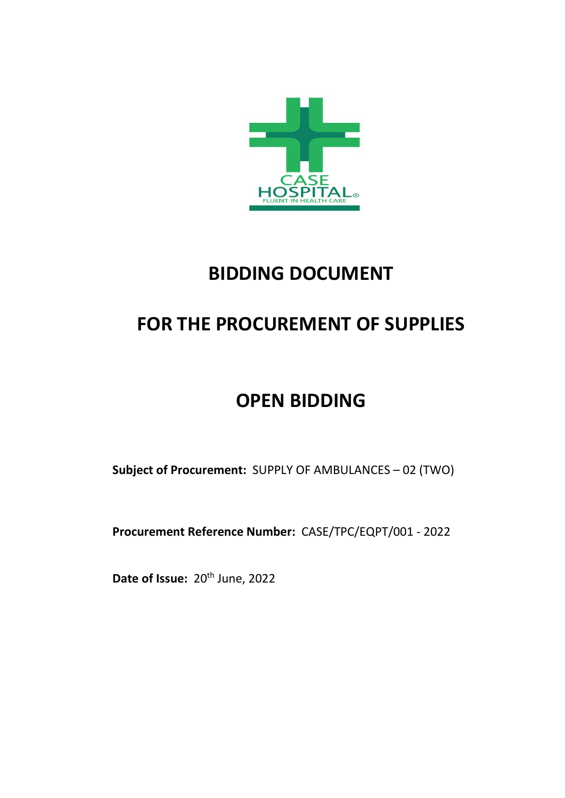

# **BIDDING DOCUMENT**

# **FOR THE PROCUREMENT OF SUPPLIES**

# **OPEN BIDDING**

**Subject of Procurement:** SUPPLY OF AMBULANCES – 02 (TWO)

**Procurement Reference Number:** CASE/TPC/EQPT/001 - 2022

Date of Issue: 20<sup>th</sup> June, 2022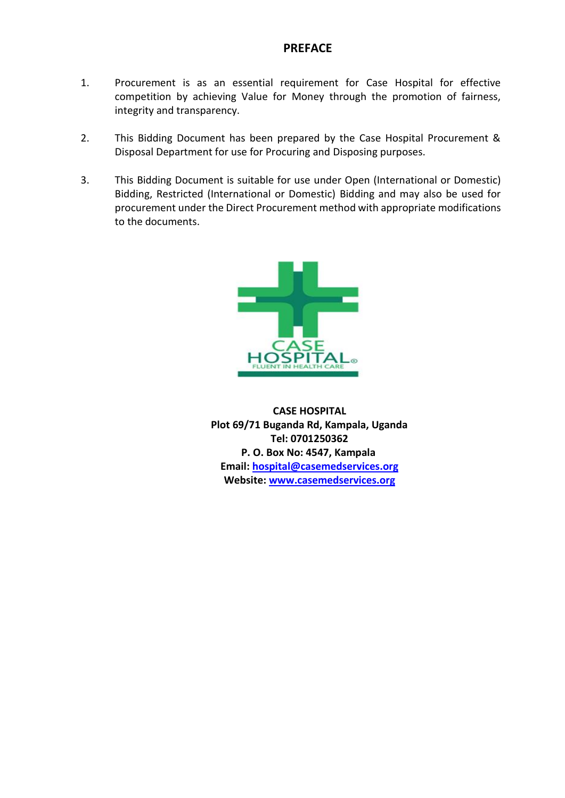# **PREFACE**

- 1. Procurement is as an essential requirement for Case Hospital for effective competition by achieving Value for Money through the promotion of fairness, integrity and transparency.
- 2. This Bidding Document has been prepared by the Case Hospital Procurement & Disposal Department for use for Procuring and Disposing purposes.
- 3. This Bidding Document is suitable for use under Open (International or Domestic) Bidding, Restricted (International or Domestic) Bidding and may also be used for procurement under the Direct Procurement method with appropriate modifications to the documents.



**CASE HOSPITAL Plot 69/71 Buganda Rd, Kampala, Uganda Tel: 0701250362 P. O. Box No: 4547, Kampala Email: [hospital@casemedservices.org](mailto:hospital@casemedservices.org) Website: [www.casemedservices.org](http://www.casemedservices.org/)**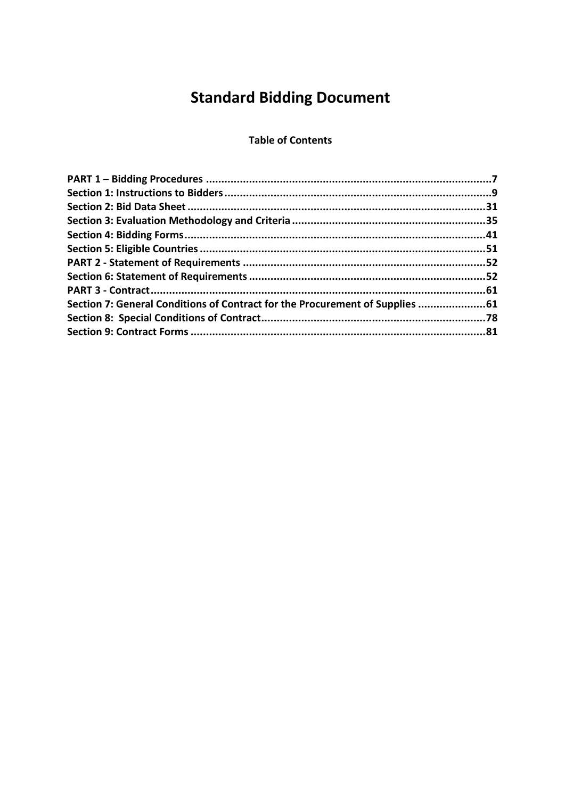# **Standard Bidding Document**

### **Table of Contents**

| Section 7: General Conditions of Contract for the Procurement of Supplies 61 |  |
|------------------------------------------------------------------------------|--|
|                                                                              |  |
|                                                                              |  |
|                                                                              |  |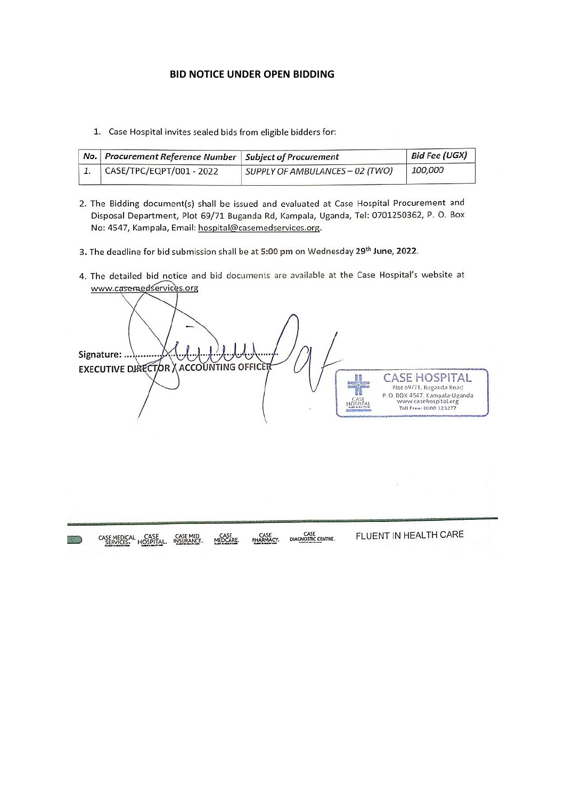#### **BID NOTICE UNDER OPEN BIDDING**

1. Case Hospital invites sealed bids from eligible bidders for:

| No.   Procurement Reference Number   Subject of Procurement |                                 | <b>Bid Fee (UGX)</b> |
|-------------------------------------------------------------|---------------------------------|----------------------|
| CASE/TPC/EQPT/001 - 2022                                    | SUPPLY OF AMBULANCES - 02 (TWO) | <i>100,000</i>       |

- 2. The Bidding document(s) shall be issued and evaluated at Case Hospital Procurement and Disposal Department, Plot 69/71 Buganda Rd, Kampala, Uganda, Tel: 0701250362, P. O. Box No: 4547, Kampala, Email: hospital@casemedservices.org.
- 3. The deadline for bid submission shall be at 5:00 pm on Wednesday 29th June, 2022.
- 4. The detailed bid notice and bid documents are available at the Case Hospital's website at www.casemedservices.org

Signature: .. **EXECUTIVE DIRECTOR ACCOUNTING OFFICE CASE HOSPITAL** Plot 69/71, Buganda Road P.O. BOX 4547, Kampala-Uganda<br>www.casehospital.org<br>Toll Free: 0000 323277

FLUENT IN HEALTH CARE CASE<br>DIAGNOSTIC CENTRE CASE<br>PHARMACY. CASE MEDICAL CASE CASE MED MEDCARE. **ANGELIA**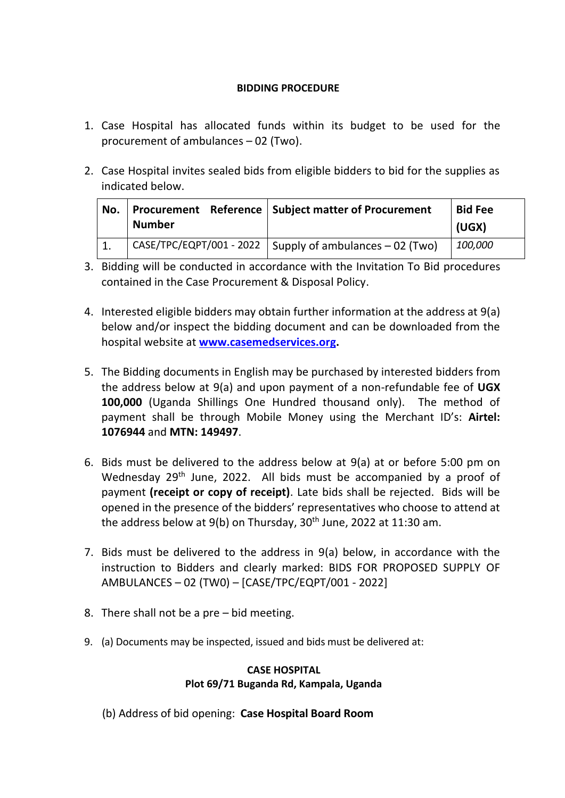# **BIDDING PROCEDURE**

- 1. Case Hospital has allocated funds within its budget to be used for the procurement of ambulances – 02 (Two).
- 2. Case Hospital invites sealed bids from eligible bidders to bid for the supplies as indicated below.

| No. | <b>Number</b> | Procurement Reference   Subject matter of Procurement            | <b>Bid Fee</b><br>(UGX) |
|-----|---------------|------------------------------------------------------------------|-------------------------|
|     |               | $\vert$ CASE/TPC/EQPT/001 - 2022 Supply of ambulances - 02 (Two) | <i>100,000</i>          |

- 3. Bidding will be conducted in accordance with the Invitation To Bid procedures contained in the Case Procurement & Disposal Policy.
- 4. Interested eligible bidders may obtain further information at the address at 9(a) below and/or inspect the bidding document and can be downloaded from the hospital website at **[www.casemedservices.org.](http://www.casemedservices.org/)**
- 5. The Bidding documents in English may be purchased by interested bidders from the address below at 9(a) and upon payment of a non-refundable fee of **UGX 100,000** (Uganda Shillings One Hundred thousand only). The method of payment shall be through Mobile Money using the Merchant ID's: **Airtel: 1076944** and **MTN: 149497**.
- 6. Bids must be delivered to the address below at 9(a) at or before 5:00 pm on Wednesday 29<sup>th</sup> June, 2022. All bids must be accompanied by a proof of payment **(receipt or copy of receipt)**. Late bids shall be rejected. Bids will be opened in the presence of the bidders' representatives who choose to attend at the address below at  $9(b)$  on Thursday,  $30<sup>th</sup>$  June, 2022 at 11:30 am.
- 7. Bids must be delivered to the address in 9(a) below, in accordance with the instruction to Bidders and clearly marked: BIDS FOR PROPOSED SUPPLY OF AMBULANCES – 02 (TW0) – [CASE/TPC/EQPT/001 - 2022]
- 8. There shall not be a pre bid meeting.
- 9. (a) Documents may be inspected, issued and bids must be delivered at:

#### **CASE HOSPITAL Plot 69/71 Buganda Rd, Kampala, Uganda**

(b) Address of bid opening: **Case Hospital Board Room**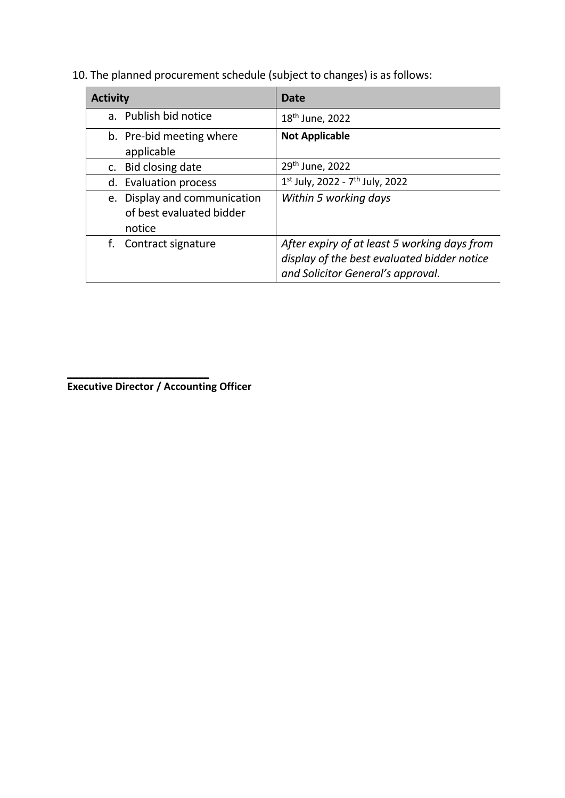10. The planned procurement schedule (subject to changes) is as follows:

| <b>Activity</b>                                                    | Date                                                                                                                             |
|--------------------------------------------------------------------|----------------------------------------------------------------------------------------------------------------------------------|
| a. Publish bid notice                                              | 18 <sup>th</sup> June, 2022                                                                                                      |
| b. Pre-bid meeting where<br>applicable                             | <b>Not Applicable</b>                                                                                                            |
| c. Bid closing date                                                | 29th June, 2022                                                                                                                  |
| d. Evaluation process                                              | 1st July, 2022 - 7 <sup>th</sup> July, 2022                                                                                      |
| e. Display and communication<br>of best evaluated bidder<br>notice | Within 5 working days                                                                                                            |
| f. Contract signature                                              | After expiry of at least 5 working days from<br>display of the best evaluated bidder notice<br>and Solicitor General's approval. |

 $\overline{\phantom{a}}$  , where  $\overline{\phantom{a}}$  , where  $\overline{\phantom{a}}$  , where  $\overline{\phantom{a}}$ **Executive Director / Accounting Officer**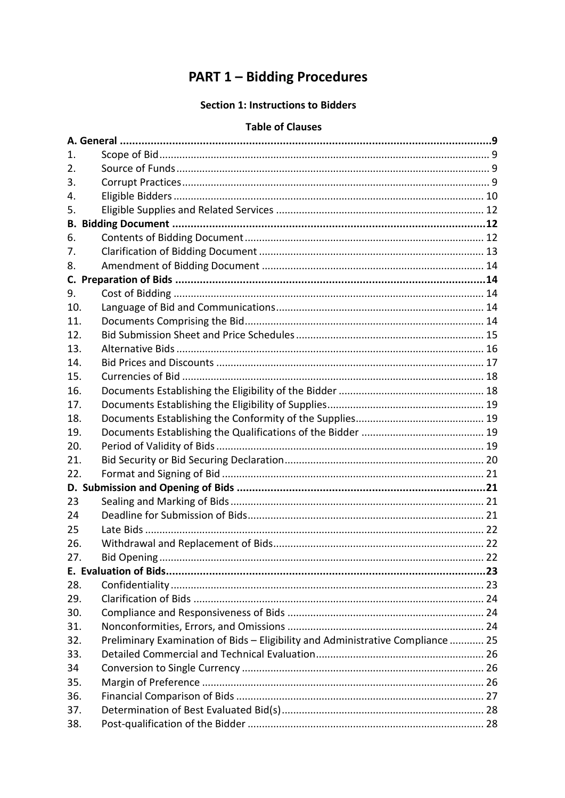# **PART 1 - Bidding Procedures**

# **Section 1: Instructions to Bidders**

#### **Table of Clauses**

| 1.  |                                                                                 |  |  |
|-----|---------------------------------------------------------------------------------|--|--|
| 2.  |                                                                                 |  |  |
| 3.  |                                                                                 |  |  |
| 4.  |                                                                                 |  |  |
| 5.  |                                                                                 |  |  |
| В.  |                                                                                 |  |  |
| 6.  |                                                                                 |  |  |
| 7.  |                                                                                 |  |  |
| 8.  |                                                                                 |  |  |
| C.  |                                                                                 |  |  |
| 9.  |                                                                                 |  |  |
| 10. |                                                                                 |  |  |
| 11. |                                                                                 |  |  |
| 12. |                                                                                 |  |  |
| 13. |                                                                                 |  |  |
| 14. |                                                                                 |  |  |
| 15. |                                                                                 |  |  |
| 16. |                                                                                 |  |  |
| 17. |                                                                                 |  |  |
| 18. |                                                                                 |  |  |
| 19. |                                                                                 |  |  |
| 20. |                                                                                 |  |  |
| 21. |                                                                                 |  |  |
| 22. |                                                                                 |  |  |
|     |                                                                                 |  |  |
| 23  |                                                                                 |  |  |
| 24  |                                                                                 |  |  |
| 25  |                                                                                 |  |  |
| 26. |                                                                                 |  |  |
| 27. |                                                                                 |  |  |
|     |                                                                                 |  |  |
| 28. |                                                                                 |  |  |
| 29. |                                                                                 |  |  |
| 30. |                                                                                 |  |  |
| 31. |                                                                                 |  |  |
| 32. | Preliminary Examination of Bids - Eligibility and Administrative Compliance  25 |  |  |
| 33. |                                                                                 |  |  |
| 34  |                                                                                 |  |  |
| 35. |                                                                                 |  |  |
| 36. |                                                                                 |  |  |
| 37. |                                                                                 |  |  |
| 38. |                                                                                 |  |  |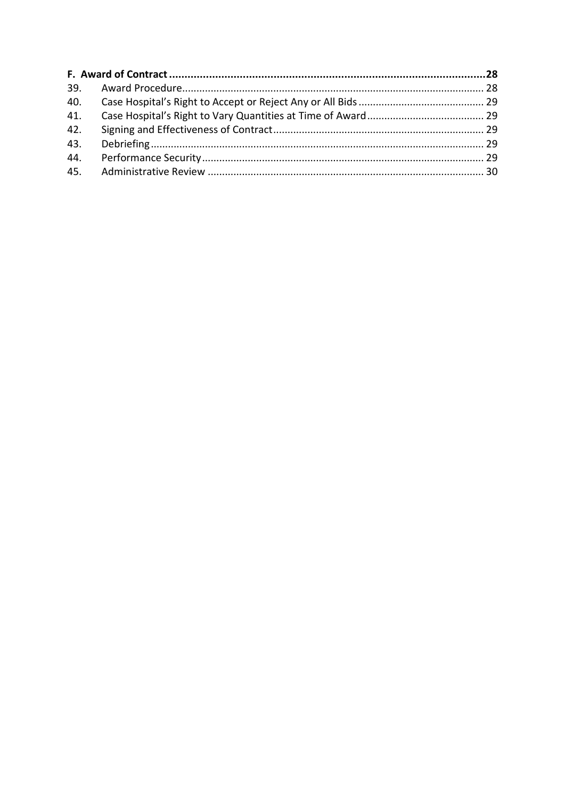| 41. |  |
|-----|--|
| 42. |  |
| 43. |  |
| 44. |  |
|     |  |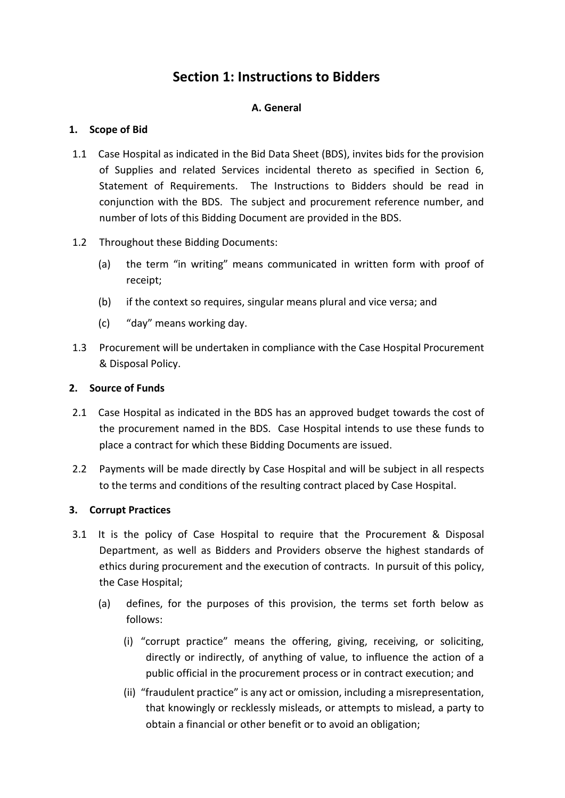# **Section 1: Instructions to Bidders**

# **A. General**

# **1. Scope of Bid**

- 1.1 Case Hospital as indicated in the Bid Data Sheet (BDS), invites bids for the provision of Supplies and related Services incidental thereto as specified in Section 6, Statement of Requirements. The Instructions to Bidders should be read in conjunction with the BDS. The subject and procurement reference number, and number of lots of this Bidding Document are provided in the BDS.
- 1.2 Throughout these Bidding Documents:
	- (a) the term "in writing" means communicated in written form with proof of receipt;
	- (b) if the context so requires, singular means plural and vice versa; and
	- (c) "day" means working day.
- 1.3 Procurement will be undertaken in compliance with the Case Hospital Procurement & Disposal Policy.

# **2. Source of Funds**

- 2.1 Case Hospital as indicated in the BDS has an approved budget towards the cost of the procurement named in the BDS. Case Hospital intends to use these funds to place a contract for which these Bidding Documents are issued.
- 2.2 Payments will be made directly by Case Hospital and will be subject in all respects to the terms and conditions of the resulting contract placed by Case Hospital.

# **3. Corrupt Practices**

- 3.1 It is the policy of Case Hospital to require that the Procurement & Disposal Department, as well as Bidders and Providers observe the highest standards of ethics during procurement and the execution of contracts. In pursuit of this policy, the Case Hospital;
	- (a) defines, for the purposes of this provision, the terms set forth below as follows:
		- (i) "corrupt practice" means the offering, giving, receiving, or soliciting, directly or indirectly, of anything of value, to influence the action of a public official in the procurement process or in contract execution; and
		- (ii) "fraudulent practice" is any act or omission, including a misrepresentation, that knowingly or recklessly misleads, or attempts to mislead, a party to obtain a financial or other benefit or to avoid an obligation;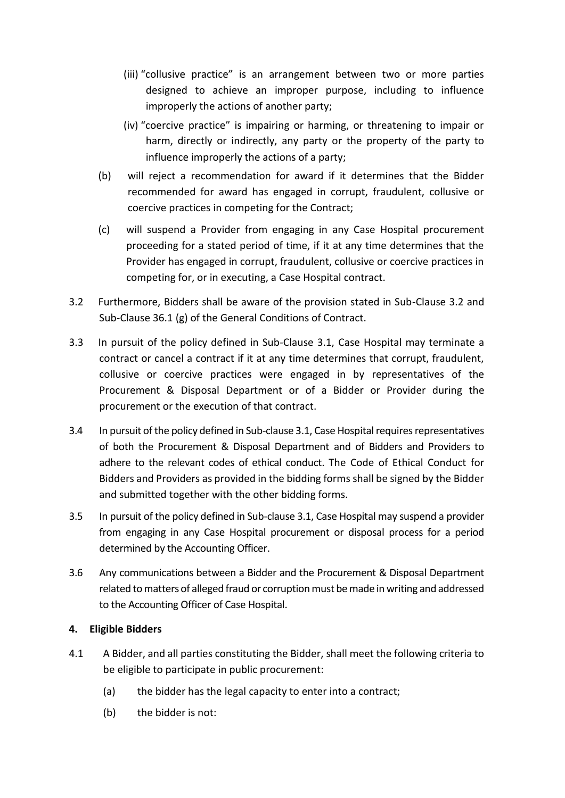- (iii) "collusive practice" is an arrangement between two or more parties designed to achieve an improper purpose, including to influence improperly the actions of another party;
- (iv) "coercive practice" is impairing or harming, or threatening to impair or harm, directly or indirectly, any party or the property of the party to influence improperly the actions of a party;
- (b) will reject a recommendation for award if it determines that the Bidder recommended for award has engaged in corrupt, fraudulent, collusive or coercive practices in competing for the Contract;
- (c) will suspend a Provider from engaging in any Case Hospital procurement proceeding for a stated period of time, if it at any time determines that the Provider has engaged in corrupt, fraudulent, collusive or coercive practices in competing for, or in executing, a Case Hospital contract.
- 3.2 Furthermore, Bidders shall be aware of the provision stated in Sub-Clause 3.2 and Sub-Clause 36.1 (g) of the General Conditions of Contract.
- 3.3 In pursuit of the policy defined in Sub-Clause 3.1, Case Hospital may terminate a contract or cancel a contract if it at any time determines that corrupt, fraudulent, collusive or coercive practices were engaged in by representatives of the Procurement & Disposal Department or of a Bidder or Provider during the procurement or the execution of that contract.
- 3.4 In pursuit of the policy defined in Sub-clause 3.1, Case Hospital requires representatives of both the Procurement & Disposal Department and of Bidders and Providers to adhere to the relevant codes of ethical conduct. The Code of Ethical Conduct for Bidders and Providers as provided in the bidding forms shall be signed by the Bidder and submitted together with the other bidding forms.
- 3.5 In pursuit of the policy defined in Sub-clause 3.1, Case Hospital may suspend a provider from engaging in any Case Hospital procurement or disposal process for a period determined by the Accounting Officer.
- 3.6 Any communications between a Bidder and the Procurement & Disposal Department related to matters of alleged fraud or corruption must be made in writing and addressed to the Accounting Officer of Case Hospital.

# **4. Eligible Bidders**

- 4.1 A Bidder, and all parties constituting the Bidder, shall meet the following criteria to be eligible to participate in public procurement:
	- (a) the bidder has the legal capacity to enter into a contract;
	- (b) the bidder is not: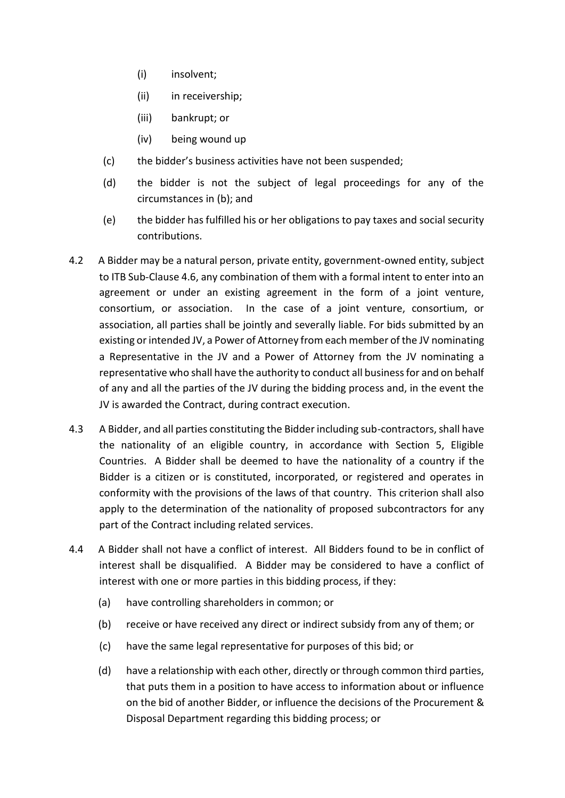- (i) insolvent;
- (ii) in receivership;
- (iii) bankrupt; or
- (iv) being wound up
- (c) the bidder's business activities have not been suspended;
- (d) the bidder is not the subject of legal proceedings for any of the circumstances in (b); and
- (e) the bidder has fulfilled his or her obligations to pay taxes and social security contributions.
- 4.2 A Bidder may be a natural person, private entity, government-owned entity, subject to ITB Sub-Clause 4.6, any combination of them with a formal intent to enter into an agreement or under an existing agreement in the form of a joint venture, consortium, or association. In the case of a joint venture, consortium, or association, all parties shall be jointly and severally liable. For bids submitted by an existing or intended JV, a Power of Attorney from each member of the JV nominating a Representative in the JV and a Power of Attorney from the JV nominating a representative who shall have the authority to conduct all business for and on behalf of any and all the parties of the JV during the bidding process and, in the event the JV is awarded the Contract, during contract execution.
- 4.3 A Bidder, and all parties constituting the Bidder including sub-contractors, shall have the nationality of an eligible country, in accordance with Section 5, Eligible Countries. A Bidder shall be deemed to have the nationality of a country if the Bidder is a citizen or is constituted, incorporated, or registered and operates in conformity with the provisions of the laws of that country. This criterion shall also apply to the determination of the nationality of proposed subcontractors for any part of the Contract including related services.
- 4.4 A Bidder shall not have a conflict of interest. All Bidders found to be in conflict of interest shall be disqualified. A Bidder may be considered to have a conflict of interest with one or more parties in this bidding process, if they:
	- (a) have controlling shareholders in common; or
	- (b) receive or have received any direct or indirect subsidy from any of them; or
	- (c) have the same legal representative for purposes of this bid; or
	- (d) have a relationship with each other, directly or through common third parties, that puts them in a position to have access to information about or influence on the bid of another Bidder, or influence the decisions of the Procurement & Disposal Department regarding this bidding process; or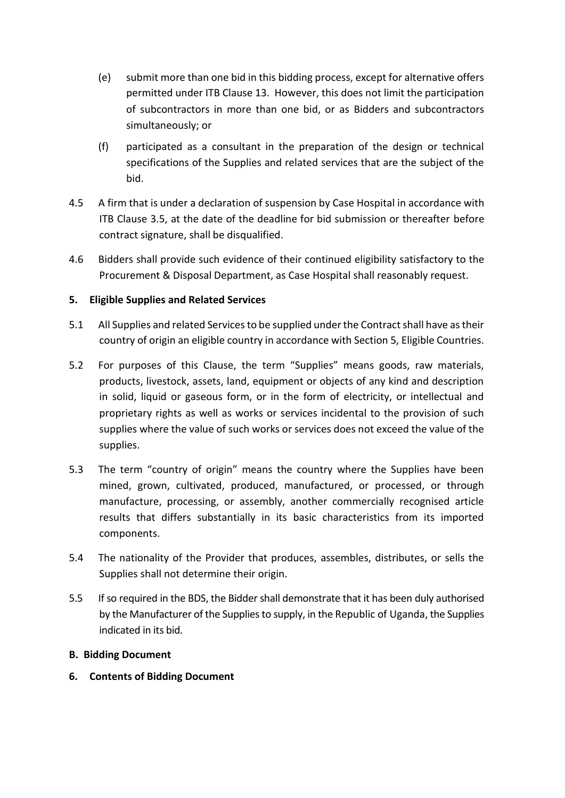- (e) submit more than one bid in this bidding process, except for alternative offers permitted under ITB Clause 13. However, this does not limit the participation of subcontractors in more than one bid, or as Bidders and subcontractors simultaneously; or
- (f) participated as a consultant in the preparation of the design or technical specifications of the Supplies and related services that are the subject of the bid.
- 4.5 A firm that is under a declaration of suspension by Case Hospital in accordance with ITB Clause 3.5, at the date of the deadline for bid submission or thereafter before contract signature, shall be disqualified.
- 4.6 Bidders shall provide such evidence of their continued eligibility satisfactory to the Procurement & Disposal Department, as Case Hospital shall reasonably request.

# **5. Eligible Supplies and Related Services**

- 5.1 All Supplies and related Services to be supplied under the Contract shall have as their country of origin an eligible country in accordance with Section 5, Eligible Countries.
- 5.2 For purposes of this Clause, the term "Supplies" means goods, raw materials, products, livestock, assets, land, equipment or objects of any kind and description in solid, liquid or gaseous form, or in the form of electricity, or intellectual and proprietary rights as well as works or services incidental to the provision of such supplies where the value of such works or services does not exceed the value of the supplies.
- 5.3 The term "country of origin" means the country where the Supplies have been mined, grown, cultivated, produced, manufactured, or processed, or through manufacture, processing, or assembly, another commercially recognised article results that differs substantially in its basic characteristics from its imported components.
- 5.4 The nationality of the Provider that produces, assembles, distributes, or sells the Supplies shall not determine their origin.
- 5.5 If so required in the BDS, the Bidder shall demonstrate that it has been duly authorised by the Manufacturer of the Supplies to supply, in the Republic of Uganda, the Supplies indicated in its bid.

# **B. Bidding Document**

**6. Contents of Bidding Document**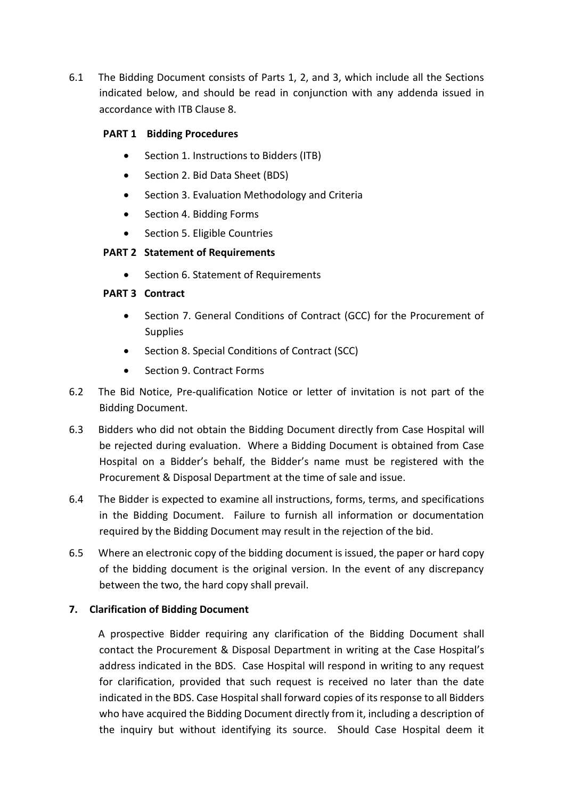6.1 The Bidding Document consists of Parts 1, 2, and 3, which include all the Sections indicated below, and should be read in conjunction with any addenda issued in accordance with ITB Clause 8.

# **PART 1 Bidding Procedures**

- Section 1. Instructions to Bidders (ITB)
- Section 2. Bid Data Sheet (BDS)
- Section 3. Evaluation Methodology and Criteria
- Section 4. Bidding Forms
- Section 5. Eligible Countries

# **PART 2 Statement of Requirements**

• Section 6. Statement of Requirements

# **PART 3 Contract**

- Section 7. General Conditions of Contract (GCC) for the Procurement of Supplies
- Section 8. Special Conditions of Contract (SCC)
- Section 9. Contract Forms
- 6.2 The Bid Notice, Pre-qualification Notice or letter of invitation is not part of the Bidding Document.
- 6.3 Bidders who did not obtain the Bidding Document directly from Case Hospital will be rejected during evaluation. Where a Bidding Document is obtained from Case Hospital on a Bidder's behalf, the Bidder's name must be registered with the Procurement & Disposal Department at the time of sale and issue.
- 6.4 The Bidder is expected to examine all instructions, forms, terms, and specifications in the Bidding Document. Failure to furnish all information or documentation required by the Bidding Document may result in the rejection of the bid.
- 6.5 Where an electronic copy of the bidding document is issued, the paper or hard copy of the bidding document is the original version. In the event of any discrepancy between the two, the hard copy shall prevail.

# **7. Clarification of Bidding Document**

A prospective Bidder requiring any clarification of the Bidding Document shall contact the Procurement & Disposal Department in writing at the Case Hospital's address indicated in the BDS. Case Hospital will respond in writing to any request for clarification, provided that such request is received no later than the date indicated in the BDS. Case Hospital shall forward copies of its response to all Bidders who have acquired the Bidding Document directly from it, including a description of the inquiry but without identifying its source. Should Case Hospital deem it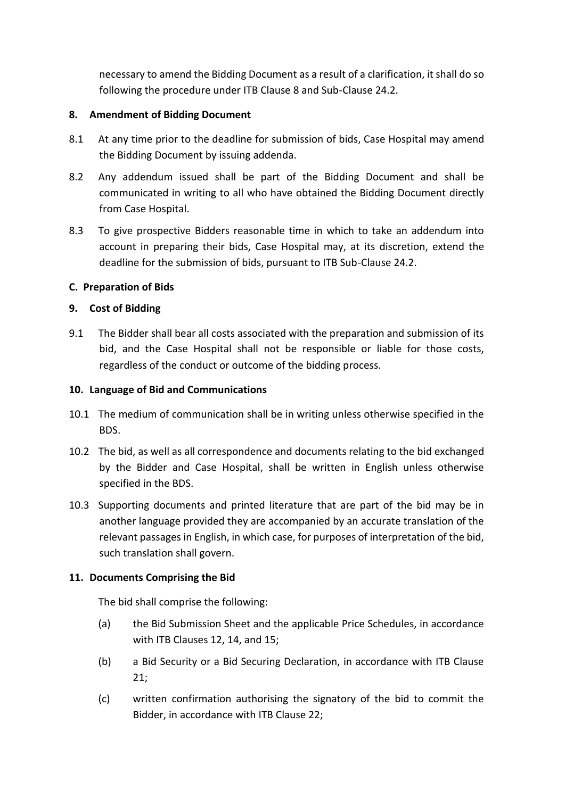necessary to amend the Bidding Document as a result of a clarification, it shall do so following the procedure under ITB Clause 8 and Sub-Clause 24.2.

#### **8. Amendment of Bidding Document**

- 8.1 At any time prior to the deadline for submission of bids, Case Hospital may amend the Bidding Document by issuing addenda.
- 8.2 Any addendum issued shall be part of the Bidding Document and shall be communicated in writing to all who have obtained the Bidding Document directly from Case Hospital.
- 8.3 To give prospective Bidders reasonable time in which to take an addendum into account in preparing their bids, Case Hospital may, at its discretion, extend the deadline for the submission of bids, pursuant to ITB Sub-Clause 24.2.

# **C. Preparation of Bids**

#### **9. Cost of Bidding**

9.1 The Bidder shall bear all costs associated with the preparation and submission of its bid, and the Case Hospital shall not be responsible or liable for those costs, regardless of the conduct or outcome of the bidding process.

#### **10. Language of Bid and Communications**

- 10.1 The medium of communication shall be in writing unless otherwise specified in the BDS.
- 10.2 The bid, as well as all correspondence and documents relating to the bid exchanged by the Bidder and Case Hospital, shall be written in English unless otherwise specified in the BDS.
- 10.3 Supporting documents and printed literature that are part of the bid may be in another language provided they are accompanied by an accurate translation of the relevant passages in English, in which case, for purposes of interpretation of the bid, such translation shall govern.

# **11. Documents Comprising the Bid**

The bid shall comprise the following:

- (a) the Bid Submission Sheet and the applicable Price Schedules, in accordance with ITB Clauses 12, 14, and 15;
- (b) a Bid Security or a Bid Securing Declaration, in accordance with ITB Clause 21;
- (c) written confirmation authorising the signatory of the bid to commit the Bidder, in accordance with ITB Clause 22;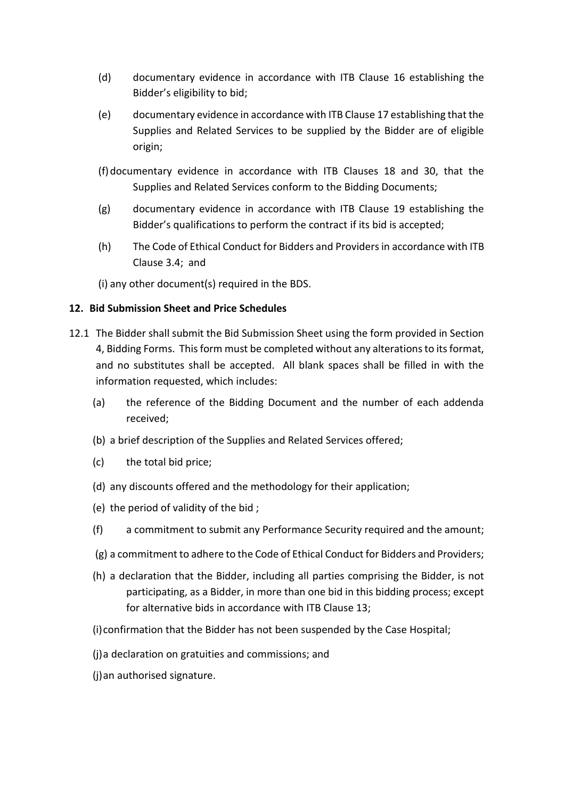- (d) documentary evidence in accordance with ITB Clause 16 establishing the Bidder's eligibility to bid;
- (e) documentary evidence in accordance with ITB Clause 17 establishing that the Supplies and Related Services to be supplied by the Bidder are of eligible origin;
- (f)documentary evidence in accordance with ITB Clauses 18 and 30, that the Supplies and Related Services conform to the Bidding Documents;
- (g) documentary evidence in accordance with ITB Clause 19 establishing the Bidder's qualifications to perform the contract if its bid is accepted;
- (h) The Code of Ethical Conduct for Bidders and Providers in accordance with ITB Clause 3.4; and

(i) any other document(s) required in the BDS.

# **12. Bid Submission Sheet and Price Schedules**

- 12.1 The Bidder shall submit the Bid Submission Sheet using the form provided in Section 4, Bidding Forms. This form must be completed without any alterations to its format, and no substitutes shall be accepted. All blank spaces shall be filled in with the information requested, which includes:
	- (a) the reference of the Bidding Document and the number of each addenda received;
	- (b) a brief description of the Supplies and Related Services offered;
	- (c) the total bid price;
	- (d) any discounts offered and the methodology for their application;
	- (e) the period of validity of the bid ;
	- (f) a commitment to submit any Performance Security required and the amount;
	- (g) a commitment to adhere to the Code of Ethical Conduct for Bidders and Providers;
	- (h) a declaration that the Bidder, including all parties comprising the Bidder, is not participating, as a Bidder, in more than one bid in this bidding process; except for alternative bids in accordance with ITB Clause 13;
	- (i)confirmation that the Bidder has not been suspended by the Case Hospital;
	- (j)a declaration on gratuities and commissions; and
	- (j)an authorised signature.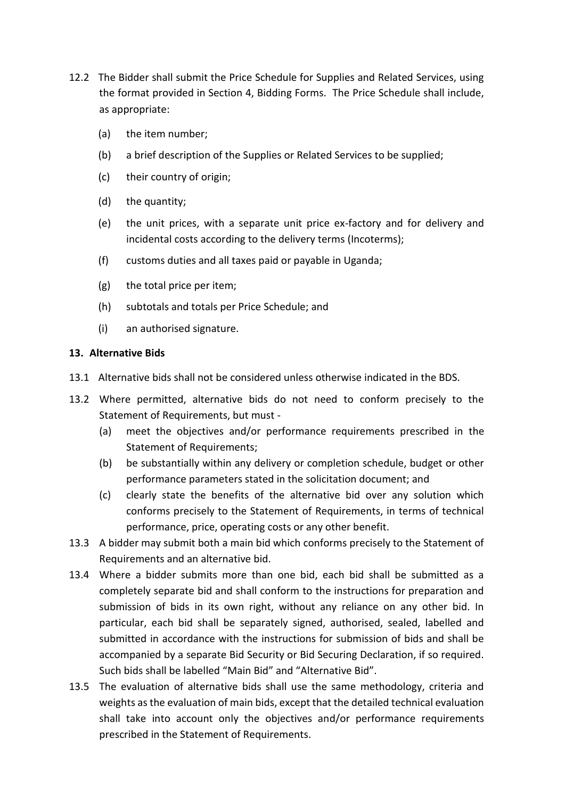- 12.2 The Bidder shall submit the Price Schedule for Supplies and Related Services, using the format provided in Section 4, Bidding Forms. The Price Schedule shall include, as appropriate:
	- (a) the item number;
	- (b) a brief description of the Supplies or Related Services to be supplied;
	- (c) their country of origin;
	- (d) the quantity;
	- (e) the unit prices, with a separate unit price ex-factory and for delivery and incidental costs according to the delivery terms (Incoterms);
	- (f) customs duties and all taxes paid or payable in Uganda;
	- (g) the total price per item;
	- (h) subtotals and totals per Price Schedule; and
	- (i) an authorised signature.

# **13. Alternative Bids**

- 13.1 Alternative bids shall not be considered unless otherwise indicated in the BDS.
- 13.2 Where permitted, alternative bids do not need to conform precisely to the Statement of Requirements, but must -
	- (a) meet the objectives and/or performance requirements prescribed in the Statement of Requirements;
	- (b) be substantially within any delivery or completion schedule, budget or other performance parameters stated in the solicitation document; and
	- (c) clearly state the benefits of the alternative bid over any solution which conforms precisely to the Statement of Requirements, in terms of technical performance, price, operating costs or any other benefit.
- 13.3 A bidder may submit both a main bid which conforms precisely to the Statement of Requirements and an alternative bid.
- 13.4 Where a bidder submits more than one bid, each bid shall be submitted as a completely separate bid and shall conform to the instructions for preparation and submission of bids in its own right, without any reliance on any other bid. In particular, each bid shall be separately signed, authorised, sealed, labelled and submitted in accordance with the instructions for submission of bids and shall be accompanied by a separate Bid Security or Bid Securing Declaration, if so required. Such bids shall be labelled "Main Bid" and "Alternative Bid".
- 13.5 The evaluation of alternative bids shall use the same methodology, criteria and weights as the evaluation of main bids, except that the detailed technical evaluation shall take into account only the objectives and/or performance requirements prescribed in the Statement of Requirements.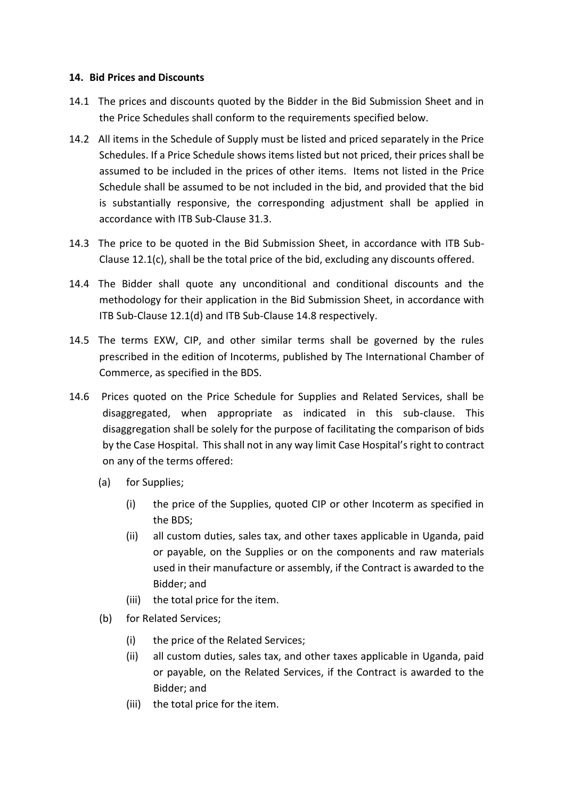#### **14. Bid Prices and Discounts**

- 14.1 The prices and discounts quoted by the Bidder in the Bid Submission Sheet and in the Price Schedules shall conform to the requirements specified below.
- 14.2 All items in the Schedule of Supply must be listed and priced separately in the Price Schedules. If a Price Schedule shows items listed but not priced, their prices shall be assumed to be included in the prices of other items. Items not listed in the Price Schedule shall be assumed to be not included in the bid, and provided that the bid is substantially responsive, the corresponding adjustment shall be applied in accordance with ITB Sub-Clause 31.3.
- 14.3 The price to be quoted in the Bid Submission Sheet, in accordance with ITB Sub-Clause 12.1(c), shall be the total price of the bid, excluding any discounts offered.
- 14.4 The Bidder shall quote any unconditional and conditional discounts and the methodology for their application in the Bid Submission Sheet, in accordance with ITB Sub-Clause 12.1(d) and ITB Sub-Clause 14.8 respectively.
- 14.5 The terms EXW, CIP, and other similar terms shall be governed by the rules prescribed in the edition of Incoterms, published by The International Chamber of Commerce, as specified in the BDS.
- 14.6 Prices quoted on the Price Schedule for Supplies and Related Services, shall be disaggregated, when appropriate as indicated in this sub-clause. This disaggregation shall be solely for the purpose of facilitating the comparison of bids by the Case Hospital. This shall not in any way limit Case Hospital's right to contract on any of the terms offered:
	- (a) for Supplies;
		- (i) the price of the Supplies, quoted CIP or other Incoterm as specified in the BDS;
		- (ii) all custom duties, sales tax, and other taxes applicable in Uganda, paid or payable, on the Supplies or on the components and raw materials used in their manufacture or assembly, if the Contract is awarded to the Bidder; and
		- (iii) the total price for the item.
	- (b) for Related Services;
		- (i) the price of the Related Services;
		- (ii) all custom duties, sales tax, and other taxes applicable in Uganda, paid or payable, on the Related Services, if the Contract is awarded to the Bidder; and
		- (iii) the total price for the item.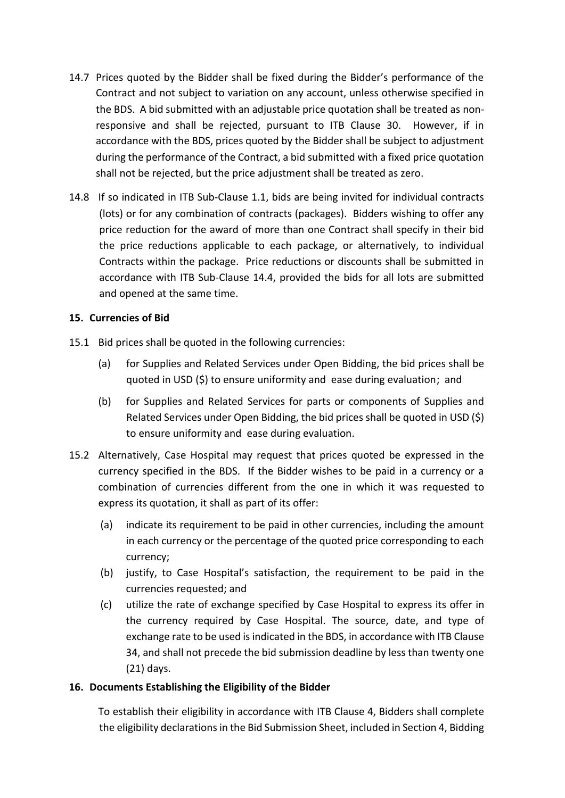- 14.7 Prices quoted by the Bidder shall be fixed during the Bidder's performance of the Contract and not subject to variation on any account, unless otherwise specified in the BDS. A bid submitted with an adjustable price quotation shall be treated as nonresponsive and shall be rejected, pursuant to ITB Clause 30. However, if in accordance with the BDS, prices quoted by the Bidder shall be subject to adjustment during the performance of the Contract, a bid submitted with a fixed price quotation shall not be rejected, but the price adjustment shall be treated as zero.
- 14.8 If so indicated in ITB Sub-Clause 1.1, bids are being invited for individual contracts (lots) or for any combination of contracts (packages). Bidders wishing to offer any price reduction for the award of more than one Contract shall specify in their bid the price reductions applicable to each package, or alternatively, to individual Contracts within the package. Price reductions or discounts shall be submitted in accordance with ITB Sub-Clause 14.4, provided the bids for all lots are submitted and opened at the same time.

#### **15. Currencies of Bid**

- 15.1 Bid prices shall be quoted in the following currencies:
	- (a) for Supplies and Related Services under Open Bidding, the bid prices shall be quoted in USD (\$) to ensure uniformity and ease during evaluation; and
	- (b) for Supplies and Related Services for parts or components of Supplies and Related Services under Open Bidding, the bid prices shall be quoted in USD (\$) to ensure uniformity and ease during evaluation.
- 15.2 Alternatively, Case Hospital may request that prices quoted be expressed in the currency specified in the BDS. If the Bidder wishes to be paid in a currency or a combination of currencies different from the one in which it was requested to express its quotation, it shall as part of its offer:
	- (a) indicate its requirement to be paid in other currencies, including the amount in each currency or the percentage of the quoted price corresponding to each currency;
	- (b) justify, to Case Hospital's satisfaction, the requirement to be paid in the currencies requested; and
	- (c) utilize the rate of exchange specified by Case Hospital to express its offer in the currency required by Case Hospital. The source, date, and type of exchange rate to be used is indicated in the BDS, in accordance with ITB Clause 34, and shall not precede the bid submission deadline by less than twenty one (21) days.

# **16. Documents Establishing the Eligibility of the Bidder**

To establish their eligibility in accordance with ITB Clause 4, Bidders shall complete the eligibility declarations in the Bid Submission Sheet, included in Section 4, Bidding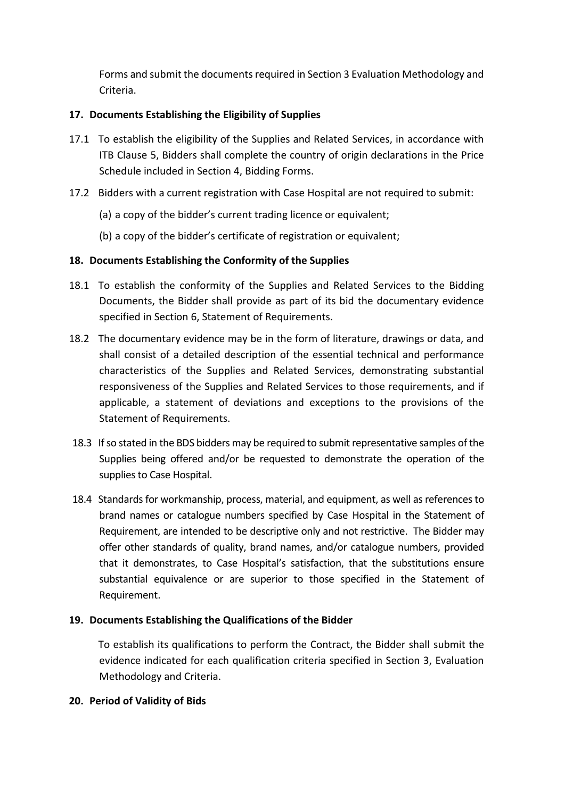Forms and submit the documents required in Section 3 Evaluation Methodology and Criteria.

# **17. Documents Establishing the Eligibility of Supplies**

- 17.1 To establish the eligibility of the Supplies and Related Services, in accordance with ITB Clause 5, Bidders shall complete the country of origin declarations in the Price Schedule included in Section 4, Bidding Forms.
- 17.2 Bidders with a current registration with Case Hospital are not required to submit:
	- (a) a copy of the bidder's current trading licence or equivalent;
	- (b) a copy of the bidder's certificate of registration or equivalent;

# **18. Documents Establishing the Conformity of the Supplies**

- 18.1 To establish the conformity of the Supplies and Related Services to the Bidding Documents, the Bidder shall provide as part of its bid the documentary evidence specified in Section 6, Statement of Requirements.
- 18.2 The documentary evidence may be in the form of literature, drawings or data, and shall consist of a detailed description of the essential technical and performance characteristics of the Supplies and Related Services, demonstrating substantial responsiveness of the Supplies and Related Services to those requirements, and if applicable, a statement of deviations and exceptions to the provisions of the Statement of Requirements.
- 18.3 If so stated in the BDS bidders may be required to submit representative samples of the Supplies being offered and/or be requested to demonstrate the operation of the supplies to Case Hospital.
- 18.4 Standards for workmanship, process, material, and equipment, as well as references to brand names or catalogue numbers specified by Case Hospital in the Statement of Requirement, are intended to be descriptive only and not restrictive. The Bidder may offer other standards of quality, brand names, and/or catalogue numbers, provided that it demonstrates, to Case Hospital's satisfaction, that the substitutions ensure substantial equivalence or are superior to those specified in the Statement of Requirement.

# **19. Documents Establishing the Qualifications of the Bidder**

To establish its qualifications to perform the Contract, the Bidder shall submit the evidence indicated for each qualification criteria specified in Section 3, Evaluation Methodology and Criteria.

# **20. Period of Validity of Bids**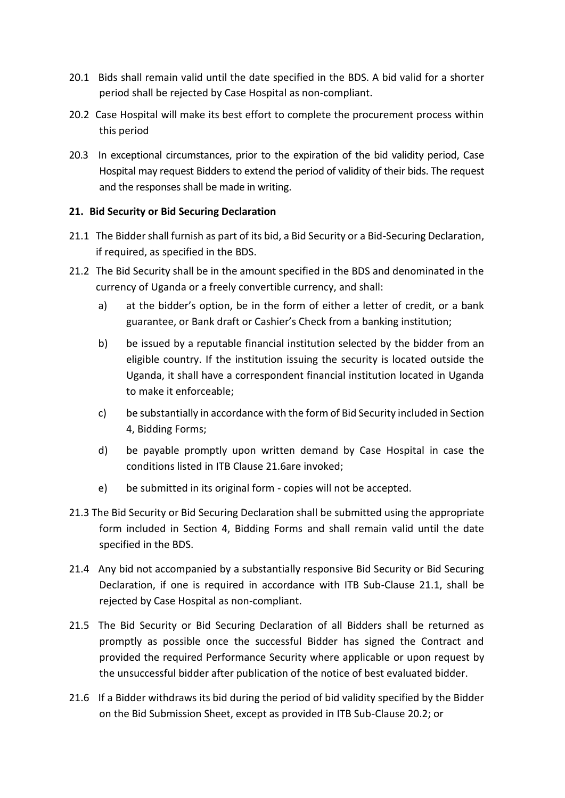- 20.1 Bids shall remain valid until the date specified in the BDS. A bid valid for a shorter period shall be rejected by Case Hospital as non-compliant.
- 20.2 Case Hospital will make its best effort to complete the procurement process within this period
- 20.3 In exceptional circumstances, prior to the expiration of the bid validity period, Case Hospital may request Bidders to extend the period of validity of their bids. The request and the responses shall be made in writing.

# **21. Bid Security or Bid Securing Declaration**

- 21.1 The Bidder shall furnish as part of its bid, a Bid Security or a Bid-Securing Declaration, if required, as specified in the BDS.
- 21.2 The Bid Security shall be in the amount specified in the BDS and denominated in the currency of Uganda or a freely convertible currency, and shall:
	- a) at the bidder's option, be in the form of either a letter of credit, or a bank guarantee, or Bank draft or Cashier's Check from a banking institution;
	- b) be issued by a reputable financial institution selected by the bidder from an eligible country. If the institution issuing the security is located outside the Uganda, it shall have a correspondent financial institution located in Uganda to make it enforceable;
	- c) be substantially in accordance with the form of Bid Security included in Section 4, Bidding Forms;
	- d) be payable promptly upon written demand by Case Hospital in case the conditions listed in ITB Clause 21.6are invoked;
	- e) be submitted in its original form copies will not be accepted.
- 21.3 The Bid Security or Bid Securing Declaration shall be submitted using the appropriate form included in Section 4, Bidding Forms and shall remain valid until the date specified in the BDS.
- 21.4 Any bid not accompanied by a substantially responsive Bid Security or Bid Securing Declaration, if one is required in accordance with ITB Sub-Clause 21.1, shall be rejected by Case Hospital as non-compliant.
- 21.5 The Bid Security or Bid Securing Declaration of all Bidders shall be returned as promptly as possible once the successful Bidder has signed the Contract and provided the required Performance Security where applicable or upon request by the unsuccessful bidder after publication of the notice of best evaluated bidder.
- 21.6 If a Bidder withdraws its bid during the period of bid validity specified by the Bidder on the Bid Submission Sheet, except as provided in ITB Sub-Clause 20.2; or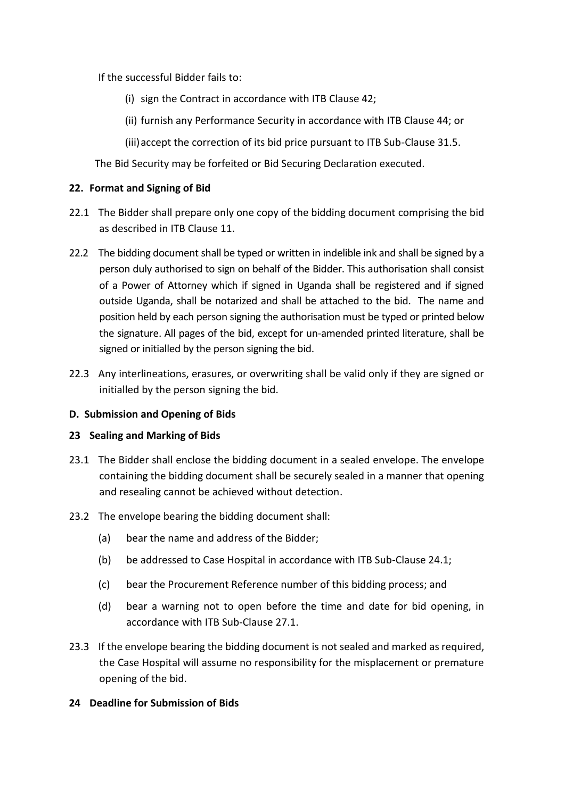If the successful Bidder fails to:

- (i) sign the Contract in accordance with ITB Clause 42;
- (ii) furnish any Performance Security in accordance with ITB Clause 44; or
- (iii)accept the correction of its bid price pursuant to ITB Sub-Clause 31.5.

The Bid Security may be forfeited or Bid Securing Declaration executed.

#### **22. Format and Signing of Bid**

- 22.1 The Bidder shall prepare only one copy of the bidding document comprising the bid as described in ITB Clause 11.
- 22.2 The bidding document shall be typed or written in indelible ink and shall be signed by a person duly authorised to sign on behalf of the Bidder. This authorisation shall consist of a Power of Attorney which if signed in Uganda shall be registered and if signed outside Uganda, shall be notarized and shall be attached to the bid. The name and position held by each person signing the authorisation must be typed or printed below the signature. All pages of the bid, except for un-amended printed literature, shall be signed or initialled by the person signing the bid.
- 22.3 Any interlineations, erasures, or overwriting shall be valid only if they are signed or initialled by the person signing the bid.

#### **D. Submission and Opening of Bids**

#### **23 Sealing and Marking of Bids**

- 23.1 The Bidder shall enclose the bidding document in a sealed envelope. The envelope containing the bidding document shall be securely sealed in a manner that opening and resealing cannot be achieved without detection.
- 23.2 The envelope bearing the bidding document shall:
	- (a) bear the name and address of the Bidder;
	- (b) be addressed to Case Hospital in accordance with ITB Sub-Clause 24.1;
	- (c) bear the Procurement Reference number of this bidding process; and
	- (d) bear a warning not to open before the time and date for bid opening, in accordance with ITB Sub-Clause 27.1.
- 23.3 If the envelope bearing the bidding document is not sealed and marked as required, the Case Hospital will assume no responsibility for the misplacement or premature opening of the bid.

#### **24 Deadline for Submission of Bids**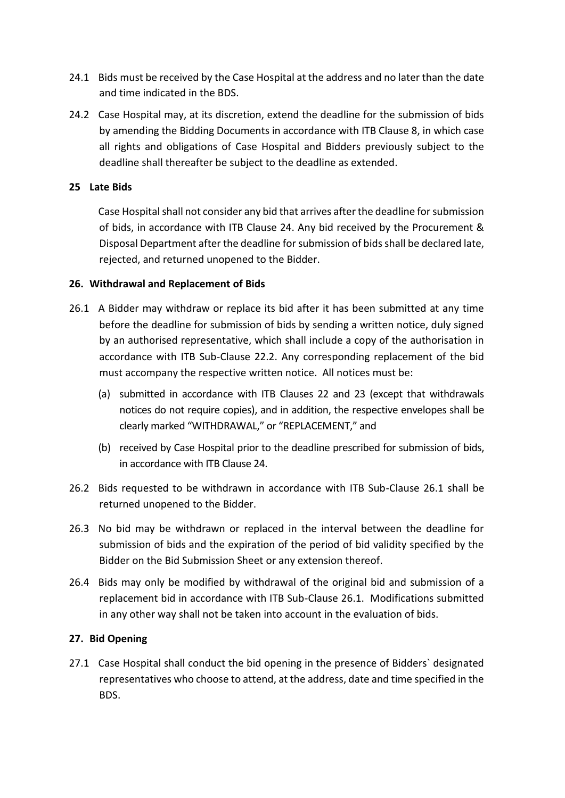- 24.1 Bids must be received by the Case Hospital at the address and no later than the date and time indicated in the BDS.
- 24.2 Case Hospital may, at its discretion, extend the deadline for the submission of bids by amending the Bidding Documents in accordance with ITB Clause 8, in which case all rights and obligations of Case Hospital and Bidders previously subject to the deadline shall thereafter be subject to the deadline as extended.

### **25 Late Bids**

Case Hospital shall not consider any bid that arrives after the deadline for submission of bids, in accordance with ITB Clause 24. Any bid received by the Procurement & Disposal Department after the deadline for submission of bids shall be declared late, rejected, and returned unopened to the Bidder.

#### **26. Withdrawal and Replacement of Bids**

- 26.1 A Bidder may withdraw or replace its bid after it has been submitted at any time before the deadline for submission of bids by sending a written notice, duly signed by an authorised representative, which shall include a copy of the authorisation in accordance with ITB Sub-Clause 22.2. Any corresponding replacement of the bid must accompany the respective written notice. All notices must be:
	- (a) submitted in accordance with ITB Clauses 22 and 23 (except that withdrawals notices do not require copies), and in addition, the respective envelopes shall be clearly marked "WITHDRAWAL," or "REPLACEMENT," and
	- (b) received by Case Hospital prior to the deadline prescribed for submission of bids, in accordance with ITB Clause 24.
- 26.2 Bids requested to be withdrawn in accordance with ITB Sub-Clause 26.1 shall be returned unopened to the Bidder.
- 26.3 No bid may be withdrawn or replaced in the interval between the deadline for submission of bids and the expiration of the period of bid validity specified by the Bidder on the Bid Submission Sheet or any extension thereof.
- 26.4 Bids may only be modified by withdrawal of the original bid and submission of a replacement bid in accordance with ITB Sub-Clause 26.1. Modifications submitted in any other way shall not be taken into account in the evaluation of bids.

#### **27. Bid Opening**

27.1 Case Hospital shall conduct the bid opening in the presence of Bidders` designated representatives who choose to attend, at the address, date and time specified in the BDS.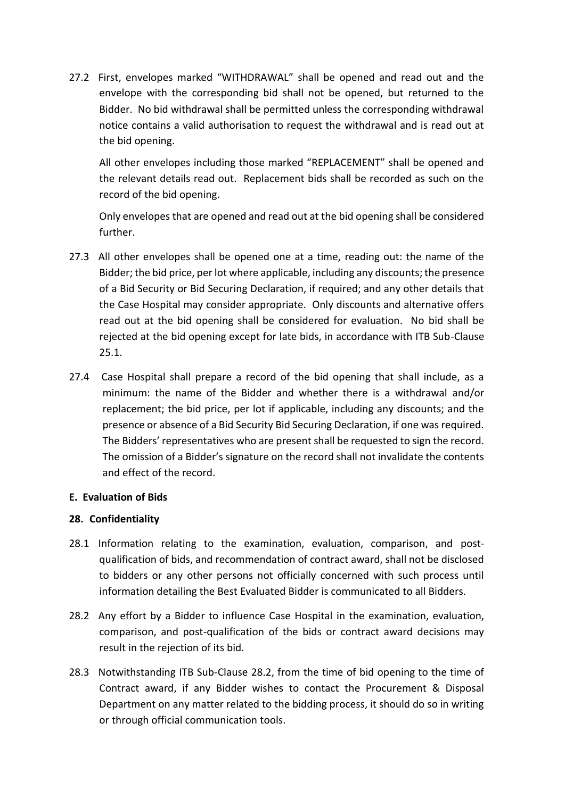27.2 First, envelopes marked "WITHDRAWAL" shall be opened and read out and the envelope with the corresponding bid shall not be opened, but returned to the Bidder. No bid withdrawal shall be permitted unless the corresponding withdrawal notice contains a valid authorisation to request the withdrawal and is read out at the bid opening.

All other envelopes including those marked "REPLACEMENT" shall be opened and the relevant details read out. Replacement bids shall be recorded as such on the record of the bid opening.

Only envelopes that are opened and read out at the bid opening shall be considered further.

- 27.3 All other envelopes shall be opened one at a time, reading out: the name of the Bidder; the bid price, per lot where applicable, including any discounts; the presence of a Bid Security or Bid Securing Declaration, if required; and any other details that the Case Hospital may consider appropriate. Only discounts and alternative offers read out at the bid opening shall be considered for evaluation. No bid shall be rejected at the bid opening except for late bids, in accordance with ITB Sub-Clause 25.1.
- 27.4 Case Hospital shall prepare a record of the bid opening that shall include, as a minimum: the name of the Bidder and whether there is a withdrawal and/or replacement; the bid price, per lot if applicable, including any discounts; and the presence or absence of a Bid Security Bid Securing Declaration, if one was required. The Bidders' representatives who are present shall be requested to sign the record. The omission of a Bidder's signature on the record shall not invalidate the contents and effect of the record.

#### **E. Evaluation of Bids**

# **28. Confidentiality**

- 28.1 Information relating to the examination, evaluation, comparison, and postqualification of bids, and recommendation of contract award, shall not be disclosed to bidders or any other persons not officially concerned with such process until information detailing the Best Evaluated Bidder is communicated to all Bidders.
- 28.2 Any effort by a Bidder to influence Case Hospital in the examination, evaluation, comparison, and post-qualification of the bids or contract award decisions may result in the rejection of its bid.
- 28.3 Notwithstanding ITB Sub-Clause 28.2, from the time of bid opening to the time of Contract award, if any Bidder wishes to contact the Procurement & Disposal Department on any matter related to the bidding process, it should do so in writing or through official communication tools.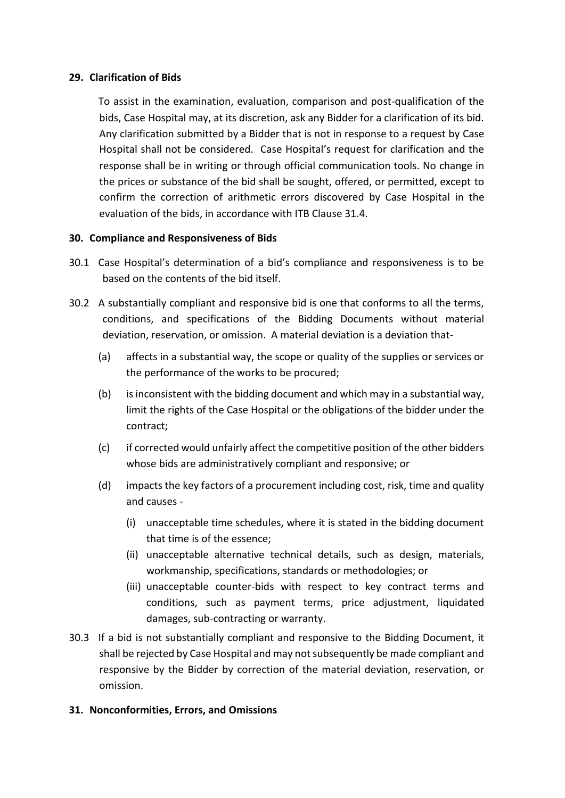#### **29. Clarification of Bids**

To assist in the examination, evaluation, comparison and post-qualification of the bids, Case Hospital may, at its discretion, ask any Bidder for a clarification of its bid. Any clarification submitted by a Bidder that is not in response to a request by Case Hospital shall not be considered. Case Hospital's request for clarification and the response shall be in writing or through official communication tools. No change in the prices or substance of the bid shall be sought, offered, or permitted, except to confirm the correction of arithmetic errors discovered by Case Hospital in the evaluation of the bids, in accordance with ITB Clause 31.4.

#### **30. Compliance and Responsiveness of Bids**

- 30.1 Case Hospital's determination of a bid's compliance and responsiveness is to be based on the contents of the bid itself.
- 30.2 A substantially compliant and responsive bid is one that conforms to all the terms, conditions, and specifications of the Bidding Documents without material deviation, reservation, or omission. A material deviation is a deviation that-
	- (a) affects in a substantial way, the scope or quality of the supplies or services or the performance of the works to be procured;
	- (b) is inconsistent with the bidding document and which may in a substantial way, limit the rights of the Case Hospital or the obligations of the bidder under the contract;
	- (c) if corrected would unfairly affect the competitive position of the other bidders whose bids are administratively compliant and responsive; or
	- (d) impacts the key factors of a procurement including cost, risk, time and quality and causes -
		- (i) unacceptable time schedules, where it is stated in the bidding document that time is of the essence;
		- (ii) unacceptable alternative technical details, such as design, materials, workmanship, specifications, standards or methodologies; or
		- (iii) unacceptable counter-bids with respect to key contract terms and conditions, such as payment terms, price adjustment, liquidated damages, sub-contracting or warranty.
- 30.3 If a bid is not substantially compliant and responsive to the Bidding Document, it shall be rejected by Case Hospital and may not subsequently be made compliant and responsive by the Bidder by correction of the material deviation, reservation, or omission.

# **31. Nonconformities, Errors, and Omissions**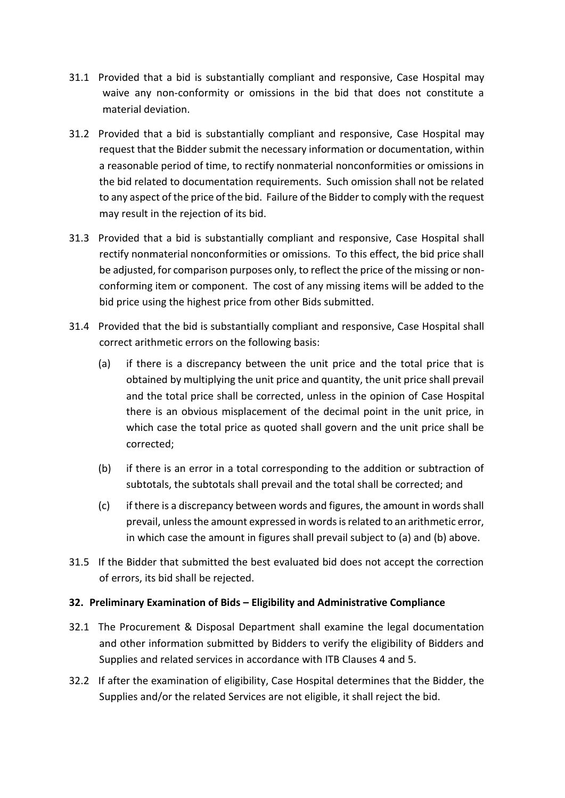- 31.1 Provided that a bid is substantially compliant and responsive, Case Hospital may waive any non-conformity or omissions in the bid that does not constitute a material deviation.
- 31.2 Provided that a bid is substantially compliant and responsive, Case Hospital may request that the Bidder submit the necessary information or documentation, within a reasonable period of time, to rectify nonmaterial nonconformities or omissions in the bid related to documentation requirements. Such omission shall not be related to any aspect of the price of the bid. Failure of the Bidder to comply with the request may result in the rejection of its bid.
- 31.3 Provided that a bid is substantially compliant and responsive, Case Hospital shall rectify nonmaterial nonconformities or omissions. To this effect, the bid price shall be adjusted, for comparison purposes only, to reflect the price of the missing or nonconforming item or component. The cost of any missing items will be added to the bid price using the highest price from other Bids submitted.
- 31.4 Provided that the bid is substantially compliant and responsive, Case Hospital shall correct arithmetic errors on the following basis:
	- (a) if there is a discrepancy between the unit price and the total price that is obtained by multiplying the unit price and quantity, the unit price shall prevail and the total price shall be corrected, unless in the opinion of Case Hospital there is an obvious misplacement of the decimal point in the unit price, in which case the total price as quoted shall govern and the unit price shall be corrected;
	- (b) if there is an error in a total corresponding to the addition or subtraction of subtotals, the subtotals shall prevail and the total shall be corrected; and
	- (c) if there is a discrepancy between words and figures, the amount in words shall prevail, unless the amount expressed in words is related to an arithmetic error, in which case the amount in figures shall prevail subject to (a) and (b) above.
- 31.5 If the Bidder that submitted the best evaluated bid does not accept the correction of errors, its bid shall be rejected.

# **32. Preliminary Examination of Bids – Eligibility and Administrative Compliance**

- 32.1 The Procurement & Disposal Department shall examine the legal documentation and other information submitted by Bidders to verify the eligibility of Bidders and Supplies and related services in accordance with ITB Clauses 4 and 5.
- 32.2 If after the examination of eligibility, Case Hospital determines that the Bidder, the Supplies and/or the related Services are not eligible, it shall reject the bid.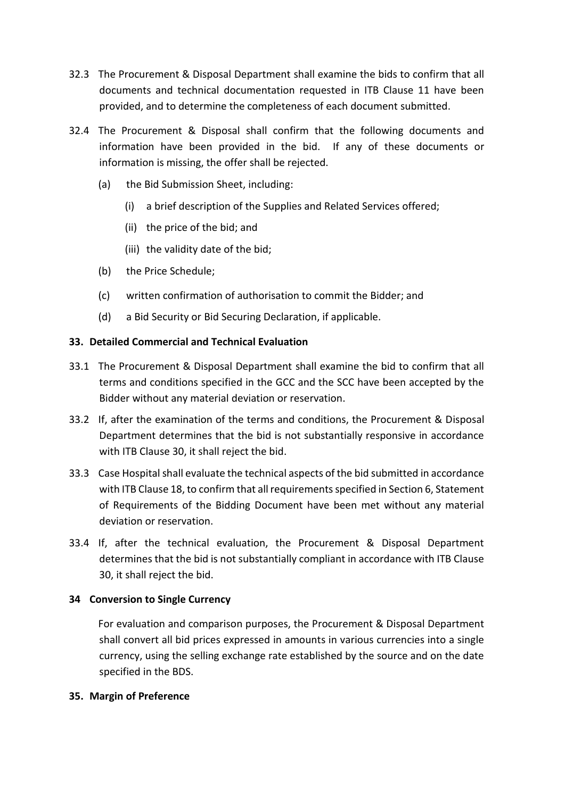- 32.3 The Procurement & Disposal Department shall examine the bids to confirm that all documents and technical documentation requested in ITB Clause 11 have been provided, and to determine the completeness of each document submitted.
- 32.4 The Procurement & Disposal shall confirm that the following documents and information have been provided in the bid. If any of these documents or information is missing, the offer shall be rejected.
	- (a) the Bid Submission Sheet, including:
		- (i) a brief description of the Supplies and Related Services offered;
		- (ii) the price of the bid; and
		- (iii) the validity date of the bid;
	- (b) the Price Schedule;
	- (c) written confirmation of authorisation to commit the Bidder; and
	- (d) a Bid Security or Bid Securing Declaration, if applicable.

# **33. Detailed Commercial and Technical Evaluation**

- 33.1 The Procurement & Disposal Department shall examine the bid to confirm that all terms and conditions specified in the GCC and the SCC have been accepted by the Bidder without any material deviation or reservation.
- 33.2 If, after the examination of the terms and conditions, the Procurement & Disposal Department determines that the bid is not substantially responsive in accordance with ITB Clause 30, it shall reject the bid.
- 33.3 Case Hospital shall evaluate the technical aspects of the bid submitted in accordance with ITB Clause 18, to confirm that all requirements specified in Section 6, Statement of Requirements of the Bidding Document have been met without any material deviation or reservation.
- 33.4 If, after the technical evaluation, the Procurement & Disposal Department determines that the bid is not substantially compliant in accordance with ITB Clause 30, it shall reject the bid.

# **34 Conversion to Single Currency**

For evaluation and comparison purposes, the Procurement & Disposal Department shall convert all bid prices expressed in amounts in various currencies into a single currency, using the selling exchange rate established by the source and on the date specified in the BDS.

#### **35. Margin of Preference**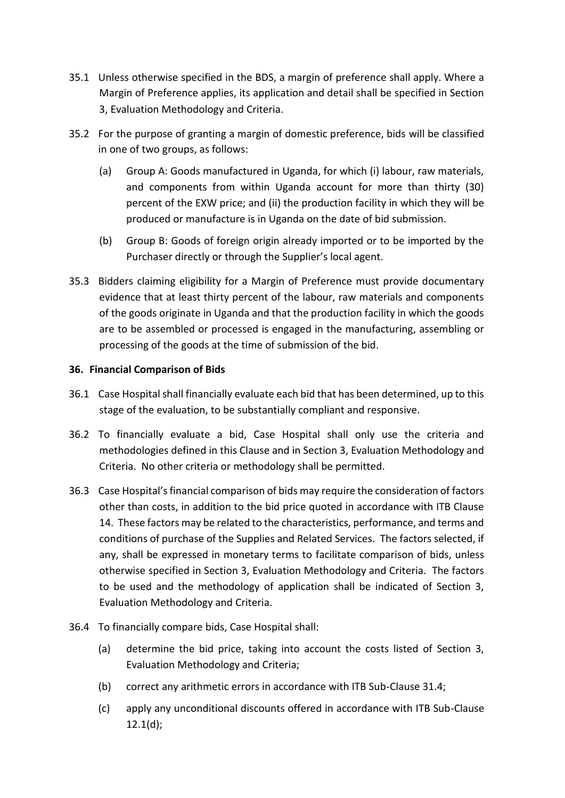- 35.1 Unless otherwise specified in the BDS, a margin of preference shall apply. Where a Margin of Preference applies, its application and detail shall be specified in Section 3, Evaluation Methodology and Criteria.
- 35.2 For the purpose of granting a margin of domestic preference, bids will be classified in one of two groups, as follows:
	- (a) Group A: Goods manufactured in Uganda, for which (i) labour, raw materials, and components from within Uganda account for more than thirty (30) percent of the EXW price; and (ii) the production facility in which they will be produced or manufacture is in Uganda on the date of bid submission.
	- (b) Group B: Goods of foreign origin already imported or to be imported by the Purchaser directly or through the Supplier's local agent.
- 35.3 Bidders claiming eligibility for a Margin of Preference must provide documentary evidence that at least thirty percent of the labour, raw materials and components of the goods originate in Uganda and that the production facility in which the goods are to be assembled or processed is engaged in the manufacturing, assembling or processing of the goods at the time of submission of the bid.

#### **36. Financial Comparison of Bids**

- 36.1 Case Hospital shall financially evaluate each bid that has been determined, up to this stage of the evaluation, to be substantially compliant and responsive.
- 36.2 To financially evaluate a bid, Case Hospital shall only use the criteria and methodologies defined in this Clause and in Section 3, Evaluation Methodology and Criteria. No other criteria or methodology shall be permitted.
- 36.3 Case Hospital's financial comparison of bids may require the consideration of factors other than costs, in addition to the bid price quoted in accordance with ITB Clause 14. These factors may be related to the characteristics, performance, and terms and conditions of purchase of the Supplies and Related Services. The factors selected, if any, shall be expressed in monetary terms to facilitate comparison of bids, unless otherwise specified in Section 3, Evaluation Methodology and Criteria. The factors to be used and the methodology of application shall be indicated of Section 3, Evaluation Methodology and Criteria.
- 36.4 To financially compare bids, Case Hospital shall:
	- (a) determine the bid price, taking into account the costs listed of Section 3, Evaluation Methodology and Criteria;
	- (b) correct any arithmetic errors in accordance with ITB Sub-Clause 31.4;
	- (c) apply any unconditional discounts offered in accordance with ITB Sub-Clause 12.1(d);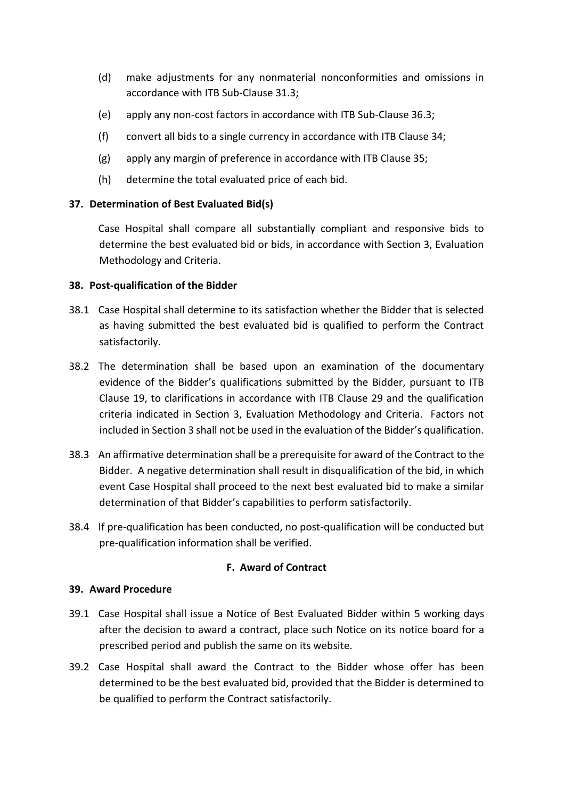- (d) make adjustments for any nonmaterial nonconformities and omissions in accordance with ITB Sub-Clause 31.3;
- (e) apply any non-cost factors in accordance with ITB Sub-Clause 36.3;
- (f) convert all bids to a single currency in accordance with ITB Clause 34;
- (g) apply any margin of preference in accordance with ITB Clause 35;
- (h) determine the total evaluated price of each bid.

#### **37. Determination of Best Evaluated Bid(s)**

Case Hospital shall compare all substantially compliant and responsive bids to determine the best evaluated bid or bids, in accordance with Section 3, Evaluation Methodology and Criteria.

#### **38. Post-qualification of the Bidder**

- 38.1 Case Hospital shall determine to its satisfaction whether the Bidder that is selected as having submitted the best evaluated bid is qualified to perform the Contract satisfactorily.
- 38.2 The determination shall be based upon an examination of the documentary evidence of the Bidder's qualifications submitted by the Bidder, pursuant to ITB Clause 19, to clarifications in accordance with ITB Clause 29 and the qualification criteria indicated in Section 3, Evaluation Methodology and Criteria. Factors not included in Section 3 shall not be used in the evaluation of the Bidder's qualification.
- 38.3 An affirmative determination shall be a prerequisite for award of the Contract to the Bidder. A negative determination shall result in disqualification of the bid, in which event Case Hospital shall proceed to the next best evaluated bid to make a similar determination of that Bidder's capabilities to perform satisfactorily.
- 38.4 If pre-qualification has been conducted, no post-qualification will be conducted but pre-qualification information shall be verified.

#### **F. Award of Contract**

#### **39. Award Procedure**

- 39.1 Case Hospital shall issue a Notice of Best Evaluated Bidder within 5 working days after the decision to award a contract, place such Notice on its notice board for a prescribed period and publish the same on its website.
- 39.2 Case Hospital shall award the Contract to the Bidder whose offer has been determined to be the best evaluated bid, provided that the Bidder is determined to be qualified to perform the Contract satisfactorily.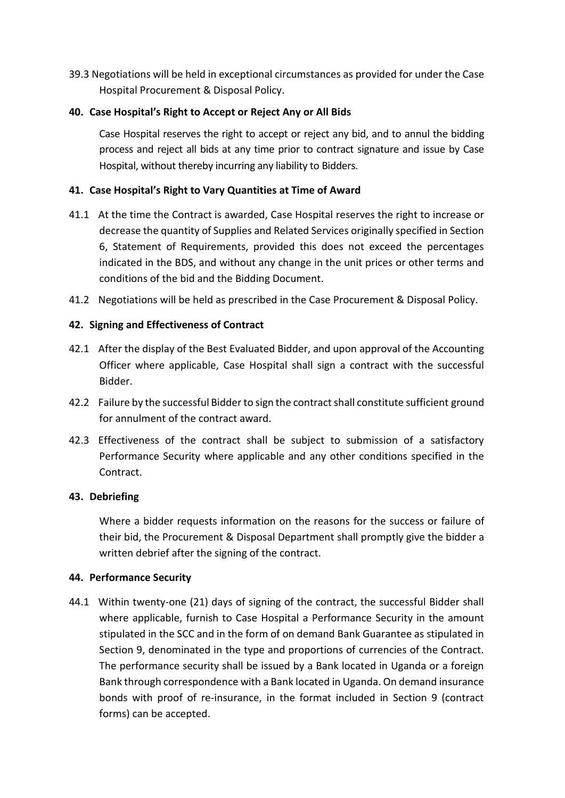39.3 Negotiations will be held in exceptional circumstances as provided for under the Case Hospital Procurement & Disposal Policy.

# **40. Case Hospital's Right to Accept or Reject Any or All Bids**

Case Hospital reserves the right to accept or reject any bid, and to annul the bidding process and reject all bids at any time prior to contract signature and issue by Case Hospital, without thereby incurring any liability to Bidders.

#### **41. Case Hospital's Right to Vary Quantities at Time of Award**

- 41.1 At the time the Contract is awarded, Case Hospital reserves the right to increase or decrease the quantity of Supplies and Related Services originally specified in Section 6, Statement of Requirements, provided this does not exceed the percentages indicated in the BDS, and without any change in the unit prices or other terms and conditions of the bid and the Bidding Document.
- 41.2 Negotiations will be held as prescribed in the Case Procurement & Disposal Policy.

#### **42. Signing and Effectiveness of Contract**

- 42.1 After the display of the Best Evaluated Bidder, and upon approval of the Accounting Officer where applicable, Case Hospital shall sign a contract with the successful Bidder.
- 42.2 Failure by the successful Bidder to sign the contract shall constitute sufficient ground for annulment of the contract award.
- 42.3 Effectiveness of the contract shall be subject to submission of a satisfactory Performance Security where applicable and any other conditions specified in the Contract.

#### **43. Debriefing**

Where a bidder requests information on the reasons for the success or failure of their bid, the Procurement & Disposal Department shall promptly give the bidder a written debrief after the signing of the contract.

#### **44. Performance Security**

44.1 Within twenty-one (21) days of signing of the contract, the successful Bidder shall where applicable, furnish to Case Hospital a Performance Security in the amount stipulated in the SCC and in the form of on demand Bank Guarantee as stipulated in Section 9, denominated in the type and proportions of currencies of the Contract. The performance security shall be issued by a Bank located in Uganda or a foreign Bank through correspondence with a Bank located in Uganda. On demand insurance bonds with proof of re-insurance, in the format included in Section 9 (contract forms) can be accepted.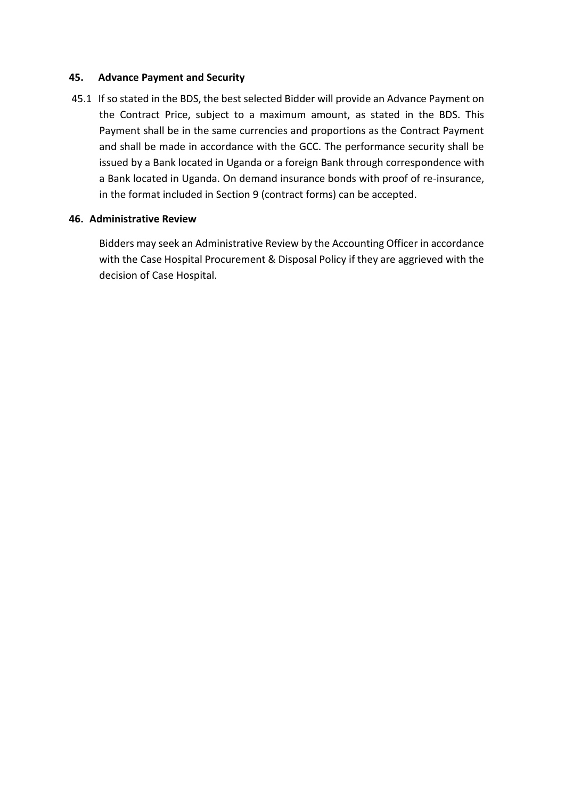#### **45. Advance Payment and Security**

45.1 If so stated in the BDS, the best selected Bidder will provide an Advance Payment on the Contract Price, subject to a maximum amount, as stated in the BDS. This Payment shall be in the same currencies and proportions as the Contract Payment and shall be made in accordance with the GCC. The performance security shall be issued by a Bank located in Uganda or a foreign Bank through correspondence with a Bank located in Uganda. On demand insurance bonds with proof of re-insurance, in the format included in Section 9 (contract forms) can be accepted.

#### **46. Administrative Review**

Bidders may seek an Administrative Review by the Accounting Officer in accordance with the Case Hospital Procurement & Disposal Policy if they are aggrieved with the decision of Case Hospital.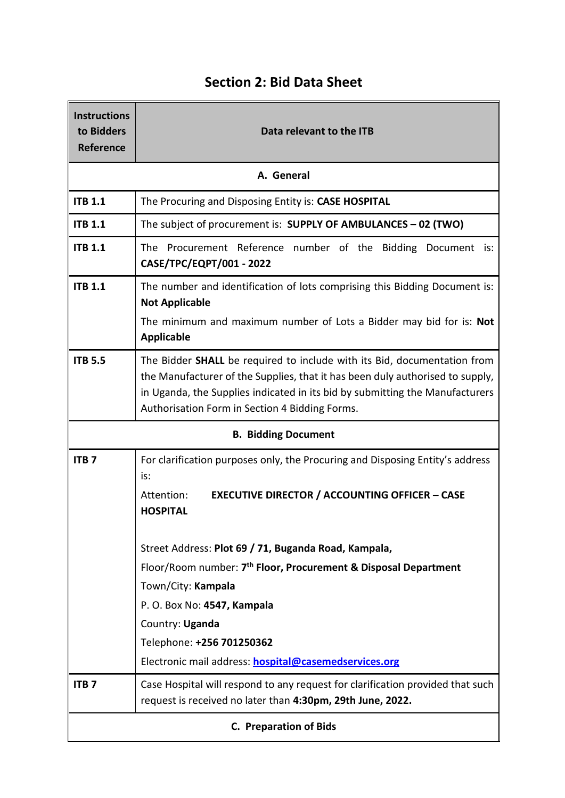| <b>Instructions</b><br>to Bidders<br>Reference | Data relevant to the ITB                                                                                                                                                                                                                                                                          |
|------------------------------------------------|---------------------------------------------------------------------------------------------------------------------------------------------------------------------------------------------------------------------------------------------------------------------------------------------------|
|                                                | A. General                                                                                                                                                                                                                                                                                        |
| <b>ITB 1.1</b>                                 | The Procuring and Disposing Entity is: CASE HOSPITAL                                                                                                                                                                                                                                              |
| <b>ITB 1.1</b>                                 | The subject of procurement is: SUPPLY OF AMBULANCES - 02 (TWO)                                                                                                                                                                                                                                    |
| <b>ITB 1.1</b>                                 | The Procurement Reference number of the Bidding Document is:<br>CASE/TPC/EQPT/001 - 2022                                                                                                                                                                                                          |
| <b>ITB 1.1</b>                                 | The number and identification of lots comprising this Bidding Document is:<br><b>Not Applicable</b><br>The minimum and maximum number of Lots a Bidder may bid for is: Not<br><b>Applicable</b>                                                                                                   |
| <b>ITB 5.5</b>                                 | The Bidder SHALL be required to include with its Bid, documentation from<br>the Manufacturer of the Supplies, that it has been duly authorised to supply,<br>in Uganda, the Supplies indicated in its bid by submitting the Manufacturers<br>Authorisation Form in Section 4 Bidding Forms.       |
|                                                | <b>B. Bidding Document</b>                                                                                                                                                                                                                                                                        |
| <b>ITB7</b>                                    | For clarification purposes only, the Procuring and Disposing Entity's address<br>is:<br><b>EXECUTIVE DIRECTOR / ACCOUNTING OFFICER - CASE</b><br>Attention:<br><b>HOSPITAL</b>                                                                                                                    |
|                                                | Street Address: Plot 69 / 71, Buganda Road, Kampala,<br>Floor/Room number: 7 <sup>th</sup> Floor, Procurement & Disposal Department<br>Town/City: Kampala<br>P. O. Box No: 4547, Kampala<br>Country: Uganda<br>Telephone: +256 701250362<br>Electronic mail address: hospital@casemedservices.org |
| ITB <sub>7</sub>                               | Case Hospital will respond to any request for clarification provided that such<br>request is received no later than 4:30pm, 29th June, 2022.                                                                                                                                                      |
| <b>C. Preparation of Bids</b>                  |                                                                                                                                                                                                                                                                                                   |

# **Section 2: Bid Data Sheet**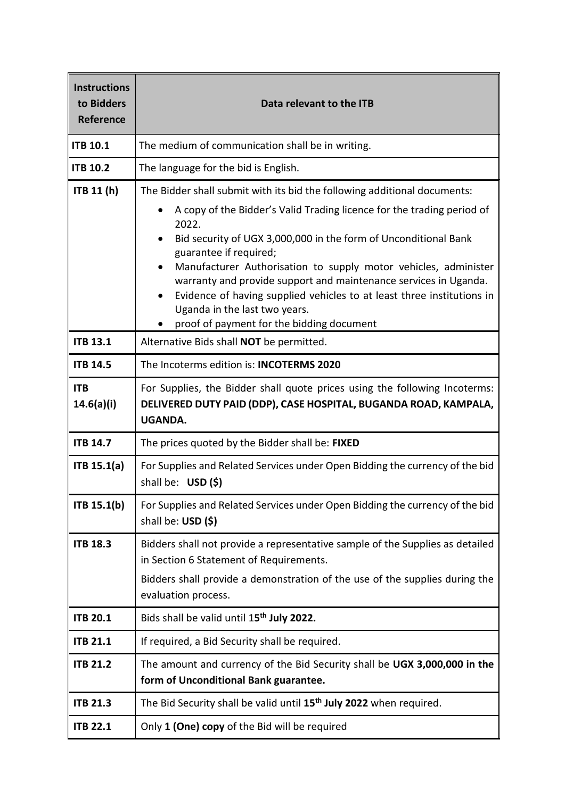| <b>Instructions</b><br>to Bidders<br>Reference | Data relevant to the ITB                                                                                                                                                                                                                                                                                                                                                                                                                                                                                                                                     |
|------------------------------------------------|--------------------------------------------------------------------------------------------------------------------------------------------------------------------------------------------------------------------------------------------------------------------------------------------------------------------------------------------------------------------------------------------------------------------------------------------------------------------------------------------------------------------------------------------------------------|
| <b>ITB 10.1</b>                                | The medium of communication shall be in writing.                                                                                                                                                                                                                                                                                                                                                                                                                                                                                                             |
| <b>ITB 10.2</b>                                | The language for the bid is English.                                                                                                                                                                                                                                                                                                                                                                                                                                                                                                                         |
| ITB 11 (h)                                     | The Bidder shall submit with its bid the following additional documents:<br>A copy of the Bidder's Valid Trading licence for the trading period of<br>2022.<br>Bid security of UGX 3,000,000 in the form of Unconditional Bank<br>guarantee if required;<br>Manufacturer Authorisation to supply motor vehicles, administer<br>٠<br>warranty and provide support and maintenance services in Uganda.<br>Evidence of having supplied vehicles to at least three institutions in<br>Uganda in the last two years.<br>proof of payment for the bidding document |
| <b>ITB 13.1</b>                                | Alternative Bids shall NOT be permitted.                                                                                                                                                                                                                                                                                                                                                                                                                                                                                                                     |
| <b>ITB 14.5</b>                                | The Incoterms edition is: <b>INCOTERMS 2020</b>                                                                                                                                                                                                                                                                                                                                                                                                                                                                                                              |
| <b>ITB</b><br>14.6(a)(i)                       | For Supplies, the Bidder shall quote prices using the following Incoterms:<br>DELIVERED DUTY PAID (DDP), CASE HOSPITAL, BUGANDA ROAD, KAMPALA,<br><b>UGANDA.</b>                                                                                                                                                                                                                                                                                                                                                                                             |
| <b>ITB 14.7</b>                                | The prices quoted by the Bidder shall be: FIXED                                                                                                                                                                                                                                                                                                                                                                                                                                                                                                              |
| ITB 15.1(a)                                    | For Supplies and Related Services under Open Bidding the currency of the bid<br>shall be: USD (\$)                                                                                                                                                                                                                                                                                                                                                                                                                                                           |
| ITB 15.1(b)                                    | For Supplies and Related Services under Open Bidding the currency of the bid<br>shall be: USD (\$)                                                                                                                                                                                                                                                                                                                                                                                                                                                           |
| <b>ITB 18.3</b>                                | Bidders shall not provide a representative sample of the Supplies as detailed<br>in Section 6 Statement of Requirements.<br>Bidders shall provide a demonstration of the use of the supplies during the<br>evaluation process.                                                                                                                                                                                                                                                                                                                               |
| <b>ITB 20.1</b>                                | Bids shall be valid until 15 <sup>th</sup> July 2022.                                                                                                                                                                                                                                                                                                                                                                                                                                                                                                        |
| <b>ITB 21.1</b>                                | If required, a Bid Security shall be required.                                                                                                                                                                                                                                                                                                                                                                                                                                                                                                               |
| <b>ITB 21.2</b>                                | The amount and currency of the Bid Security shall be UGX 3,000,000 in the<br>form of Unconditional Bank guarantee.                                                                                                                                                                                                                                                                                                                                                                                                                                           |
| <b>ITB 21.3</b>                                | The Bid Security shall be valid until 15 <sup>th</sup> July 2022 when required.                                                                                                                                                                                                                                                                                                                                                                                                                                                                              |
| <b>ITB 22.1</b>                                | Only 1 (One) copy of the Bid will be required                                                                                                                                                                                                                                                                                                                                                                                                                                                                                                                |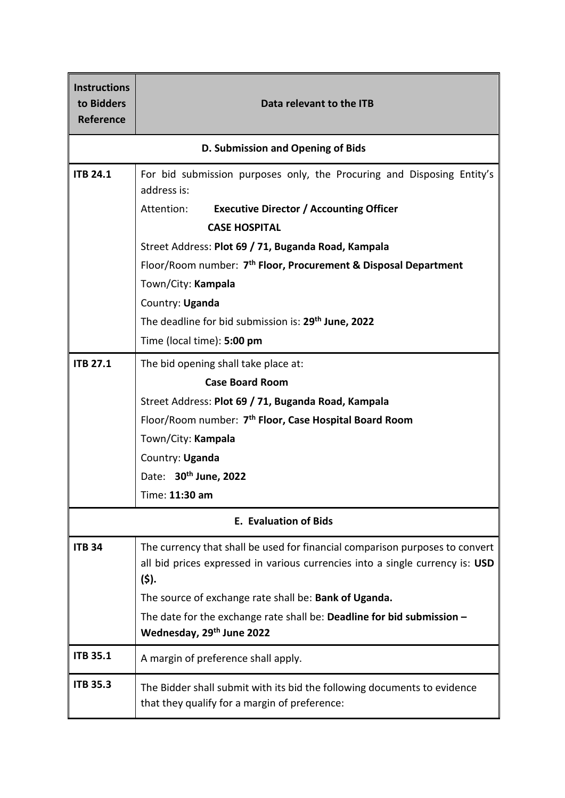| <b>Instructions</b><br>to Bidders<br>Reference | Data relevant to the ITB                                                                                                                                              |
|------------------------------------------------|-----------------------------------------------------------------------------------------------------------------------------------------------------------------------|
|                                                | D. Submission and Opening of Bids                                                                                                                                     |
| <b>ITB 24.1</b>                                | For bid submission purposes only, the Procuring and Disposing Entity's<br>address is:                                                                                 |
|                                                | <b>Executive Director / Accounting Officer</b><br>Attention:<br><b>CASE HOSPITAL</b>                                                                                  |
|                                                | Street Address: Plot 69 / 71, Buganda Road, Kampala                                                                                                                   |
|                                                | Floor/Room number: 7 <sup>th</sup> Floor, Procurement & Disposal Department                                                                                           |
|                                                | Town/City: Kampala                                                                                                                                                    |
|                                                | Country: Uganda                                                                                                                                                       |
|                                                | The deadline for bid submission is: 29 <sup>th</sup> June, 2022                                                                                                       |
|                                                | Time (local time): 5:00 pm                                                                                                                                            |
| <b>ITB 27.1</b>                                | The bid opening shall take place at:                                                                                                                                  |
|                                                | <b>Case Board Room</b>                                                                                                                                                |
|                                                | Street Address: Plot 69 / 71, Buganda Road, Kampala                                                                                                                   |
|                                                | Floor/Room number: 7 <sup>th</sup> Floor, Case Hospital Board Room                                                                                                    |
|                                                | Town/City: Kampala                                                                                                                                                    |
|                                                | Country: Uganda                                                                                                                                                       |
|                                                | Date: 30th June, 2022                                                                                                                                                 |
|                                                | Time: 11:30 am                                                                                                                                                        |
|                                                | <b>E. Evaluation of Bids</b>                                                                                                                                          |
| <b>ITB 34</b>                                  | The currency that shall be used for financial comparison purposes to convert<br>all bid prices expressed in various currencies into a single currency is: USD<br>(5). |
|                                                | The source of exchange rate shall be: Bank of Uganda.                                                                                                                 |
|                                                | The date for the exchange rate shall be: Deadline for bid submission $-$<br>Wednesday, 29th June 2022                                                                 |
| <b>ITB 35.1</b>                                | A margin of preference shall apply.                                                                                                                                   |
| <b>ITB 35.3</b>                                | The Bidder shall submit with its bid the following documents to evidence<br>that they qualify for a margin of preference:                                             |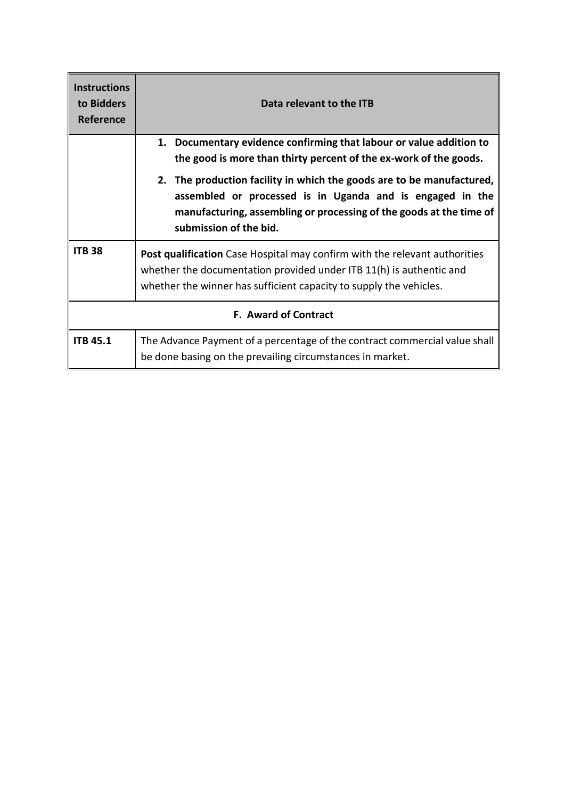| <b>Instructions</b><br>to Bidders<br><b>Reference</b> | Data relevant to the ITB                                                                                                                                                                                                            |
|-------------------------------------------------------|-------------------------------------------------------------------------------------------------------------------------------------------------------------------------------------------------------------------------------------|
|                                                       | Documentary evidence confirming that labour or value addition to<br>1.<br>the good is more than thirty percent of the ex-work of the goods.                                                                                         |
|                                                       | 2. The production facility in which the goods are to be manufactured,<br>assembled or processed is in Uganda and is engaged in the<br>manufacturing, assembling or processing of the goods at the time of<br>submission of the bid. |
| <b>ITB 38</b>                                         | Post qualification Case Hospital may confirm with the relevant authorities<br>whether the documentation provided under ITB 11(h) is authentic and<br>whether the winner has sufficient capacity to supply the vehicles.             |
| <b>F. Award of Contract</b>                           |                                                                                                                                                                                                                                     |
| <b>ITB 45.1</b>                                       | The Advance Payment of a percentage of the contract commercial value shall<br>be done basing on the prevailing circumstances in market.                                                                                             |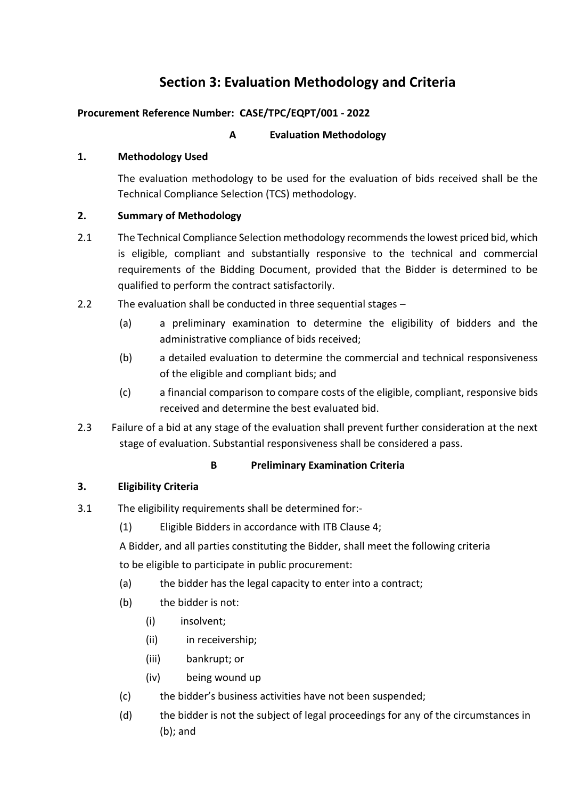# **Section 3: Evaluation Methodology and Criteria**

# **Procurement Reference Number: CASE/TPC/EQPT/001 - 2022**

# **A Evaluation Methodology**

# **1. Methodology Used**

The evaluation methodology to be used for the evaluation of bids received shall be the Technical Compliance Selection (TCS) methodology.

# **2. Summary of Methodology**

- 2.1 The Technical Compliance Selection methodology recommends the lowest priced bid, which is eligible, compliant and substantially responsive to the technical and commercial requirements of the Bidding Document, provided that the Bidder is determined to be qualified to perform the contract satisfactorily.
- 2.2 The evaluation shall be conducted in three sequential stages
	- (a) a preliminary examination to determine the eligibility of bidders and the administrative compliance of bids received;
	- (b) a detailed evaluation to determine the commercial and technical responsiveness of the eligible and compliant bids; and
	- (c) a financial comparison to compare costs of the eligible, compliant, responsive bids received and determine the best evaluated bid.
- 2.3 Failure of a bid at any stage of the evaluation shall prevent further consideration at the next stage of evaluation. Substantial responsiveness shall be considered a pass.

# **B Preliminary Examination Criteria**

# **3. Eligibility Criteria**

- 3.1 The eligibility requirements shall be determined for:-
	- (1) Eligible Bidders in accordance with ITB Clause 4;
	- A Bidder, and all parties constituting the Bidder, shall meet the following criteria to be eligible to participate in public procurement:
	- (a) the bidder has the legal capacity to enter into a contract;
	- (b) the bidder is not:
		- (i) insolvent;
		- (ii) in receivership;
		- (iii) bankrupt; or
		- (iv) being wound up
	- (c) the bidder's business activities have not been suspended;
	- (d) the bidder is not the subject of legal proceedings for any of the circumstances in (b); and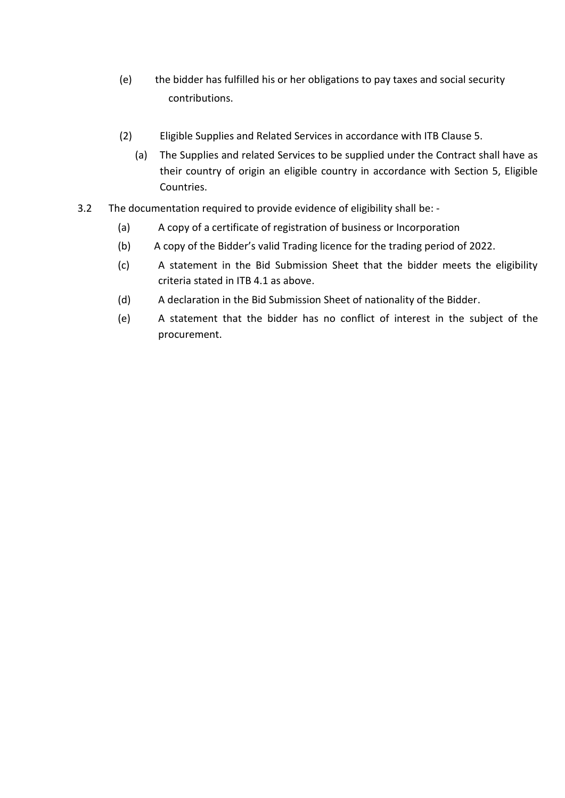- (e) the bidder has fulfilled his or her obligations to pay taxes and social security contributions.
- (2) Eligible Supplies and Related Services in accordance with ITB Clause 5.
	- (a) The Supplies and related Services to be supplied under the Contract shall have as their country of origin an eligible country in accordance with Section 5, Eligible Countries.
- 3.2 The documentation required to provide evidence of eligibility shall be:
	- (a) A copy of a certificate of registration of business or Incorporation
	- (b) A copy of the Bidder's valid Trading licence for the trading period of 2022.
	- (c) A statement in the Bid Submission Sheet that the bidder meets the eligibility criteria stated in ITB 4.1 as above.
	- (d) A declaration in the Bid Submission Sheet of nationality of the Bidder.
	- (e) A statement that the bidder has no conflict of interest in the subject of the procurement.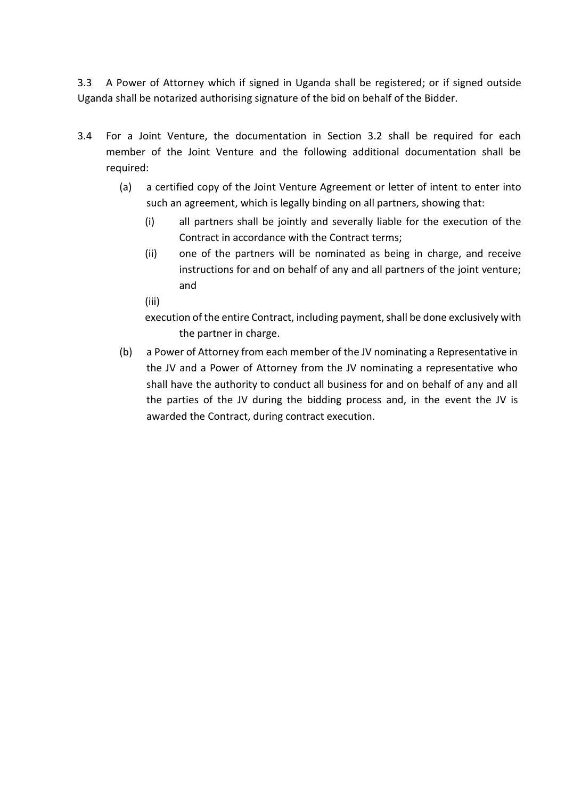3.3 A Power of Attorney which if signed in Uganda shall be registered; or if signed outside Uganda shall be notarized authorising signature of the bid on behalf of the Bidder.

- 3.4 For a Joint Venture, the documentation in Section 3.2 shall be required for each member of the Joint Venture and the following additional documentation shall be required:
	- (a) a certified copy of the Joint Venture Agreement or letter of intent to enter into such an agreement, which is legally binding on all partners, showing that:
		- (i) all partners shall be jointly and severally liable for the execution of the Contract in accordance with the Contract terms;
		- (ii) one of the partners will be nominated as being in charge, and receive instructions for and on behalf of any and all partners of the joint venture; and
		- (iii)

execution of the entire Contract, including payment, shall be done exclusively with the partner in charge.

(b) a Power of Attorney from each member of the JV nominating a Representative in the JV and a Power of Attorney from the JV nominating a representative who shall have the authority to conduct all business for and on behalf of any and all the parties of the JV during the bidding process and, in the event the JV is awarded the Contract, during contract execution.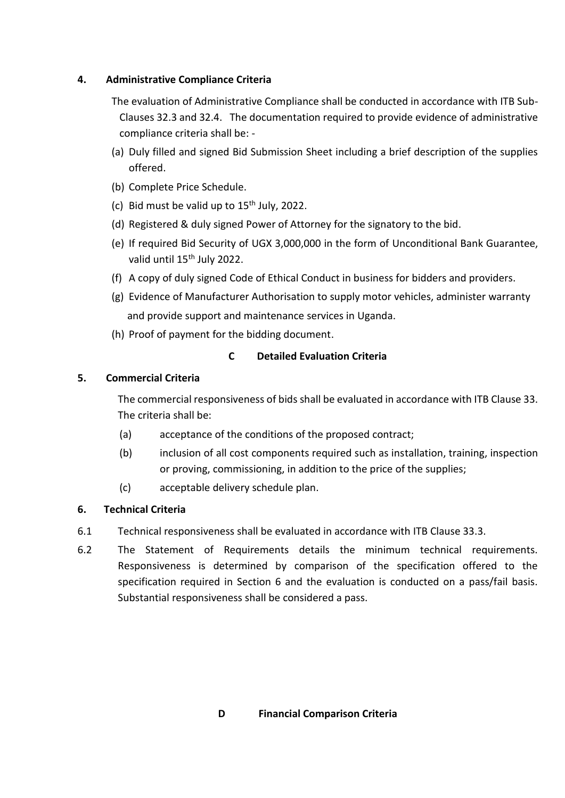### **4. Administrative Compliance Criteria**

- The evaluation of Administrative Compliance shall be conducted in accordance with ITB Sub-Clauses 32.3 and 32.4. The documentation required to provide evidence of administrative compliance criteria shall be: -
- (a) Duly filled and signed Bid Submission Sheet including a brief description of the supplies offered.
- (b) Complete Price Schedule.
- (c) Bid must be valid up to  $15<sup>th</sup>$  July, 2022.
- (d) Registered & duly signed Power of Attorney for the signatory to the bid.
- (e) If required Bid Security of UGX 3,000,000 in the form of Unconditional Bank Guarantee, valid until 15<sup>th</sup> July 2022.
- (f) A copy of duly signed Code of Ethical Conduct in business for bidders and providers.
- (g) Evidence of Manufacturer Authorisation to supply motor vehicles, administer warranty and provide support and maintenance services in Uganda.
- (h) Proof of payment for the bidding document.

# **C Detailed Evaluation Criteria**

# **5. Commercial Criteria**

The commercial responsiveness of bids shall be evaluated in accordance with ITB Clause 33. The criteria shall be:

- (a) acceptance of the conditions of the proposed contract;
- (b) inclusion of all cost components required such as installation, training, inspection or proving, commissioning, in addition to the price of the supplies;
- (c) acceptable delivery schedule plan.

# **6. Technical Criteria**

- 6.1 Technical responsiveness shall be evaluated in accordance with ITB Clause 33.3.
- 6.2 The Statement of Requirements details the minimum technical requirements. Responsiveness is determined by comparison of the specification offered to the specification required in Section 6 and the evaluation is conducted on a pass/fail basis. Substantial responsiveness shall be considered a pass.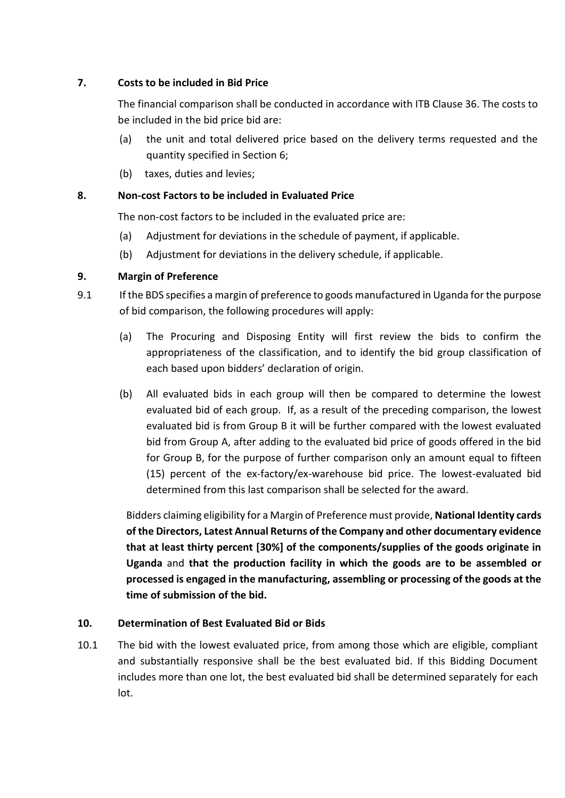## **7. Costs to be included in Bid Price**

The financial comparison shall be conducted in accordance with ITB Clause 36. The costs to be included in the bid price bid are:

- (a) the unit and total delivered price based on the delivery terms requested and the quantity specified in Section 6;
- (b) taxes, duties and levies;

## **8. Non-cost Factors to be included in Evaluated Price**

The non-cost factors to be included in the evaluated price are:

- (a) Adjustment for deviations in the schedule of payment, if applicable.
- (b) Adjustment for deviations in the delivery schedule, if applicable.

## **9. Margin of Preference**

- 9.1 If the BDS specifies a margin of preference to goods manufactured in Uganda for the purpose of bid comparison, the following procedures will apply:
	- (a) The Procuring and Disposing Entity will first review the bids to confirm the appropriateness of the classification, and to identify the bid group classification of each based upon bidders' declaration of origin.
	- (b) All evaluated bids in each group will then be compared to determine the lowest evaluated bid of each group. If, as a result of the preceding comparison, the lowest evaluated bid is from Group B it will be further compared with the lowest evaluated bid from Group A, after adding to the evaluated bid price of goods offered in the bid for Group B, for the purpose of further comparison only an amount equal to fifteen (15) percent of the ex-factory/ex-warehouse bid price. The lowest-evaluated bid determined from this last comparison shall be selected for the award.

Bidders claiming eligibility for a Margin of Preference must provide, **National Identity cards of the Directors, Latest Annual Returns of the Company and other documentary evidence that at least thirty percent [30%] of the components/supplies of the goods originate in Uganda** and **that the production facility in which the goods are to be assembled or processed is engaged in the manufacturing, assembling or processing of the goods at the time of submission of the bid.**

### **10. Determination of Best Evaluated Bid or Bids**

10.1 The bid with the lowest evaluated price, from among those which are eligible, compliant and substantially responsive shall be the best evaluated bid. If this Bidding Document includes more than one lot, the best evaluated bid shall be determined separately for each lot.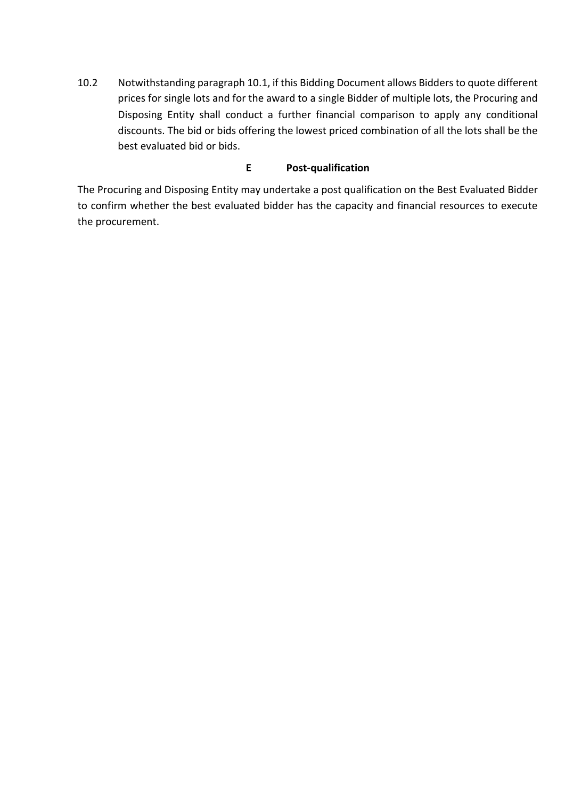10.2 Notwithstanding paragraph 10.1, if this Bidding Document allows Bidders to quote different prices for single lots and for the award to a single Bidder of multiple lots, the Procuring and Disposing Entity shall conduct a further financial comparison to apply any conditional discounts. The bid or bids offering the lowest priced combination of all the lots shall be the best evaluated bid or bids.

### **E Post-qualification**

The Procuring and Disposing Entity may undertake a post qualification on the Best Evaluated Bidder to confirm whether the best evaluated bidder has the capacity and financial resources to execute the procurement.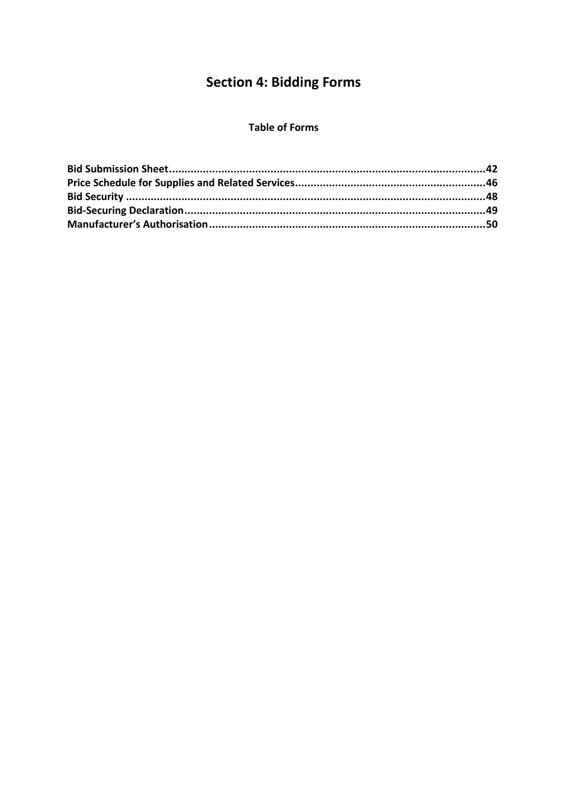# **Section 4: Bidding Forms**

### **Table of Forms**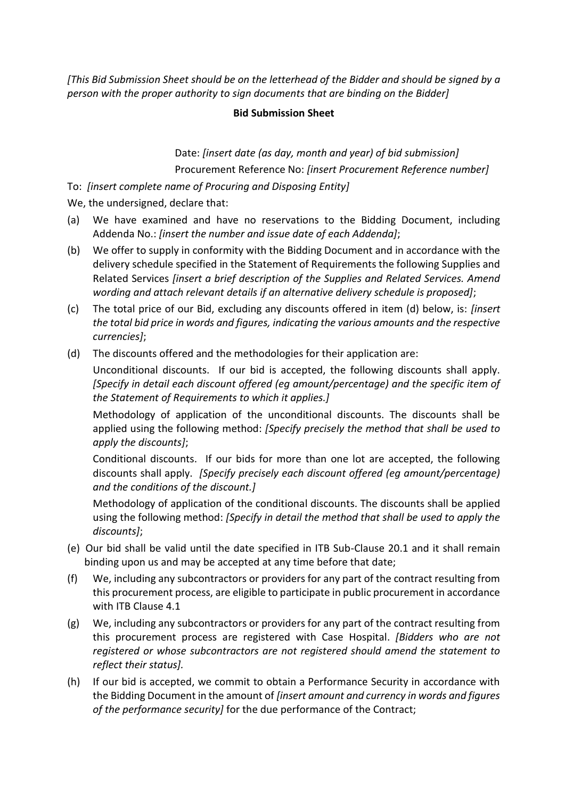*[This Bid Submission Sheet should be on the letterhead of the Bidder and should be signed by a person with the proper authority to sign documents that are binding on the Bidder]*

### **Bid Submission Sheet**

Date: *[insert date (as day, month and year) of bid submission]* Procurement Reference No: *[insert Procurement Reference number]*

To: *[insert complete name of Procuring and Disposing Entity]*

We, the undersigned, declare that:

- (a) We have examined and have no reservations to the Bidding Document, including Addenda No.: *[insert the number and issue date of each Addenda]*;
- (b) We offer to supply in conformity with the Bidding Document and in accordance with the delivery schedule specified in the Statement of Requirements the following Supplies and Related Services *[insert a brief description of the Supplies and Related Services. Amend wording and attach relevant details if an alternative delivery schedule is proposed]*;
- (c) The total price of our Bid, excluding any discounts offered in item (d) below, is: *[insert the total bid price in words and figures, indicating the various amounts and the respective currencies]*;
- (d) The discounts offered and the methodologies for their application are:

Unconditional discounts. If our bid is accepted, the following discounts shall apply. *[Specify in detail each discount offered (eg amount/percentage) and the specific item of the Statement of Requirements to which it applies.]*

Methodology of application of the unconditional discounts. The discounts shall be applied using the following method: *[Specify precisely the method that shall be used to apply the discounts]*;

Conditional discounts. If our bids for more than one lot are accepted, the following discounts shall apply. *[Specify precisely each discount offered (eg amount/percentage) and the conditions of the discount.]*

Methodology of application of the conditional discounts. The discounts shall be applied using the following method: *[Specify in detail the method that shall be used to apply the discounts]*;

- (e) Our bid shall be valid until the date specified in ITB Sub-Clause 20.1 and it shall remain binding upon us and may be accepted at any time before that date;
- (f) We, including any subcontractors or providers for any part of the contract resulting from this procurement process, are eligible to participate in public procurement in accordance with ITB Clause 4.1
- (g) We, including any subcontractors or providers for any part of the contract resulting from this procurement process are registered with Case Hospital. *[Bidders who are not registered or whose subcontractors are not registered should amend the statement to reflect their status].*
- (h) If our bid is accepted, we commit to obtain a Performance Security in accordance with the Bidding Document in the amount of *[insert amount and currency in words and figures of the performance security]* for the due performance of the Contract;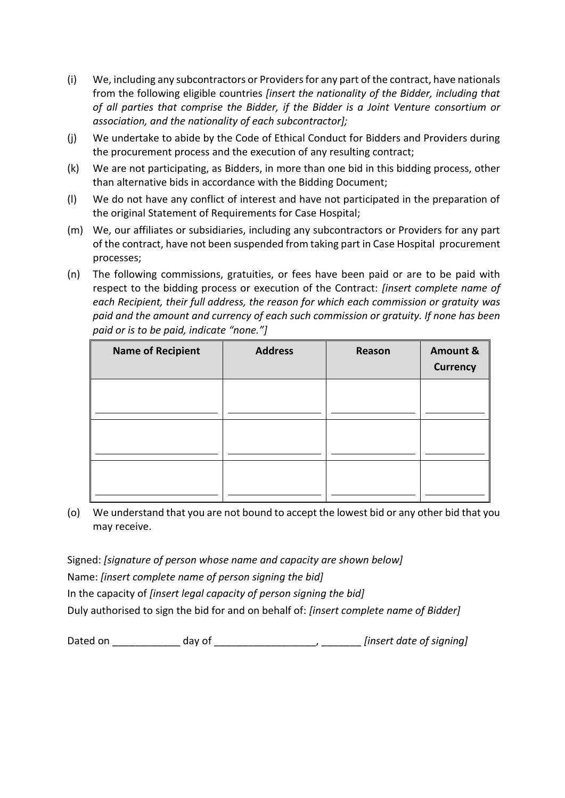- (i) We, including any subcontractors or Providers for any part of the contract, have nationals from the following eligible countries *[insert the nationality of the Bidder, including that of all parties that comprise the Bidder, if the Bidder is a Joint Venture consortium or association, and the nationality of each subcontractor];*
- (j) We undertake to abide by the Code of Ethical Conduct for Bidders and Providers during the procurement process and the execution of any resulting contract;
- (k) We are not participating, as Bidders, in more than one bid in this bidding process, other than alternative bids in accordance with the Bidding Document;
- (l) We do not have any conflict of interest and have not participated in the preparation of the original Statement of Requirements for Case Hospital;
- (m) We, our affiliates or subsidiaries, including any subcontractors or Providers for any part of the contract, have not been suspended from taking part in Case Hospital procurement processes;
- (n) The following commissions, gratuities, or fees have been paid or are to be paid with respect to the bidding process or execution of the Contract: *[insert complete name of each Recipient, their full address, the reason for which each commission or gratuity was paid and the amount and currency of each such commission or gratuity. If none has been paid or is to be paid, indicate "none."]*

| <b>Name of Recipient</b> | <b>Address</b> | Reason | Amount &<br><b>Currency</b> |
|--------------------------|----------------|--------|-----------------------------|
|                          |                |        |                             |
|                          |                |        |                             |
|                          |                |        |                             |

(o) We understand that you are not bound to accept the lowest bid or any other bid that you may receive.

Signed: *[signature of person whose name and capacity are shown below]* Name: *[insert complete name of person signing the bid]* In the capacity of *[insert legal capacity of person signing the bid]*  Duly authorised to sign the bid for and on behalf of: *[insert complete name of Bidder]*

Dated on \_\_\_\_\_\_\_\_\_\_\_\_ day of \_\_\_\_\_\_\_\_\_\_\_\_\_\_\_\_\_\_, \_\_\_\_\_\_\_ *[insert date of signing]*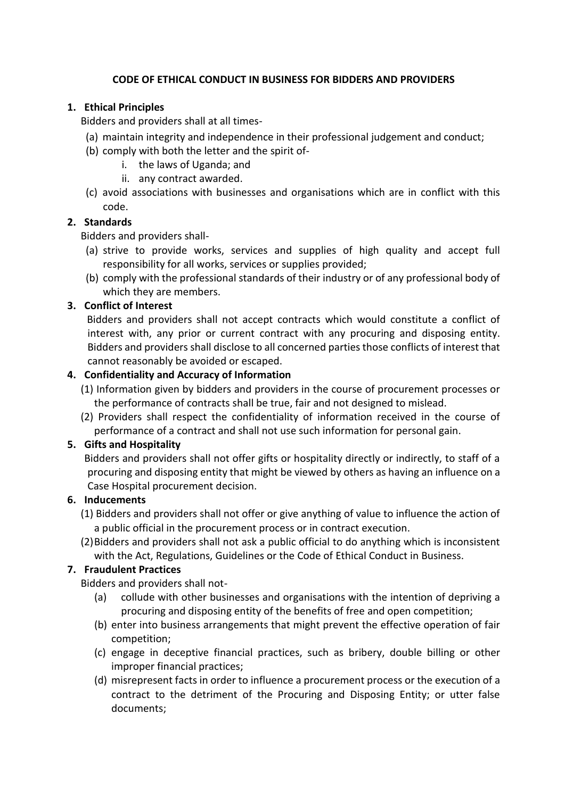### **CODE OF ETHICAL CONDUCT IN BUSINESS FOR BIDDERS AND PROVIDERS**

## **1. Ethical Principles**

Bidders and providers shall at all times-

- (a) maintain integrity and independence in their professional judgement and conduct;
- (b) comply with both the letter and the spirit of
	- i. the laws of Uganda; and
	- ii. any contract awarded.
- (c) avoid associations with businesses and organisations which are in conflict with this code.

## **2. Standards**

Bidders and providers shall-

- (a) strive to provide works, services and supplies of high quality and accept full responsibility for all works, services or supplies provided;
- (b) comply with the professional standards of their industry or of any professional body of which they are members.

## **3. Conflict of Interest**

Bidders and providers shall not accept contracts which would constitute a conflict of interest with, any prior or current contract with any procuring and disposing entity. Bidders and providers shall disclose to all concerned parties those conflicts of interest that cannot reasonably be avoided or escaped.

### **4. Confidentiality and Accuracy of Information**

- (1) Information given by bidders and providers in the course of procurement processes or the performance of contracts shall be true, fair and not designed to mislead.
- (2) Providers shall respect the confidentiality of information received in the course of performance of a contract and shall not use such information for personal gain.

# **5. Gifts and Hospitality**

Bidders and providers shall not offer gifts or hospitality directly or indirectly, to staff of a procuring and disposing entity that might be viewed by others as having an influence on a Case Hospital procurement decision.

### **6. Inducements**

- (1) Bidders and providers shall not offer or give anything of value to influence the action of a public official in the procurement process or in contract execution.
- (2)Bidders and providers shall not ask a public official to do anything which is inconsistent with the Act, Regulations, Guidelines or the Code of Ethical Conduct in Business.

# **7. Fraudulent Practices**

Bidders and providers shall not-

- (a) collude with other businesses and organisations with the intention of depriving a procuring and disposing entity of the benefits of free and open competition;
- (b) enter into business arrangements that might prevent the effective operation of fair competition;
- (c) engage in deceptive financial practices, such as bribery, double billing or other improper financial practices;
- (d) misrepresent facts in order to influence a procurement process or the execution of a contract to the detriment of the Procuring and Disposing Entity; or utter false documents;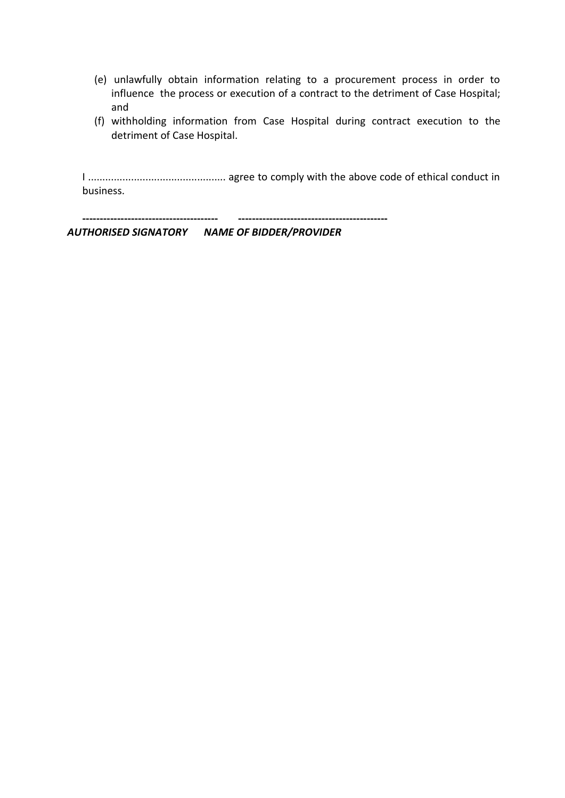- (e) unlawfully obtain information relating to a procurement process in order to influence the process or execution of a contract to the detriment of Case Hospital; and
- (f) withholding information from Case Hospital during contract execution to the detriment of Case Hospital.

I ................................................ agree to comply with the above code of ethical conduct in business.

**--------------------------------------- -------------------------------------------**

*AUTHORISED SIGNATORY NAME OF BIDDER/PROVIDER*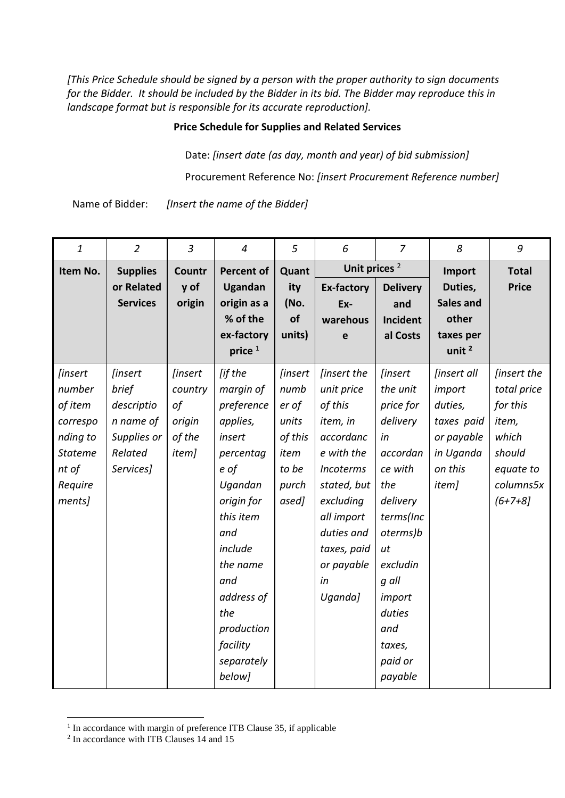*[This Price Schedule should be signed by a person with the proper authority to sign documents for the Bidder. It should be included by the Bidder in its bid. The Bidder may reproduce this in landscape format but is responsible for its accurate reproduction].*

### **Price Schedule for Supplies and Related Services**

Date: *[insert date (as day, month and year) of bid submission]*

Procurement Reference No: *[insert Procurement Reference number]*

Name of Bidder: *[Insert the name of the Bidder]*

| $\mathbf{1}$   | $\overline{2}$  | $\overline{3}$ | $\overline{4}$     | 5              | 6                        | $\overline{7}$  | 8                  | 9            |
|----------------|-----------------|----------------|--------------------|----------------|--------------------------|-----------------|--------------------|--------------|
| Item No.       | <b>Supplies</b> | Countr         | <b>Percent of</b>  | Quant          | Unit prices <sup>2</sup> |                 | Import             | <b>Total</b> |
|                | or Related      | y of           | Ugandan            | ity            | <b>Ex-factory</b>        | <b>Delivery</b> | Duties,            | <b>Price</b> |
|                | <b>Services</b> | origin         | origin as a        | (No.           | Ex-                      | and             | <b>Sales and</b>   |              |
|                |                 |                | % of the           | of             | warehous                 | <b>Incident</b> | other              |              |
|                |                 |                | ex-factory         | units)         | e                        | al Costs        | taxes per          |              |
|                |                 |                | price <sup>1</sup> |                |                          |                 | unit $2$           |              |
| [insert        | <i>linsert</i>  | <i>linsert</i> | [if the            | <i>linsert</i> | <i>linsert the</i>       | <i>linsert</i>  | <i>linsert all</i> | [insert the  |
| number         | brief           | country        | margin of          | numb           | unit price               | the unit        | import             | total price  |
| of item        | descriptio      | of             | preference         | er of          | of this                  | price for       | duties,            | for this     |
| correspo       | n name of       | origin         | applies,           | units          | item, in                 | delivery        | taxes paid         | item,        |
| nding to       | Supplies or     | of the         | insert             | of this        | accordanc                | in              | or payable         | which        |
| <b>Stateme</b> | Related         | item]          | percentag          | item           | e with the               | accordan        | in Uganda          | should       |
| nt of          | Services]       |                | e of               | to be          | Incoterms                | ce with         | on this            | equate to    |
| Require        |                 |                | Ugandan            | purch          | stated, but              | the             | item]              | columns5x    |
| ments]         |                 |                | origin for         | ased]          | excluding                | delivery        |                    | $(6+7+8)$    |
|                |                 |                | this item          |                | all import               | terms(Inc       |                    |              |
|                |                 |                | and                |                | duties and               | oterms)b        |                    |              |
|                |                 |                | include            |                | taxes, paid              | ut              |                    |              |
|                |                 |                | the name           |                | or payable               | excludin        |                    |              |
|                |                 |                | and                |                | in                       | g all           |                    |              |
|                |                 |                | address of         |                | Uganda]                  | import          |                    |              |
|                |                 |                | the                |                |                          | duties          |                    |              |
|                |                 |                | production         |                |                          | and             |                    |              |
|                |                 |                | facility           |                |                          | taxes,          |                    |              |
|                |                 |                | separately         |                |                          | paid or         |                    |              |
|                |                 |                | below]             |                |                          | payable         |                    |              |

 1 In accordance with margin of preference ITB Clause 35, if applicable

<sup>2</sup> In accordance with ITB Clauses 14 and 15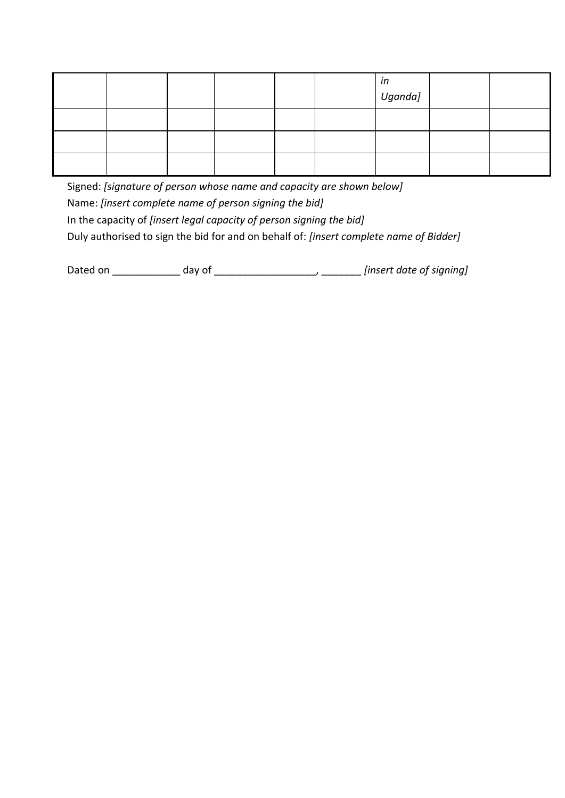|  |  |  | in<br>Uganda] |  |
|--|--|--|---------------|--|
|  |  |  |               |  |
|  |  |  |               |  |
|  |  |  |               |  |

Signed: *[signature of person whose name and capacity are shown below]* Name: *[insert complete name of person signing the bid]* In the capacity of *[insert legal capacity of person signing the bid]*  Duly authorised to sign the bid for and on behalf of: *[insert complete name of Bidder]*

Dated on \_\_\_\_\_\_\_\_\_\_\_\_ day of \_\_\_\_\_\_\_\_\_\_\_\_\_\_\_\_\_\_, \_\_\_\_\_\_\_ *[insert date of signing]*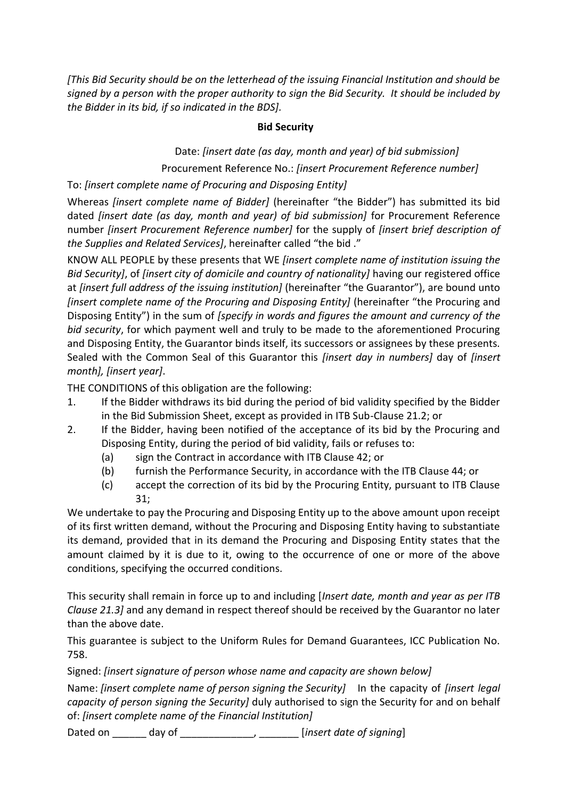*[This Bid Security should be on the letterhead of the issuing Financial Institution and should be signed by a person with the proper authority to sign the Bid Security. It should be included by the Bidder in its bid, if so indicated in the BDS].*

### **Bid Security**

Date: *[insert date (as day, month and year) of bid submission]* Procurement Reference No.: *[insert Procurement Reference number]*

To: *[insert complete name of Procuring and Disposing Entity]*

Whereas *[insert complete name of Bidder]* (hereinafter "the Bidder") has submitted its bid dated *[insert date (as day, month and year) of bid submission]* for Procurement Reference number *[insert Procurement Reference number]* for the supply of *[insert brief description of the Supplies and Related Services]*, hereinafter called "the bid ."

KNOW ALL PEOPLE by these presents that WE *[insert complete name of institution issuing the Bid Security]*, of *[insert city of domicile and country of nationality]* having our registered office at *[insert full address of the issuing institution]* (hereinafter "the Guarantor"), are bound unto *[insert complete name of the Procuring and Disposing Entity]* (hereinafter "the Procuring and Disposing Entity") in the sum of *[specify in words and figures the amount and currency of the bid security*, for which payment well and truly to be made to the aforementioned Procuring and Disposing Entity, the Guarantor binds itself, its successors or assignees by these presents. Sealed with the Common Seal of this Guarantor this *[insert day in numbers]* day of *[insert month], [insert year]*.

THE CONDITIONS of this obligation are the following:

- 1. If the Bidder withdraws its bid during the period of bid validity specified by the Bidder in the Bid Submission Sheet, except as provided in ITB Sub-Clause 21.2; or
- 2. If the Bidder, having been notified of the acceptance of its bid by the Procuring and Disposing Entity, during the period of bid validity, fails or refuses to:
	- (a) sign the Contract in accordance with ITB Clause 42; or
	- (b) furnish the Performance Security, in accordance with the ITB Clause 44; or
	- (c) accept the correction of its bid by the Procuring Entity, pursuant to ITB Clause 31;

We undertake to pay the Procuring and Disposing Entity up to the above amount upon receipt of its first written demand, without the Procuring and Disposing Entity having to substantiate its demand, provided that in its demand the Procuring and Disposing Entity states that the amount claimed by it is due to it, owing to the occurrence of one or more of the above conditions, specifying the occurred conditions.

This security shall remain in force up to and including [*Insert date, month and year as per ITB Clause 21.3]* and any demand in respect thereof should be received by the Guarantor no later than the above date.

This guarantee is subject to the Uniform Rules for Demand Guarantees, ICC Publication No. 758.

Signed: *[insert signature of person whose name and capacity are shown below]*

Name: *[insert complete name of person signing the Security]* In the capacity of *[insert legal capacity of person signing the Security]* duly authorised to sign the Security for and on behalf of: *[insert complete name of the Financial Institution]*

Dated on \_\_\_\_\_\_ day of \_\_\_\_\_\_\_\_\_\_\_\_\_, \_\_\_\_\_\_\_ [*insert date of signing*]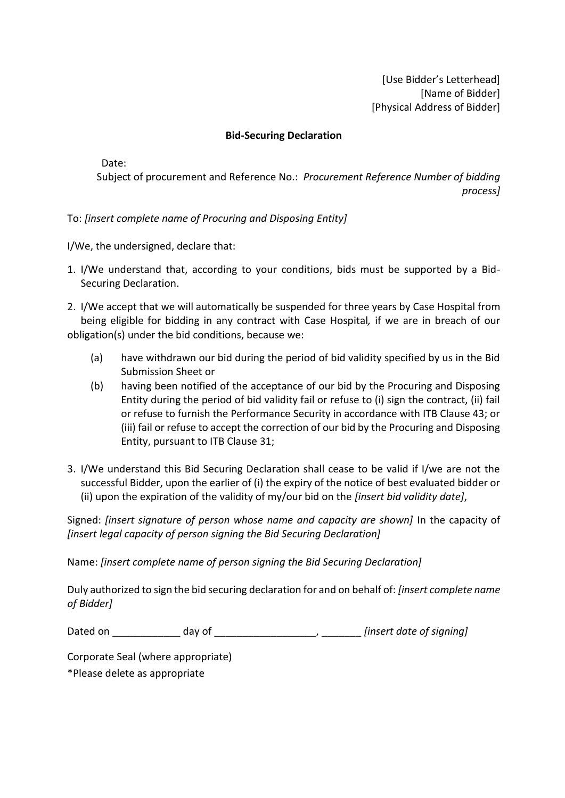[Use Bidder's Letterhead] [Name of Bidder] [Physical Address of Bidder]

### **Bid-Securing Declaration**

Date:

Subject of procurement and Reference No.: *Procurement Reference Number of bidding process]*

To: *[insert complete name of Procuring and Disposing Entity]*

I/We, the undersigned, declare that:

- 1. I/We understand that, according to your conditions, bids must be supported by a Bid-Securing Declaration.
- 2. I/We accept that we will automatically be suspended for three years by Case Hospital from being eligible for bidding in any contract with Case Hospital*,* if we are in breach of our obligation(s) under the bid conditions, because we:
	- (a) have withdrawn our bid during the period of bid validity specified by us in the Bid Submission Sheet or
	- (b) having been notified of the acceptance of our bid by the Procuring and Disposing Entity during the period of bid validity fail or refuse to (i) sign the contract, (ii) fail or refuse to furnish the Performance Security in accordance with ITB Clause 43; or (iii) fail or refuse to accept the correction of our bid by the Procuring and Disposing Entity, pursuant to ITB Clause 31;
- 3. I/We understand this Bid Securing Declaration shall cease to be valid if I/we are not the successful Bidder, upon the earlier of (i) the expiry of the notice of best evaluated bidder or (ii) upon the expiration of the validity of my/our bid on the *[insert bid validity date]*,

Signed: *[insert signature of person whose name and capacity are shown]* In the capacity of *[insert legal capacity of person signing the Bid Securing Declaration]*

Name: *[insert complete name of person signing the Bid Securing Declaration]*

Duly authorized to sign the bid securing declaration for and on behalf of: *[insert complete name of Bidder]*

| Dated on | dav of | [insert date of signing] |
|----------|--------|--------------------------|
|----------|--------|--------------------------|

Corporate Seal (where appropriate)

\*Please delete as appropriate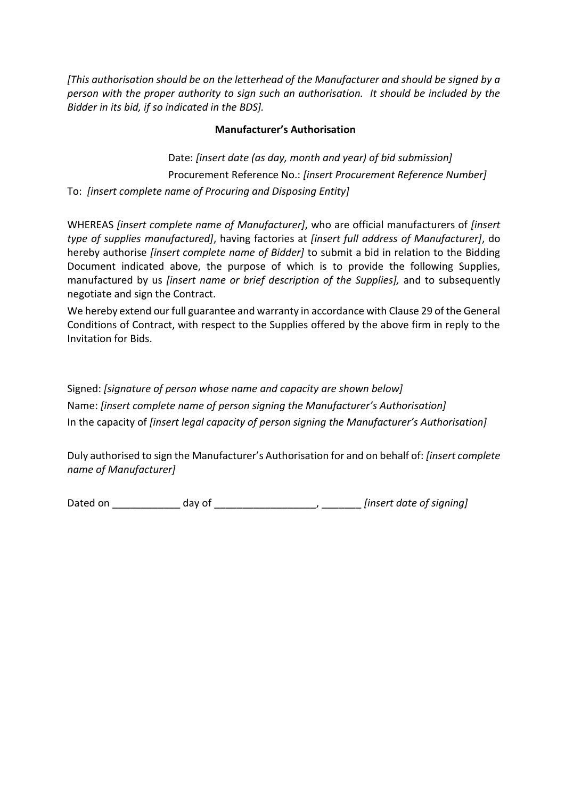*[This authorisation should be on the letterhead of the Manufacturer and should be signed by a person with the proper authority to sign such an authorisation. It should be included by the Bidder in its bid, if so indicated in the BDS].*

### **Manufacturer's Authorisation**

Date: *[insert date (as day, month and year) of bid submission]* Procurement Reference No.: *[insert Procurement Reference Number]* To: *[insert complete name of Procuring and Disposing Entity]*

WHEREAS *[insert complete name of Manufacturer]*, who are official manufacturers of *[insert type of supplies manufactured]*, having factories at *[insert full address of Manufacturer]*, do hereby authorise *[insert complete name of Bidder]* to submit a bid in relation to the Bidding Document indicated above, the purpose of which is to provide the following Supplies, manufactured by us *[insert name or brief description of the Supplies],* and to subsequently negotiate and sign the Contract.

We hereby extend our full guarantee and warranty in accordance with Clause 29 of the General Conditions of Contract, with respect to the Supplies offered by the above firm in reply to the Invitation for Bids.

Signed: *[signature of person whose name and capacity are shown below]* Name: *[insert complete name of person signing the Manufacturer's Authorisation]* In the capacity of *[insert legal capacity of person signing the Manufacturer's Authorisation]* 

Duly authorised to sign the Manufacturer's Authorisation for and on behalf of: *[insert complete name of Manufacturer]*

Dated on \_\_\_\_\_\_\_\_\_\_\_\_ day of \_\_\_\_\_\_\_\_\_\_\_\_\_\_\_\_\_\_, \_\_\_\_\_\_\_ *[insert date of signing]*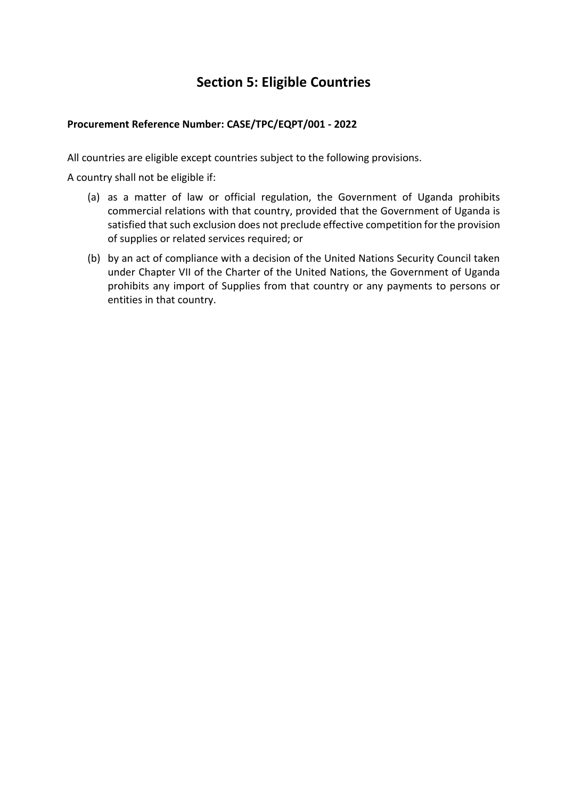# **Section 5: Eligible Countries**

### **Procurement Reference Number: CASE/TPC/EQPT/001 - 2022**

All countries are eligible except countries subject to the following provisions.

A country shall not be eligible if:

- (a) as a matter of law or official regulation, the Government of Uganda prohibits commercial relations with that country, provided that the Government of Uganda is satisfied that such exclusion does not preclude effective competition for the provision of supplies or related services required; or
- (b) by an act of compliance with a decision of the United Nations Security Council taken under Chapter VII of the Charter of the United Nations, the Government of Uganda prohibits any import of Supplies from that country or any payments to persons or entities in that country.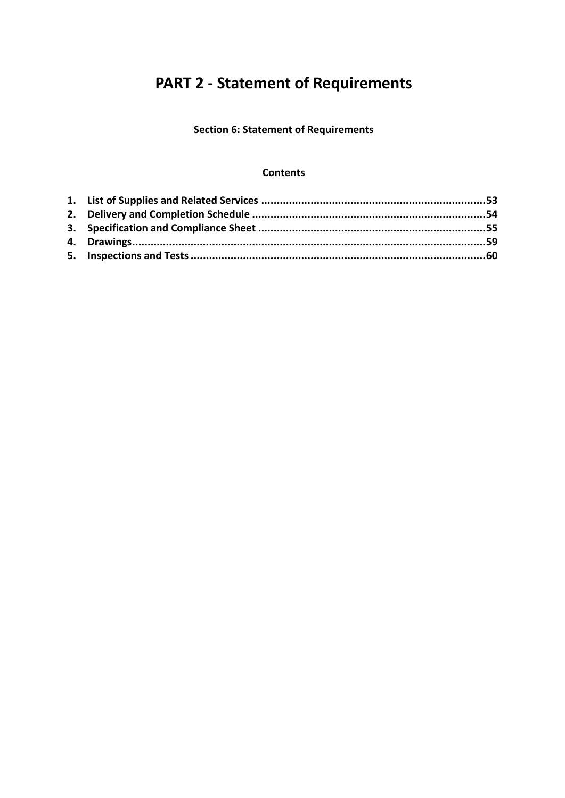# **PART 2 - Statement of Requirements**

**Section 6: Statement of Requirements**

### **Contents**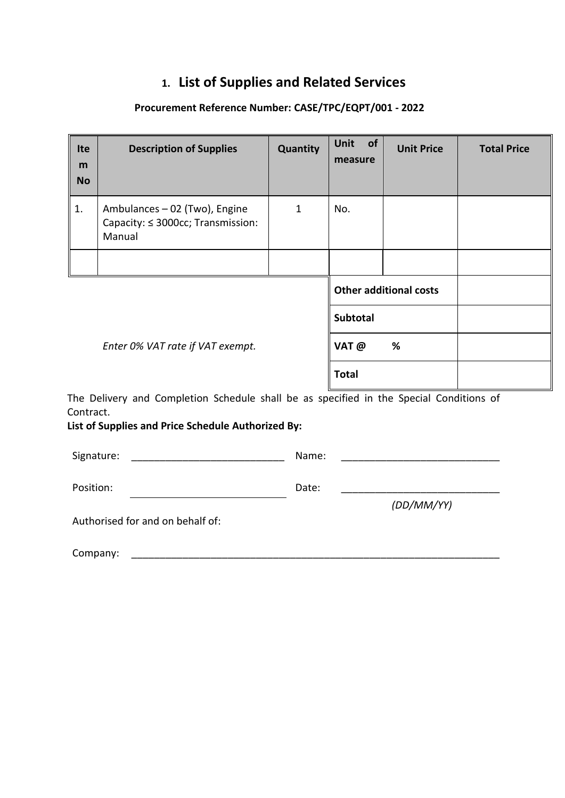# **1. List of Supplies and Related Services**

# **Procurement Reference Number: CASE/TPC/EQPT/001 - 2022**

| <b>Ite</b><br>m<br><b>No</b> | <b>Description of Supplies</b>                                                                                                                | Quantity     | of<br><b>Unit</b><br>measure | <b>Unit Price</b>             | <b>Total Price</b> |
|------------------------------|-----------------------------------------------------------------------------------------------------------------------------------------------|--------------|------------------------------|-------------------------------|--------------------|
| 1.                           | Ambulances - 02 (Two), Engine<br>Capacity: ≤ 3000cc; Transmission:<br>Manual                                                                  | $\mathbf{1}$ | No.                          |                               |                    |
|                              |                                                                                                                                               |              |                              |                               |                    |
|                              |                                                                                                                                               |              |                              | <b>Other additional costs</b> |                    |
|                              |                                                                                                                                               |              | <b>Subtotal</b>              |                               |                    |
|                              | Enter 0% VAT rate if VAT exempt.                                                                                                              |              | VAT @                        | %                             |                    |
|                              |                                                                                                                                               |              | <b>Total</b>                 |                               |                    |
| Contract.                    | The Delivery and Completion Schedule shall be as specified in the Special Conditions of<br>List of Supplies and Price Schedule Authorized By: |              |                              |                               |                    |
| Signature:                   |                                                                                                                                               | Name:        |                              |                               |                    |
| Position:                    |                                                                                                                                               | Date:        |                              |                               |                    |
|                              | Authorised for and on behalf of:                                                                                                              |              |                              | (DD/MM/YY)                    |                    |
| Company:                     |                                                                                                                                               |              |                              |                               |                    |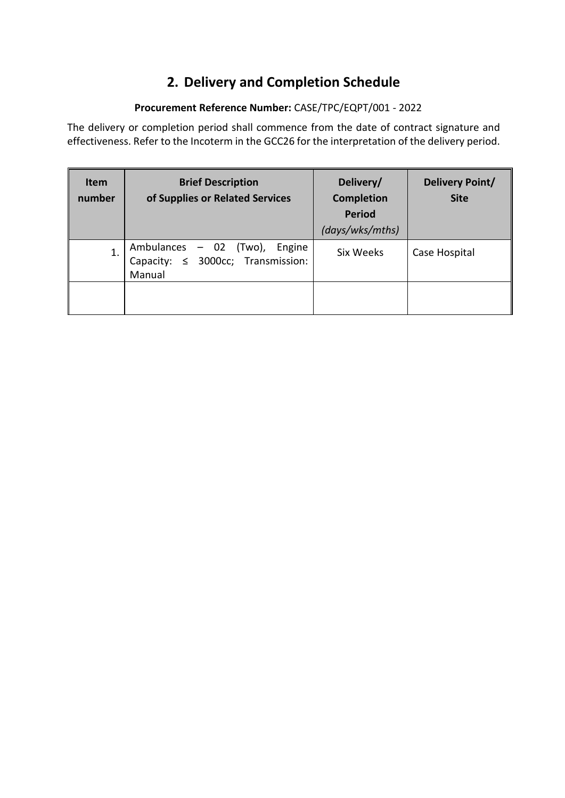# **2. Delivery and Completion Schedule**

# **Procurement Reference Number:** CASE/TPC/EQPT/001 - 2022

The delivery or completion period shall commence from the date of contract signature and effectiveness. Refer to the Incoterm in the GCC26 for the interpretation of the delivery period.

| <b>Item</b><br>number | <b>Brief Description</b><br>of Supplies or Related Services                          | Delivery/<br><b>Completion</b><br><b>Period</b><br>(days/wks/mths) | Delivery Point/<br><b>Site</b> |
|-----------------------|--------------------------------------------------------------------------------------|--------------------------------------------------------------------|--------------------------------|
| 1.                    | Ambulances - 02 (Two),<br>Engine<br>Capacity: $\leq$ 3000cc; Transmission:<br>Manual | Six Weeks                                                          | Case Hospital                  |
|                       |                                                                                      |                                                                    |                                |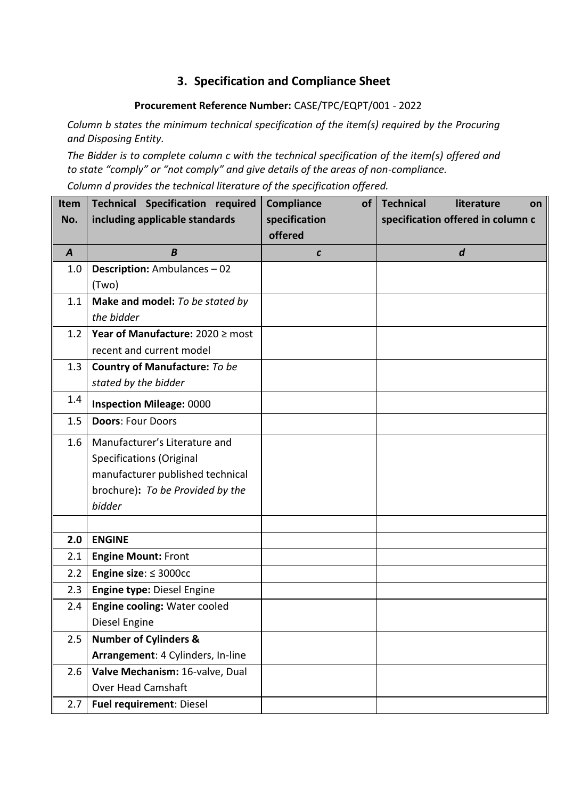# **3. Specification and Compliance Sheet**

## **Procurement Reference Number:** CASE/TPC/EQPT/001 - 2022

*Column b states the minimum technical specification of the item(s) required by the Procuring and Disposing Entity.*

*The Bidder is to complete column c with the technical specification of the item(s) offered and to state "comply" or "not comply" and give details of the areas of non-compliance. Column d provides the technical literature of the specification offered.*

| <b>Item</b>      | <b>Technical Specification required</b> | <b>Compliance</b><br>of | <b>Technical</b><br>literature<br>on |
|------------------|-----------------------------------------|-------------------------|--------------------------------------|
| No.              | including applicable standards          | specification           | specification offered in column c    |
|                  |                                         | offered                 |                                      |
| $\boldsymbol{A}$ | B                                       | $\mathcal{C}$           | $\boldsymbol{d}$                     |
| 1.0              | Description: Ambulances - 02            |                         |                                      |
|                  | (Two)                                   |                         |                                      |
| 1.1              | Make and model: To be stated by         |                         |                                      |
|                  | the bidder                              |                         |                                      |
| 1.2              | Year of Manufacture: 2020 ≥ most        |                         |                                      |
|                  | recent and current model                |                         |                                      |
| 1.3              | <b>Country of Manufacture:</b> To be    |                         |                                      |
|                  | stated by the bidder                    |                         |                                      |
| 1.4              | <b>Inspection Mileage: 0000</b>         |                         |                                      |
| 1.5              | <b>Doors: Four Doors</b>                |                         |                                      |
| 1.6              | Manufacturer's Literature and           |                         |                                      |
|                  | <b>Specifications (Original</b>         |                         |                                      |
|                  | manufacturer published technical        |                         |                                      |
|                  | brochure): To be Provided by the        |                         |                                      |
|                  | bidder                                  |                         |                                      |
|                  |                                         |                         |                                      |
| 2.0              | <b>ENGINE</b>                           |                         |                                      |
| 2.1              | <b>Engine Mount: Front</b>              |                         |                                      |
| 2.2              | Engine size: $\leq$ 3000cc              |                         |                                      |
| 2.3              | Engine type: Diesel Engine              |                         |                                      |
| 2.4              | <b>Engine cooling: Water cooled</b>     |                         |                                      |
|                  | Diesel Engine                           |                         |                                      |
| 2.5              | <b>Number of Cylinders &amp;</b>        |                         |                                      |
|                  | Arrangement: 4 Cylinders, In-line       |                         |                                      |
| 2.6              | Valve Mechanism: 16-valve, Dual         |                         |                                      |
|                  | <b>Over Head Camshaft</b>               |                         |                                      |
| 2.7              | Fuel requirement: Diesel                |                         |                                      |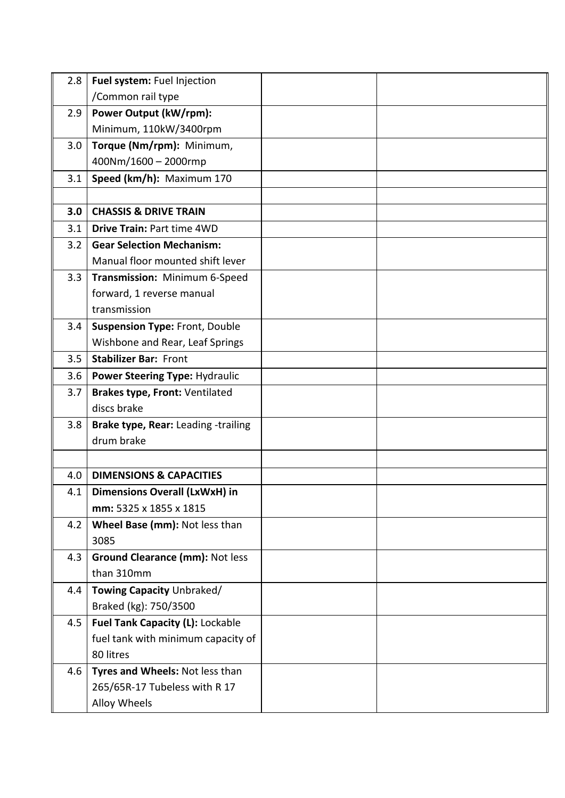| 2.8 | Fuel system: Fuel Injection           |  |
|-----|---------------------------------------|--|
|     | /Common rail type                     |  |
| 2.9 | Power Output (kW/rpm):                |  |
|     | Minimum, 110kW/3400rpm                |  |
| 3.0 | Torque (Nm/rpm): Minimum,             |  |
|     | 400Nm/1600 - 2000rmp                  |  |
| 3.1 | Speed (km/h): Maximum 170             |  |
|     |                                       |  |
| 3.0 | <b>CHASSIS &amp; DRIVE TRAIN</b>      |  |
| 3.1 | Drive Train: Part time 4WD            |  |
| 3.2 | <b>Gear Selection Mechanism:</b>      |  |
|     | Manual floor mounted shift lever      |  |
| 3.3 | Transmission: Minimum 6-Speed         |  |
|     | forward, 1 reverse manual             |  |
|     | transmission                          |  |
| 3.4 | <b>Suspension Type: Front, Double</b> |  |
|     | Wishbone and Rear, Leaf Springs       |  |
| 3.5 | <b>Stabilizer Bar: Front</b>          |  |
| 3.6 | <b>Power Steering Type: Hydraulic</b> |  |
| 3.7 | Brakes type, Front: Ventilated        |  |
|     | discs brake                           |  |
| 3.8 | Brake type, Rear: Leading -trailing   |  |
|     | drum brake                            |  |
|     |                                       |  |
| 4.0 | <b>DIMENSIONS &amp; CAPACITIES</b>    |  |
| 4.1 | Dimensions Overall (LxWxH) in         |  |
|     | mm: 5325 x 1855 x 1815                |  |
| 4.2 | Wheel Base (mm): Not less than        |  |
|     | 3085                                  |  |
| 4.3 | Ground Clearance (mm): Not less       |  |
|     | than 310mm                            |  |
| 4.4 | Towing Capacity Unbraked/             |  |
|     | Braked (kg): 750/3500                 |  |
| 4.5 | Fuel Tank Capacity (L): Lockable      |  |
|     | fuel tank with minimum capacity of    |  |
|     | 80 litres                             |  |
| 4.6 | Tyres and Wheels: Not less than       |  |
|     | 265/65R-17 Tubeless with R 17         |  |
|     | Alloy Wheels                          |  |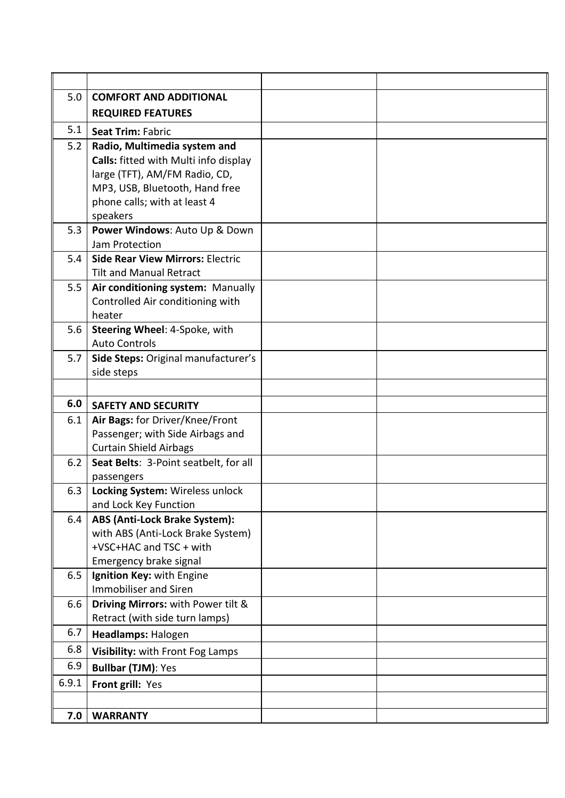| 5.0   | <b>COMFORT AND ADDITIONAL</b>                                         |  |
|-------|-----------------------------------------------------------------------|--|
|       | <b>REQUIRED FEATURES</b>                                              |  |
| 5.1   | <b>Seat Trim: Fabric</b>                                              |  |
| 5.2   | Radio, Multimedia system and                                          |  |
|       | Calls: fitted with Multi info display                                 |  |
|       | large (TFT), AM/FM Radio, CD,                                         |  |
|       | MP3, USB, Bluetooth, Hand free                                        |  |
|       | phone calls; with at least 4                                          |  |
|       | speakers                                                              |  |
| 5.3   | Power Windows: Auto Up & Down                                         |  |
|       | Jam Protection                                                        |  |
| 5.4   | <b>Side Rear View Mirrors: Electric</b>                               |  |
|       | <b>Tilt and Manual Retract</b>                                        |  |
| 5.5   | Air conditioning system: Manually<br>Controlled Air conditioning with |  |
|       | heater                                                                |  |
| 5.6   | Steering Wheel: 4-Spoke, with                                         |  |
|       | <b>Auto Controls</b>                                                  |  |
| 5.7   | Side Steps: Original manufacturer's                                   |  |
|       | side steps                                                            |  |
|       |                                                                       |  |
|       |                                                                       |  |
| 6.0   | <b>SAFETY AND SECURITY</b>                                            |  |
| 6.1   | Air Bags: for Driver/Knee/Front                                       |  |
|       | Passenger; with Side Airbags and                                      |  |
|       | <b>Curtain Shield Airbags</b>                                         |  |
| 6.2   | Seat Belts: 3-Point seatbelt, for all                                 |  |
|       | passengers                                                            |  |
| 6.3   | Locking System: Wireless unlock                                       |  |
|       | and Lock Key Function                                                 |  |
| 6.4   | ABS (Anti-Lock Brake System):                                         |  |
|       | with ABS (Anti-Lock Brake System)                                     |  |
|       | +VSC+HAC and TSC + with                                               |  |
|       | Emergency brake signal                                                |  |
| 6.5   | Ignition Key: with Engine                                             |  |
|       | <b>Immobiliser and Siren</b>                                          |  |
| 6.6   | Driving Mirrors: with Power tilt &<br>Retract (with side turn lamps)  |  |
| 6.7   | Headlamps: Halogen                                                    |  |
| 6.8   | Visibility: with Front Fog Lamps                                      |  |
| 6.9   | <b>Bullbar (TJM): Yes</b>                                             |  |
| 6.9.1 |                                                                       |  |
|       | Front grill: Yes                                                      |  |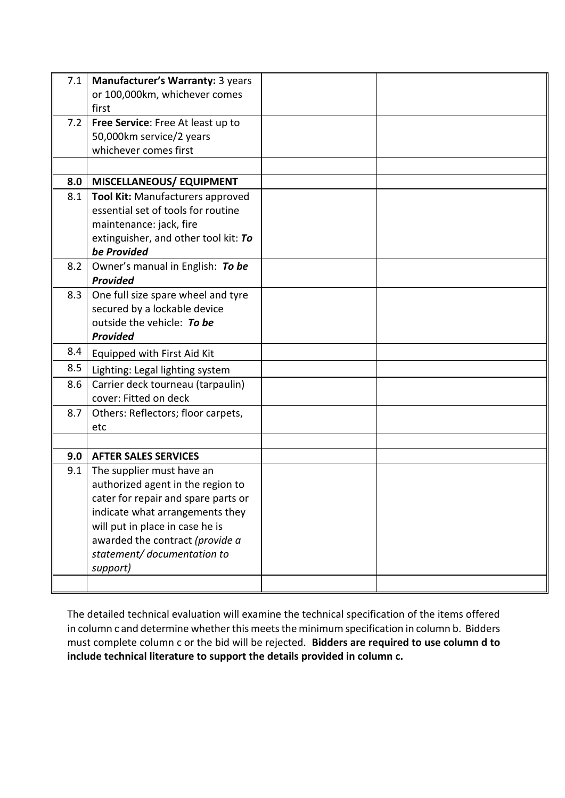| 7.1 | Manufacturer's Warranty: 3 years<br>or 100,000km, whichever comes |  |
|-----|-------------------------------------------------------------------|--|
|     | first                                                             |  |
| 7.2 | Free Service: Free At least up to                                 |  |
|     | 50,000km service/2 years                                          |  |
|     | whichever comes first                                             |  |
|     |                                                                   |  |
| 8.0 | <b>MISCELLANEOUS/ EQUIPMENT</b>                                   |  |
| 8.1 | Tool Kit: Manufacturers approved                                  |  |
|     | essential set of tools for routine                                |  |
|     | maintenance: jack, fire                                           |  |
|     | extinguisher, and other tool kit: To                              |  |
|     | be Provided                                                       |  |
| 8.2 | Owner's manual in English: To be                                  |  |
|     | Provided                                                          |  |
| 8.3 | One full size spare wheel and tyre                                |  |
|     | secured by a lockable device                                      |  |
|     | outside the vehicle: To be                                        |  |
|     |                                                                   |  |
|     | Provided                                                          |  |
| 8.4 | Equipped with First Aid Kit                                       |  |
| 8.5 | Lighting: Legal lighting system                                   |  |
| 8.6 | Carrier deck tourneau (tarpaulin)                                 |  |
|     | cover: Fitted on deck                                             |  |
| 8.7 | Others: Reflectors; floor carpets,                                |  |
|     | etc                                                               |  |
|     |                                                                   |  |
| 9.0 | <b>AFTER SALES SERVICES</b>                                       |  |
| 9.1 | The supplier must have an                                         |  |
|     | authorized agent in the region to                                 |  |
|     | cater for repair and spare parts or                               |  |
|     | indicate what arrangements they                                   |  |
|     | will put in place in case he is                                   |  |
|     | awarded the contract (provide a                                   |  |
|     | statement/documentation to                                        |  |
|     | support)                                                          |  |

The detailed technical evaluation will examine the technical specification of the items offered in column c and determine whether this meets the minimum specification in column b. Bidders must complete column c or the bid will be rejected. **Bidders are required to use column d to include technical literature to support the details provided in column c.**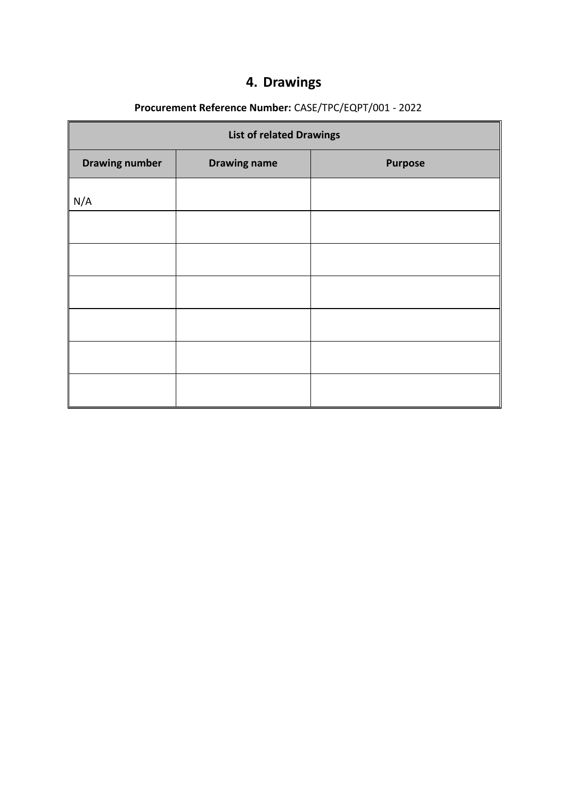# **4. Drawings**

# **Procurement Reference Number:** CASE/TPC/EQPT/001 - 2022

| <b>List of related Drawings</b> |                     |                |  |
|---------------------------------|---------------------|----------------|--|
| <b>Drawing number</b>           | <b>Drawing name</b> | <b>Purpose</b> |  |
| N/A                             |                     |                |  |
|                                 |                     |                |  |
|                                 |                     |                |  |
|                                 |                     |                |  |
|                                 |                     |                |  |
|                                 |                     |                |  |
|                                 |                     |                |  |
|                                 |                     |                |  |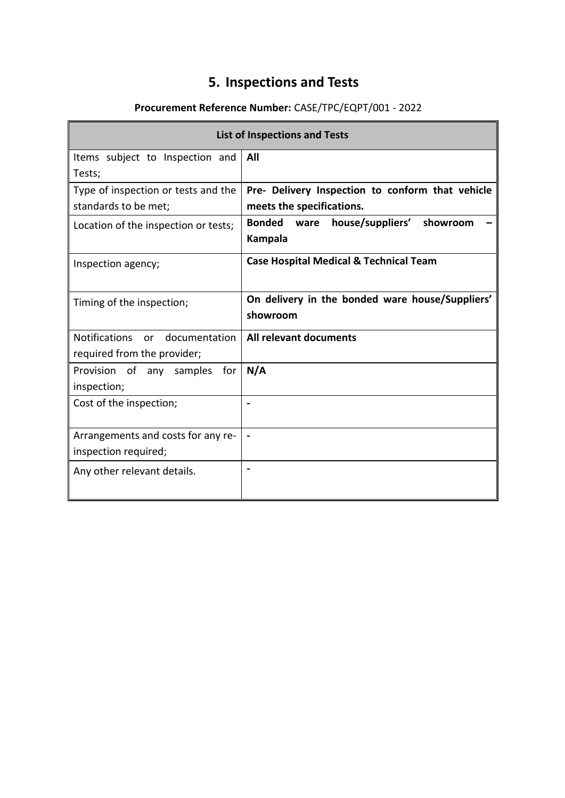# **5. Inspections and Tests**

# **Procurement Reference Number:** CASE/TPC/EQPT/001 - 2022

 $\blacksquare$ 

 $\blacksquare$ 

| <b>List of Inspections and Tests</b>     |                                                                  |  |  |
|------------------------------------------|------------------------------------------------------------------|--|--|
| Items subject to Inspection and          | All                                                              |  |  |
| Tests;                                   |                                                                  |  |  |
| Type of inspection or tests and the      | Pre- Delivery Inspection to conform that vehicle                 |  |  |
| standards to be met;                     | meets the specifications.                                        |  |  |
| Location of the inspection or tests;     | Bonded<br>house/suppliers'<br>showroom<br>ware<br><b>Kampala</b> |  |  |
| Inspection agency;                       | <b>Case Hospital Medical &amp; Technical Team</b>                |  |  |
| Timing of the inspection;                | On delivery in the bonded ware house/Suppliers'<br>showroom      |  |  |
| <b>Notifications</b><br>or documentation | All relevant documents                                           |  |  |
| required from the provider;              |                                                                  |  |  |
| Provision of any samples<br>for          | N/A                                                              |  |  |
| inspection;                              |                                                                  |  |  |
| Cost of the inspection;                  |                                                                  |  |  |
| Arrangements and costs for any re-       |                                                                  |  |  |
| inspection required;                     |                                                                  |  |  |
| Any other relevant details.              |                                                                  |  |  |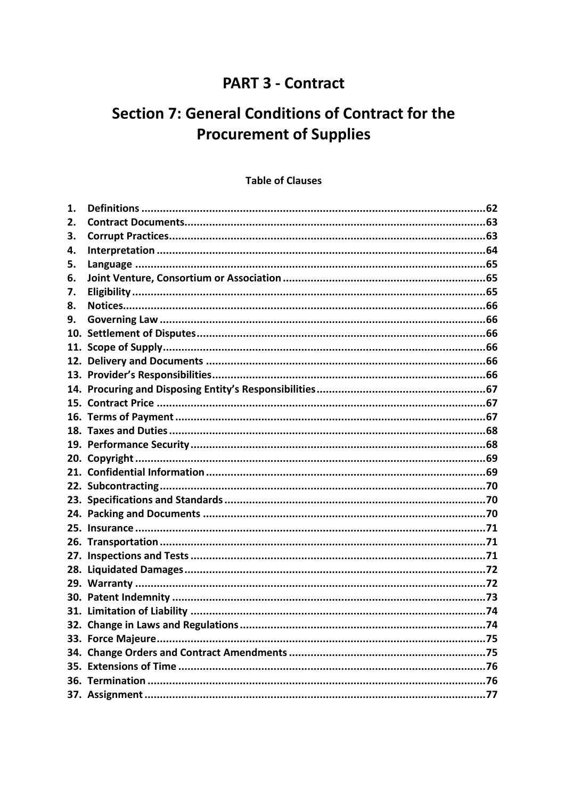# **PART 3 - Contract**

# **Section 7: General Conditions of Contract for the Procurement of Supplies**

### **Table of Clauses**

| 1.  |                                    |  |
|-----|------------------------------------|--|
| 2.  |                                    |  |
| 3.  |                                    |  |
| 4.  |                                    |  |
| 5.  |                                    |  |
| 6.  |                                    |  |
| 7.  |                                    |  |
| 8.  |                                    |  |
| 9.  |                                    |  |
| 10. |                                    |  |
|     |                                    |  |
|     |                                    |  |
|     |                                    |  |
|     |                                    |  |
|     |                                    |  |
|     |                                    |  |
|     |                                    |  |
|     |                                    |  |
|     |                                    |  |
|     |                                    |  |
|     |                                    |  |
|     |                                    |  |
|     |                                    |  |
|     |                                    |  |
|     |                                    |  |
|     |                                    |  |
|     |                                    |  |
|     |                                    |  |
|     |                                    |  |
|     |                                    |  |
|     | 32. Change in Laws and Regulations |  |
|     |                                    |  |
|     |                                    |  |
|     |                                    |  |
|     |                                    |  |
|     |                                    |  |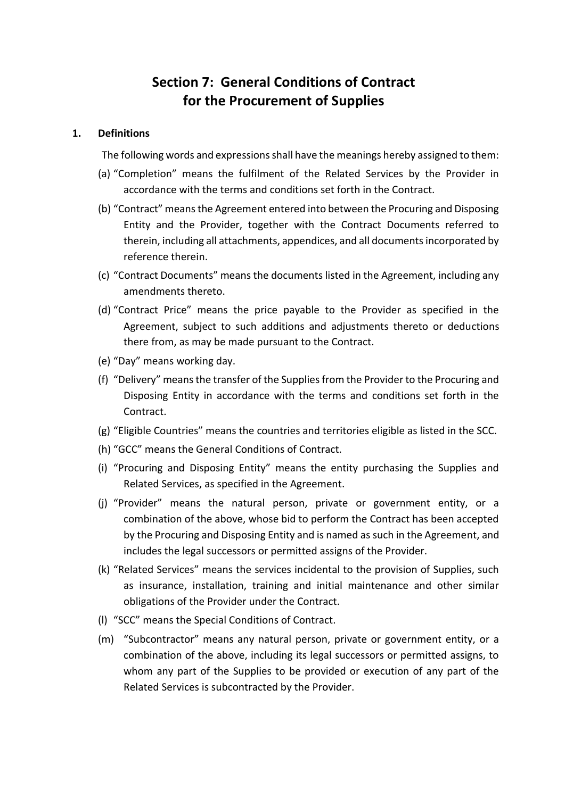# **Section 7: General Conditions of Contract for the Procurement of Supplies**

### **1. Definitions**

The following words and expressions shall have the meanings hereby assigned to them:

- (a) "Completion" means the fulfilment of the Related Services by the Provider in accordance with the terms and conditions set forth in the Contract.
- (b) "Contract" means the Agreement entered into between the Procuring and Disposing Entity and the Provider, together with the Contract Documents referred to therein, including all attachments, appendices, and all documents incorporated by reference therein.
- (c) "Contract Documents" means the documents listed in the Agreement, including any amendments thereto.
- (d) "Contract Price" means the price payable to the Provider as specified in the Agreement, subject to such additions and adjustments thereto or deductions there from, as may be made pursuant to the Contract.
- (e) "Day" means working day.
- (f) "Delivery" means the transfer of the Supplies from the Provider to the Procuring and Disposing Entity in accordance with the terms and conditions set forth in the Contract.
- (g) "Eligible Countries" means the countries and territories eligible as listed in the SCC.
- (h) "GCC" means the General Conditions of Contract.
- (i) "Procuring and Disposing Entity" means the entity purchasing the Supplies and Related Services, as specified in the Agreement.
- (j) "Provider" means the natural person, private or government entity, or a combination of the above, whose bid to perform the Contract has been accepted by the Procuring and Disposing Entity and is named as such in the Agreement, and includes the legal successors or permitted assigns of the Provider.
- (k) "Related Services" means the services incidental to the provision of Supplies, such as insurance, installation, training and initial maintenance and other similar obligations of the Provider under the Contract.
- (l) "SCC" means the Special Conditions of Contract.
- (m) "Subcontractor" means any natural person, private or government entity, or a combination of the above, including its legal successors or permitted assigns, to whom any part of the Supplies to be provided or execution of any part of the Related Services is subcontracted by the Provider.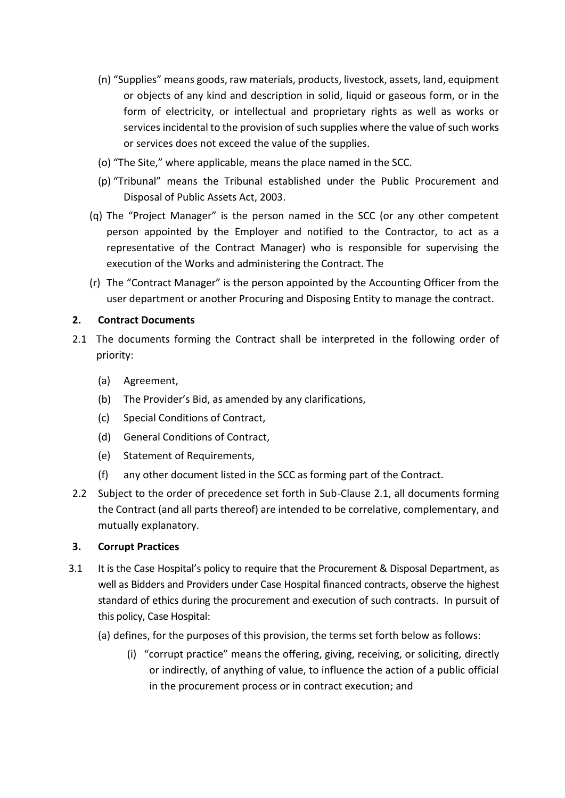- (n) "Supplies" means goods, raw materials, products, livestock, assets, land, equipment or objects of any kind and description in solid, liquid or gaseous form, or in the form of electricity, or intellectual and proprietary rights as well as works or services incidental to the provision of such supplies where the value of such works or services does not exceed the value of the supplies.
- (o) "The Site," where applicable, means the place named in the SCC.
- (p) "Tribunal" means the Tribunal established under the Public Procurement and Disposal of Public Assets Act, 2003.
- (q) The "Project Manager" is the person named in the SCC (or any other competent person appointed by the Employer and notified to the Contractor, to act as a representative of the Contract Manager) who is responsible for supervising the execution of the Works and administering the Contract. The
- (r) The "Contract Manager" is the person appointed by the Accounting Officer from the user department or another Procuring and Disposing Entity to manage the contract.

### **2. Contract Documents**

- 2.1 The documents forming the Contract shall be interpreted in the following order of priority:
	- (a) Agreement,
	- (b) The Provider's Bid, as amended by any clarifications,
	- (c) Special Conditions of Contract,
	- (d) General Conditions of Contract,
	- (e) Statement of Requirements,
	- (f) any other document listed in the SCC as forming part of the Contract.
- 2.2 Subject to the order of precedence set forth in Sub-Clause 2.1, all documents forming the Contract (and all parts thereof) are intended to be correlative, complementary, and mutually explanatory.

### **3. Corrupt Practices**

- 3.1 It is the Case Hospital's policy to require that the Procurement & Disposal Department, as well as Bidders and Providers under Case Hospital financed contracts, observe the highest standard of ethics during the procurement and execution of such contracts. In pursuit of this policy, Case Hospital:
	- (a) defines, for the purposes of this provision, the terms set forth below as follows:
		- (i) "corrupt practice" means the offering, giving, receiving, or soliciting, directly or indirectly, of anything of value, to influence the action of a public official in the procurement process or in contract execution; and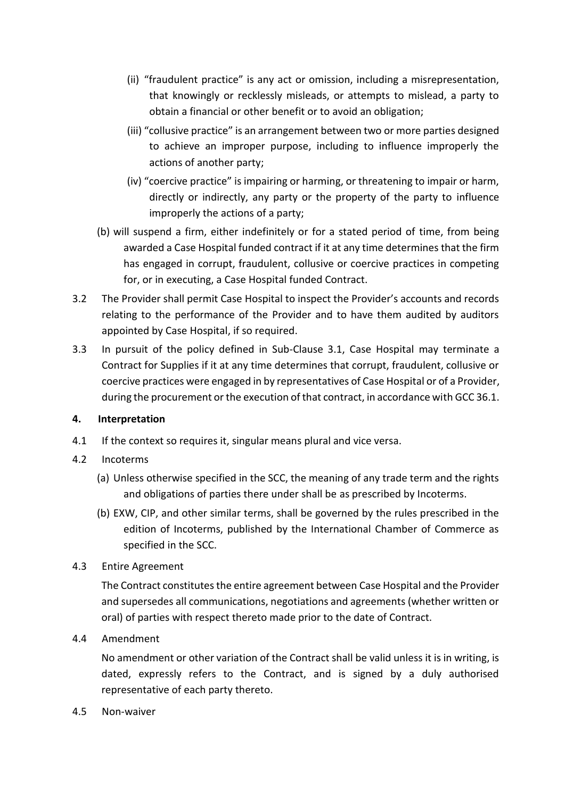- (ii) "fraudulent practice" is any act or omission, including a misrepresentation, that knowingly or recklessly misleads, or attempts to mislead, a party to obtain a financial or other benefit or to avoid an obligation;
- (iii) "collusive practice" is an arrangement between two or more parties designed to achieve an improper purpose, including to influence improperly the actions of another party;
- (iv) "coercive practice" is impairing or harming, or threatening to impair or harm, directly or indirectly, any party or the property of the party to influence improperly the actions of a party;
- (b) will suspend a firm, either indefinitely or for a stated period of time, from being awarded a Case Hospital funded contract if it at any time determines that the firm has engaged in corrupt, fraudulent, collusive or coercive practices in competing for, or in executing, a Case Hospital funded Contract.
- 3.2 The Provider shall permit Case Hospital to inspect the Provider's accounts and records relating to the performance of the Provider and to have them audited by auditors appointed by Case Hospital, if so required.
- 3.3 In pursuit of the policy defined in Sub-Clause 3.1, Case Hospital may terminate a Contract for Supplies if it at any time determines that corrupt, fraudulent, collusive or coercive practices were engaged in by representatives of Case Hospital or of a Provider, during the procurement or the execution of that contract, in accordance with GCC 36.1.

### **4. Interpretation**

- 4.1 If the context so requires it, singular means plural and vice versa.
- 4.2 Incoterms
	- (a) Unless otherwise specified in the SCC, the meaning of any trade term and the rights and obligations of parties there under shall be as prescribed by Incoterms.
	- (b) EXW, CIP, and other similar terms, shall be governed by the rules prescribed in the edition of Incoterms, published by the International Chamber of Commerce as specified in the SCC.
- 4.3 Entire Agreement

The Contract constitutes the entire agreement between Case Hospital and the Provider and supersedes all communications, negotiations and agreements (whether written or oral) of parties with respect thereto made prior to the date of Contract.

4.4 Amendment

No amendment or other variation of the Contract shall be valid unless it is in writing, is dated, expressly refers to the Contract, and is signed by a duly authorised representative of each party thereto.

4.5 Non-waiver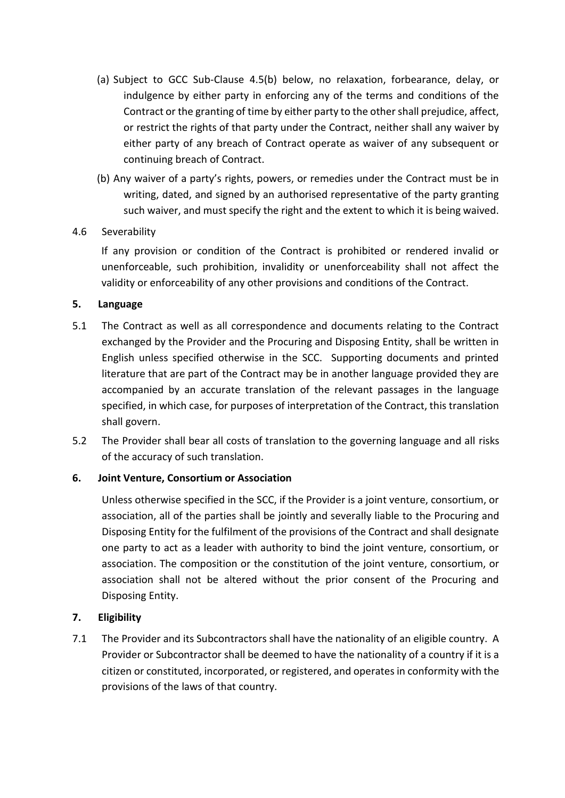- (a) Subject to GCC Sub-Clause 4.5(b) below, no relaxation, forbearance, delay, or indulgence by either party in enforcing any of the terms and conditions of the Contract or the granting of time by either party to the other shall prejudice, affect, or restrict the rights of that party under the Contract, neither shall any waiver by either party of any breach of Contract operate as waiver of any subsequent or continuing breach of Contract.
- (b) Any waiver of a party's rights, powers, or remedies under the Contract must be in writing, dated, and signed by an authorised representative of the party granting such waiver, and must specify the right and the extent to which it is being waived.

### 4.6 Severability

If any provision or condition of the Contract is prohibited or rendered invalid or unenforceable, such prohibition, invalidity or unenforceability shall not affect the validity or enforceability of any other provisions and conditions of the Contract.

### **5. Language**

- 5.1 The Contract as well as all correspondence and documents relating to the Contract exchanged by the Provider and the Procuring and Disposing Entity, shall be written in English unless specified otherwise in the SCC. Supporting documents and printed literature that are part of the Contract may be in another language provided they are accompanied by an accurate translation of the relevant passages in the language specified, in which case, for purposes of interpretation of the Contract, this translation shall govern.
- 5.2 The Provider shall bear all costs of translation to the governing language and all risks of the accuracy of such translation.

### **6. Joint Venture, Consortium or Association**

Unless otherwise specified in the SCC, if the Provider is a joint venture, consortium, or association, all of the parties shall be jointly and severally liable to the Procuring and Disposing Entity for the fulfilment of the provisions of the Contract and shall designate one party to act as a leader with authority to bind the joint venture, consortium, or association. The composition or the constitution of the joint venture, consortium, or association shall not be altered without the prior consent of the Procuring and Disposing Entity.

### **7. Eligibility**

7.1 The Provider and its Subcontractors shall have the nationality of an eligible country. A Provider or Subcontractor shall be deemed to have the nationality of a country if it is a citizen or constituted, incorporated, or registered, and operates in conformity with the provisions of the laws of that country.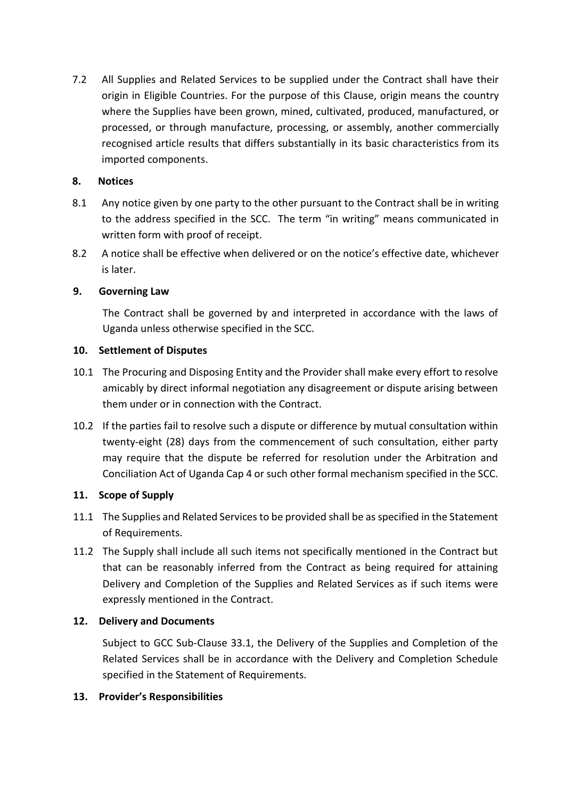7.2 All Supplies and Related Services to be supplied under the Contract shall have their origin in Eligible Countries. For the purpose of this Clause, origin means the country where the Supplies have been grown, mined, cultivated, produced, manufactured, or processed, or through manufacture, processing, or assembly, another commercially recognised article results that differs substantially in its basic characteristics from its imported components.

### **8. Notices**

- 8.1 Any notice given by one party to the other pursuant to the Contract shall be in writing to the address specified in the SCC. The term "in writing" means communicated in written form with proof of receipt.
- 8.2 A notice shall be effective when delivered or on the notice's effective date, whichever is later.

### **9. Governing Law**

The Contract shall be governed by and interpreted in accordance with the laws of Uganda unless otherwise specified in the SCC.

### **10. Settlement of Disputes**

- 10.1 The Procuring and Disposing Entity and the Provider shall make every effort to resolve amicably by direct informal negotiation any disagreement or dispute arising between them under or in connection with the Contract.
- 10.2 If the parties fail to resolve such a dispute or difference by mutual consultation within twenty-eight (28) days from the commencement of such consultation, either party may require that the dispute be referred for resolution under the Arbitration and Conciliation Act of Uganda Cap 4 or such other formal mechanism specified in the SCC.

### **11. Scope of Supply**

- 11.1 The Supplies and Related Services to be provided shall be as specified in the Statement of Requirements.
- 11.2 The Supply shall include all such items not specifically mentioned in the Contract but that can be reasonably inferred from the Contract as being required for attaining Delivery and Completion of the Supplies and Related Services as if such items were expressly mentioned in the Contract.

### **12. Delivery and Documents**

Subject to GCC Sub-Clause 33.1, the Delivery of the Supplies and Completion of the Related Services shall be in accordance with the Delivery and Completion Schedule specified in the Statement of Requirements.

### **13. Provider's Responsibilities**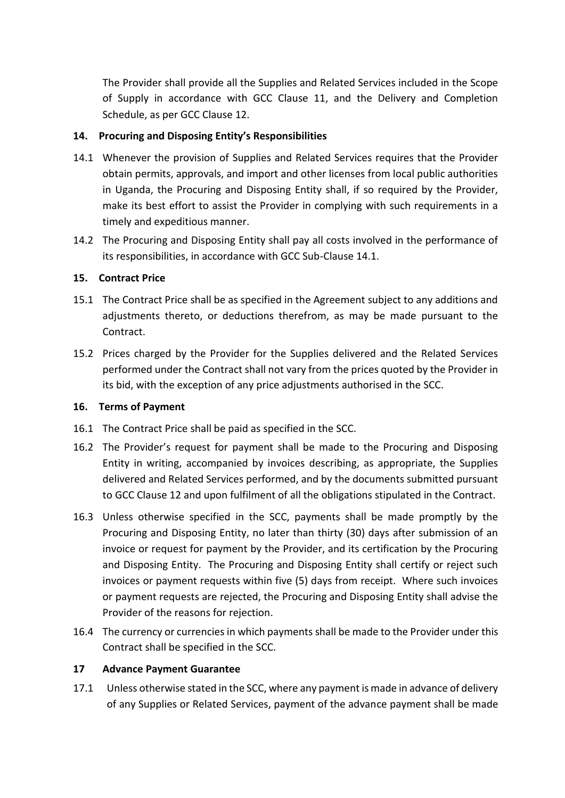The Provider shall provide all the Supplies and Related Services included in the Scope of Supply in accordance with GCC Clause 11, and the Delivery and Completion Schedule, as per GCC Clause 12.

### **14. Procuring and Disposing Entity's Responsibilities**

- 14.1 Whenever the provision of Supplies and Related Services requires that the Provider obtain permits, approvals, and import and other licenses from local public authorities in Uganda, the Procuring and Disposing Entity shall, if so required by the Provider, make its best effort to assist the Provider in complying with such requirements in a timely and expeditious manner.
- 14.2 The Procuring and Disposing Entity shall pay all costs involved in the performance of its responsibilities, in accordance with GCC Sub-Clause 14.1.

### **15. Contract Price**

- 15.1 The Contract Price shall be as specified in the Agreement subject to any additions and adjustments thereto, or deductions therefrom, as may be made pursuant to the Contract.
- 15.2 Prices charged by the Provider for the Supplies delivered and the Related Services performed under the Contract shall not vary from the prices quoted by the Provider in its bid, with the exception of any price adjustments authorised in the SCC.

### **16. Terms of Payment**

- 16.1 The Contract Price shall be paid as specified in the SCC.
- 16.2 The Provider's request for payment shall be made to the Procuring and Disposing Entity in writing, accompanied by invoices describing, as appropriate, the Supplies delivered and Related Services performed, and by the documents submitted pursuant to GCC Clause 12 and upon fulfilment of all the obligations stipulated in the Contract.
- 16.3 Unless otherwise specified in the SCC, payments shall be made promptly by the Procuring and Disposing Entity, no later than thirty (30) days after submission of an invoice or request for payment by the Provider, and its certification by the Procuring and Disposing Entity. The Procuring and Disposing Entity shall certify or reject such invoices or payment requests within five (5) days from receipt. Where such invoices or payment requests are rejected, the Procuring and Disposing Entity shall advise the Provider of the reasons for rejection.
- 16.4 The currency or currencies in which payments shall be made to the Provider under this Contract shall be specified in the SCC.

### **17 Advance Payment Guarantee**

17.1 Unless otherwise stated in the SCC, where any payment is made in advance of delivery of any Supplies or Related Services, payment of the advance payment shall be made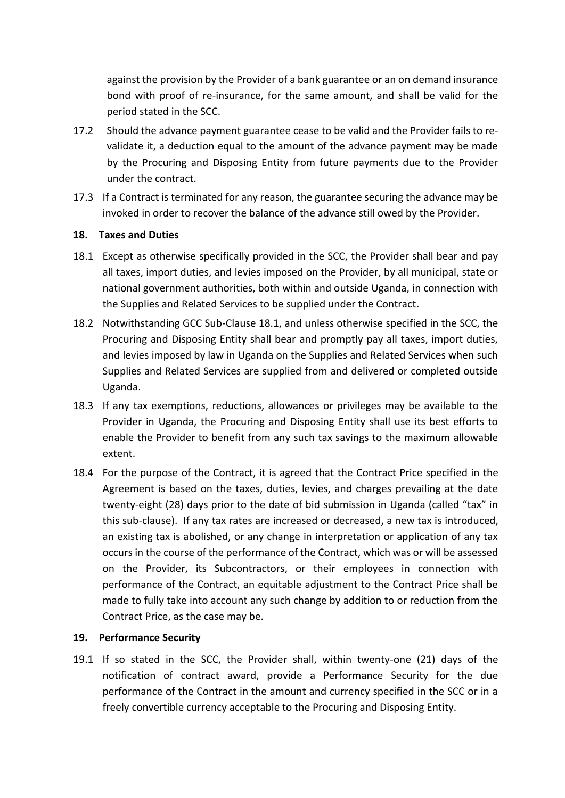against the provision by the Provider of a bank guarantee or an on demand insurance bond with proof of re-insurance, for the same amount, and shall be valid for the period stated in the SCC.

- 17.2 Should the advance payment guarantee cease to be valid and the Provider fails to revalidate it, a deduction equal to the amount of the advance payment may be made by the Procuring and Disposing Entity from future payments due to the Provider under the contract.
- 17.3 If a Contract is terminated for any reason, the guarantee securing the advance may be invoked in order to recover the balance of the advance still owed by the Provider.

### **18. Taxes and Duties**

- 18.1 Except as otherwise specifically provided in the SCC, the Provider shall bear and pay all taxes, import duties, and levies imposed on the Provider, by all municipal, state or national government authorities, both within and outside Uganda, in connection with the Supplies and Related Services to be supplied under the Contract.
- 18.2 Notwithstanding GCC Sub-Clause 18.1, and unless otherwise specified in the SCC, the Procuring and Disposing Entity shall bear and promptly pay all taxes, import duties, and levies imposed by law in Uganda on the Supplies and Related Services when such Supplies and Related Services are supplied from and delivered or completed outside Uganda.
- 18.3 If any tax exemptions, reductions, allowances or privileges may be available to the Provider in Uganda, the Procuring and Disposing Entity shall use its best efforts to enable the Provider to benefit from any such tax savings to the maximum allowable extent.
- 18.4 For the purpose of the Contract, it is agreed that the Contract Price specified in the Agreement is based on the taxes, duties, levies, and charges prevailing at the date twenty-eight (28) days prior to the date of bid submission in Uganda (called "tax" in this sub-clause). If any tax rates are increased or decreased, a new tax is introduced, an existing tax is abolished, or any change in interpretation or application of any tax occurs in the course of the performance of the Contract, which was or will be assessed on the Provider, its Subcontractors, or their employees in connection with performance of the Contract, an equitable adjustment to the Contract Price shall be made to fully take into account any such change by addition to or reduction from the Contract Price, as the case may be.

### **19. Performance Security**

19.1 If so stated in the SCC, the Provider shall, within twenty-one (21) days of the notification of contract award, provide a Performance Security for the due performance of the Contract in the amount and currency specified in the SCC or in a freely convertible currency acceptable to the Procuring and Disposing Entity.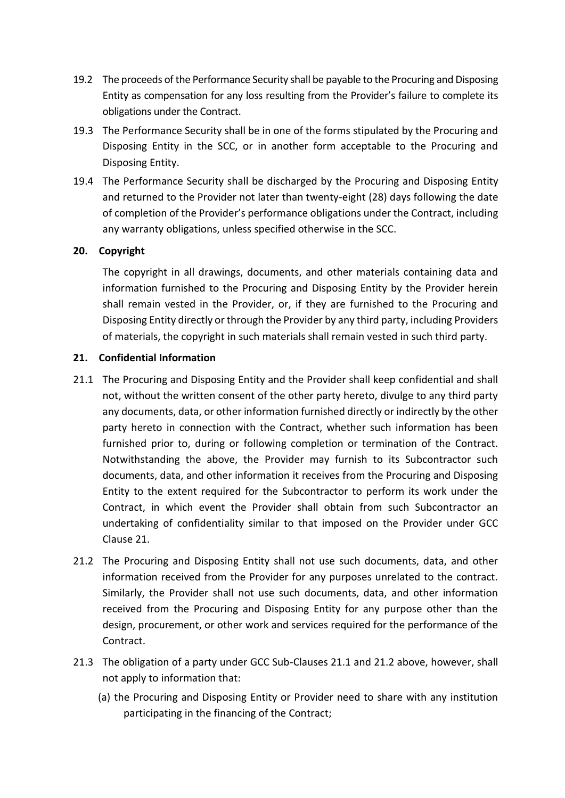- 19.2 The proceeds of the Performance Security shall be payable to the Procuring and Disposing Entity as compensation for any loss resulting from the Provider's failure to complete its obligations under the Contract.
- 19.3 The Performance Security shall be in one of the forms stipulated by the Procuring and Disposing Entity in the SCC, or in another form acceptable to the Procuring and Disposing Entity.
- 19.4 The Performance Security shall be discharged by the Procuring and Disposing Entity and returned to the Provider not later than twenty-eight (28) days following the date of completion of the Provider's performance obligations under the Contract, including any warranty obligations, unless specified otherwise in the SCC.

### **20. Copyright**

The copyright in all drawings, documents, and other materials containing data and information furnished to the Procuring and Disposing Entity by the Provider herein shall remain vested in the Provider, or, if they are furnished to the Procuring and Disposing Entity directly or through the Provider by any third party, including Providers of materials, the copyright in such materials shall remain vested in such third party.

### **21. Confidential Information**

- 21.1 The Procuring and Disposing Entity and the Provider shall keep confidential and shall not, without the written consent of the other party hereto, divulge to any third party any documents, data, or other information furnished directly or indirectly by the other party hereto in connection with the Contract, whether such information has been furnished prior to, during or following completion or termination of the Contract. Notwithstanding the above, the Provider may furnish to its Subcontractor such documents, data, and other information it receives from the Procuring and Disposing Entity to the extent required for the Subcontractor to perform its work under the Contract, in which event the Provider shall obtain from such Subcontractor an undertaking of confidentiality similar to that imposed on the Provider under GCC Clause 21.
- 21.2 The Procuring and Disposing Entity shall not use such documents, data, and other information received from the Provider for any purposes unrelated to the contract. Similarly, the Provider shall not use such documents, data, and other information received from the Procuring and Disposing Entity for any purpose other than the design, procurement, or other work and services required for the performance of the Contract.
- 21.3 The obligation of a party under GCC Sub-Clauses 21.1 and 21.2 above, however, shall not apply to information that:
	- (a) the Procuring and Disposing Entity or Provider need to share with any institution participating in the financing of the Contract;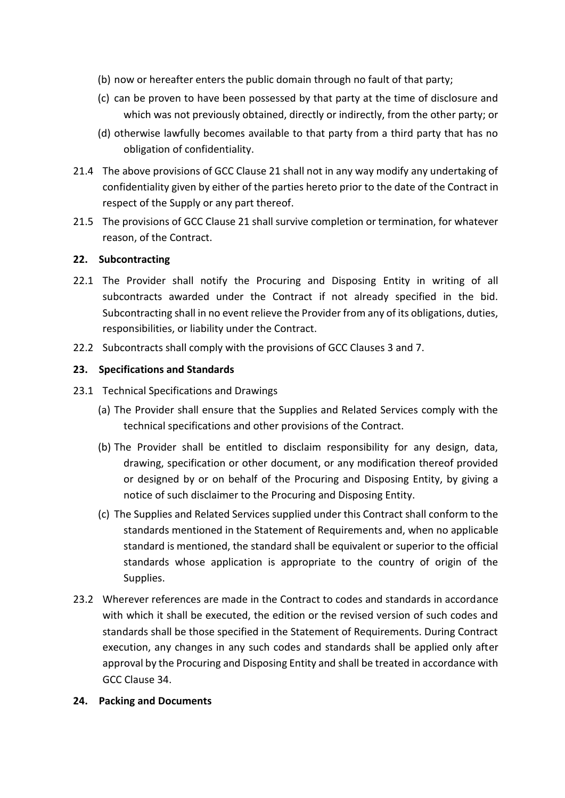- (b) now or hereafter enters the public domain through no fault of that party;
- (c) can be proven to have been possessed by that party at the time of disclosure and which was not previously obtained, directly or indirectly, from the other party; or
- (d) otherwise lawfully becomes available to that party from a third party that has no obligation of confidentiality.
- 21.4 The above provisions of GCC Clause 21 shall not in any way modify any undertaking of confidentiality given by either of the parties hereto prior to the date of the Contract in respect of the Supply or any part thereof.
- 21.5 The provisions of GCC Clause 21 shall survive completion or termination, for whatever reason, of the Contract.

### **22. Subcontracting**

- 22.1 The Provider shall notify the Procuring and Disposing Entity in writing of all subcontracts awarded under the Contract if not already specified in the bid. Subcontracting shall in no event relieve the Provider from any of its obligations, duties, responsibilities, or liability under the Contract.
- 22.2 Subcontracts shall comply with the provisions of GCC Clauses 3 and 7.

## **23. Specifications and Standards**

- 23.1 Technical Specifications and Drawings
	- (a) The Provider shall ensure that the Supplies and Related Services comply with the technical specifications and other provisions of the Contract.
	- (b) The Provider shall be entitled to disclaim responsibility for any design, data, drawing, specification or other document, or any modification thereof provided or designed by or on behalf of the Procuring and Disposing Entity, by giving a notice of such disclaimer to the Procuring and Disposing Entity.
	- (c) The Supplies and Related Services supplied under this Contract shall conform to the standards mentioned in the Statement of Requirements and, when no applicable standard is mentioned, the standard shall be equivalent or superior to the official standards whose application is appropriate to the country of origin of the Supplies.
- 23.2 Wherever references are made in the Contract to codes and standards in accordance with which it shall be executed, the edition or the revised version of such codes and standards shall be those specified in the Statement of Requirements. During Contract execution, any changes in any such codes and standards shall be applied only after approval by the Procuring and Disposing Entity and shall be treated in accordance with GCC Clause 34.

### **24. Packing and Documents**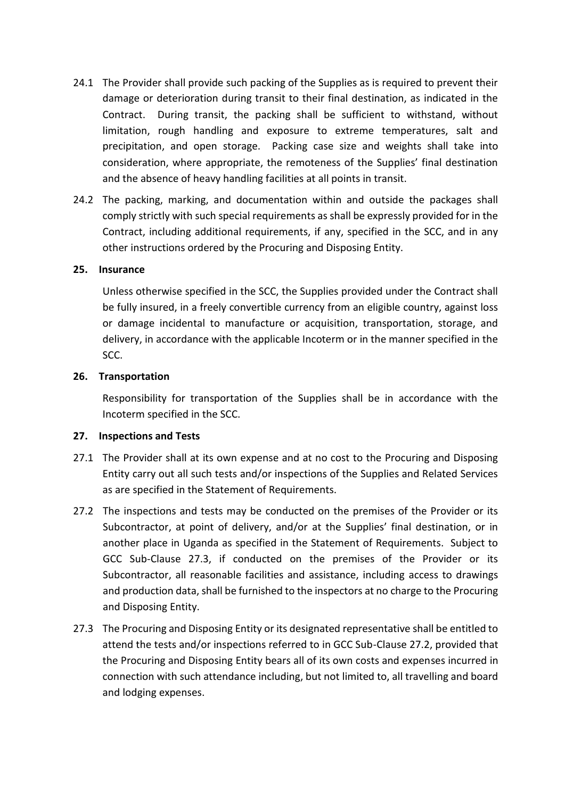- 24.1 The Provider shall provide such packing of the Supplies as is required to prevent their damage or deterioration during transit to their final destination, as indicated in the Contract. During transit, the packing shall be sufficient to withstand, without limitation, rough handling and exposure to extreme temperatures, salt and precipitation, and open storage. Packing case size and weights shall take into consideration, where appropriate, the remoteness of the Supplies' final destination and the absence of heavy handling facilities at all points in transit.
- 24.2 The packing, marking, and documentation within and outside the packages shall comply strictly with such special requirements as shall be expressly provided for in the Contract, including additional requirements, if any, specified in the SCC, and in any other instructions ordered by the Procuring and Disposing Entity.

#### **25. Insurance**

Unless otherwise specified in the SCC, the Supplies provided under the Contract shall be fully insured, in a freely convertible currency from an eligible country, against loss or damage incidental to manufacture or acquisition, transportation, storage, and delivery, in accordance with the applicable Incoterm or in the manner specified in the SCC.

#### **26. Transportation**

Responsibility for transportation of the Supplies shall be in accordance with the Incoterm specified in the SCC.

#### **27. Inspections and Tests**

- 27.1 The Provider shall at its own expense and at no cost to the Procuring and Disposing Entity carry out all such tests and/or inspections of the Supplies and Related Services as are specified in the Statement of Requirements.
- 27.2 The inspections and tests may be conducted on the premises of the Provider or its Subcontractor, at point of delivery, and/or at the Supplies' final destination, or in another place in Uganda as specified in the Statement of Requirements. Subject to GCC Sub-Clause 27.3, if conducted on the premises of the Provider or its Subcontractor, all reasonable facilities and assistance, including access to drawings and production data, shall be furnished to the inspectors at no charge to the Procuring and Disposing Entity.
- 27.3 The Procuring and Disposing Entity or its designated representative shall be entitled to attend the tests and/or inspections referred to in GCC Sub-Clause 27.2, provided that the Procuring and Disposing Entity bears all of its own costs and expenses incurred in connection with such attendance including, but not limited to, all travelling and board and lodging expenses.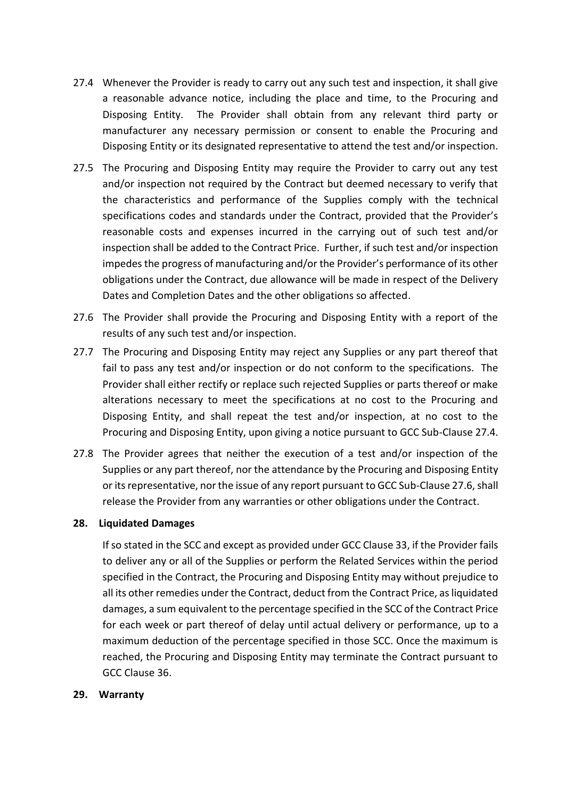- 27.4 Whenever the Provider is ready to carry out any such test and inspection, it shall give a reasonable advance notice, including the place and time, to the Procuring and Disposing Entity. The Provider shall obtain from any relevant third party or manufacturer any necessary permission or consent to enable the Procuring and Disposing Entity or its designated representative to attend the test and/or inspection.
- 27.5 The Procuring and Disposing Entity may require the Provider to carry out any test and/or inspection not required by the Contract but deemed necessary to verify that the characteristics and performance of the Supplies comply with the technical specifications codes and standards under the Contract, provided that the Provider's reasonable costs and expenses incurred in the carrying out of such test and/or inspection shall be added to the Contract Price. Further, if such test and/or inspection impedes the progress of manufacturing and/or the Provider's performance of its other obligations under the Contract, due allowance will be made in respect of the Delivery Dates and Completion Dates and the other obligations so affected.
- 27.6 The Provider shall provide the Procuring and Disposing Entity with a report of the results of any such test and/or inspection.
- 27.7 The Procuring and Disposing Entity may reject any Supplies or any part thereof that fail to pass any test and/or inspection or do not conform to the specifications. The Provider shall either rectify or replace such rejected Supplies or parts thereof or make alterations necessary to meet the specifications at no cost to the Procuring and Disposing Entity, and shall repeat the test and/or inspection, at no cost to the Procuring and Disposing Entity, upon giving a notice pursuant to GCC Sub-Clause 27.4.
- 27.8 The Provider agrees that neither the execution of a test and/or inspection of the Supplies or any part thereof, nor the attendance by the Procuring and Disposing Entity or its representative, nor the issue of any report pursuant to GCC Sub-Clause 27.6, shall release the Provider from any warranties or other obligations under the Contract.

### **28. Liquidated Damages**

If so stated in the SCC and except as provided under GCC Clause 33, if the Provider fails to deliver any or all of the Supplies or perform the Related Services within the period specified in the Contract, the Procuring and Disposing Entity may without prejudice to all its other remedies under the Contract, deduct from the Contract Price, as liquidated damages, a sum equivalent to the percentage specified in the SCC of the Contract Price for each week or part thereof of delay until actual delivery or performance, up to a maximum deduction of the percentage specified in those SCC. Once the maximum is reached, the Procuring and Disposing Entity may terminate the Contract pursuant to GCC Clause 36.

### **29. Warranty**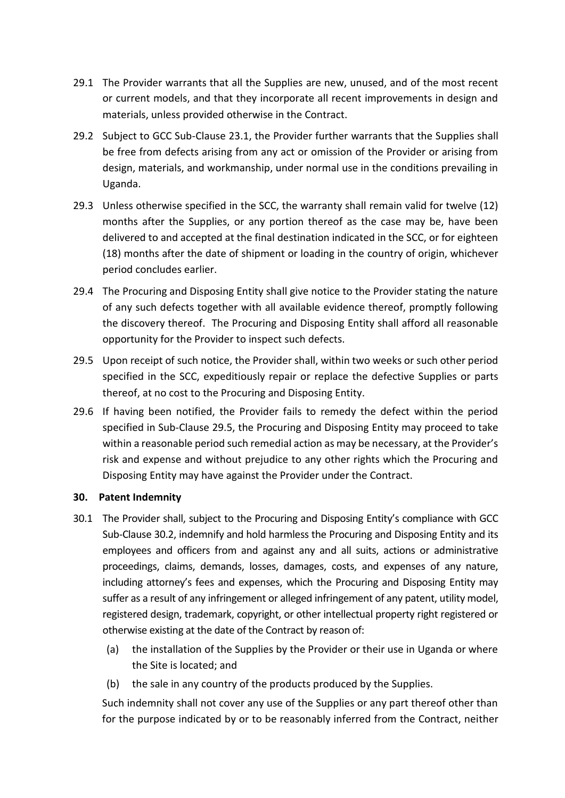- 29.1 The Provider warrants that all the Supplies are new, unused, and of the most recent or current models, and that they incorporate all recent improvements in design and materials, unless provided otherwise in the Contract.
- 29.2 Subject to GCC Sub-Clause 23.1, the Provider further warrants that the Supplies shall be free from defects arising from any act or omission of the Provider or arising from design, materials, and workmanship, under normal use in the conditions prevailing in Uganda.
- 29.3 Unless otherwise specified in the SCC, the warranty shall remain valid for twelve (12) months after the Supplies, or any portion thereof as the case may be, have been delivered to and accepted at the final destination indicated in the SCC, or for eighteen (18) months after the date of shipment or loading in the country of origin, whichever period concludes earlier.
- 29.4 The Procuring and Disposing Entity shall give notice to the Provider stating the nature of any such defects together with all available evidence thereof, promptly following the discovery thereof. The Procuring and Disposing Entity shall afford all reasonable opportunity for the Provider to inspect such defects.
- 29.5 Upon receipt of such notice, the Provider shall, within two weeks or such other period specified in the SCC, expeditiously repair or replace the defective Supplies or parts thereof, at no cost to the Procuring and Disposing Entity.
- 29.6 If having been notified, the Provider fails to remedy the defect within the period specified in Sub-Clause 29.5, the Procuring and Disposing Entity may proceed to take within a reasonable period such remedial action as may be necessary, at the Provider's risk and expense and without prejudice to any other rights which the Procuring and Disposing Entity may have against the Provider under the Contract.

### **30. Patent Indemnity**

- 30.1 The Provider shall, subject to the Procuring and Disposing Entity's compliance with GCC Sub-Clause 30.2, indemnify and hold harmless the Procuring and Disposing Entity and its employees and officers from and against any and all suits, actions or administrative proceedings, claims, demands, losses, damages, costs, and expenses of any nature, including attorney's fees and expenses, which the Procuring and Disposing Entity may suffer as a result of any infringement or alleged infringement of any patent, utility model, registered design, trademark, copyright, or other intellectual property right registered or otherwise existing at the date of the Contract by reason of:
	- (a) the installation of the Supplies by the Provider or their use in Uganda or where the Site is located; and
	- (b) the sale in any country of the products produced by the Supplies.

Such indemnity shall not cover any use of the Supplies or any part thereof other than for the purpose indicated by or to be reasonably inferred from the Contract, neither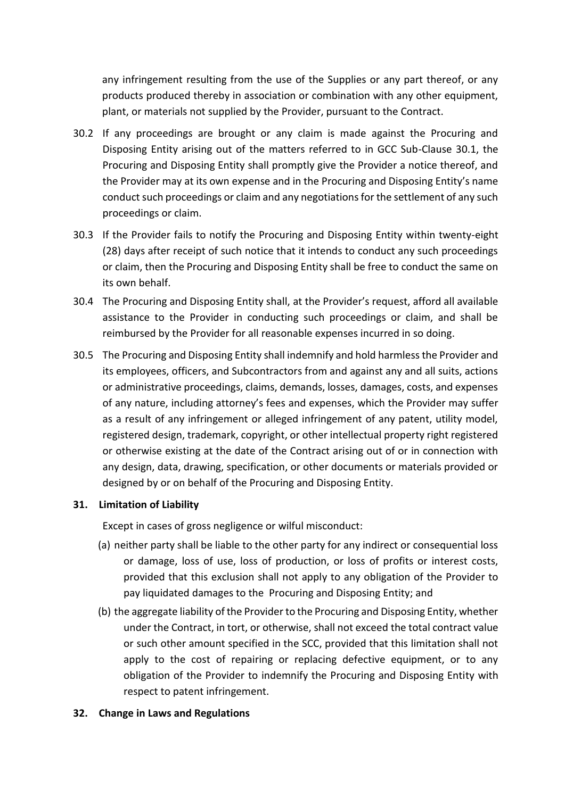any infringement resulting from the use of the Supplies or any part thereof, or any products produced thereby in association or combination with any other equipment, plant, or materials not supplied by the Provider, pursuant to the Contract.

- 30.2 If any proceedings are brought or any claim is made against the Procuring and Disposing Entity arising out of the matters referred to in GCC Sub-Clause 30.1, the Procuring and Disposing Entity shall promptly give the Provider a notice thereof, and the Provider may at its own expense and in the Procuring and Disposing Entity's name conduct such proceedings or claim and any negotiations for the settlement of any such proceedings or claim.
- 30.3 If the Provider fails to notify the Procuring and Disposing Entity within twenty-eight (28) days after receipt of such notice that it intends to conduct any such proceedings or claim, then the Procuring and Disposing Entity shall be free to conduct the same on its own behalf.
- 30.4 The Procuring and Disposing Entity shall, at the Provider's request, afford all available assistance to the Provider in conducting such proceedings or claim, and shall be reimbursed by the Provider for all reasonable expenses incurred in so doing.
- 30.5 The Procuring and Disposing Entity shall indemnify and hold harmless the Provider and its employees, officers, and Subcontractors from and against any and all suits, actions or administrative proceedings, claims, demands, losses, damages, costs, and expenses of any nature, including attorney's fees and expenses, which the Provider may suffer as a result of any infringement or alleged infringement of any patent, utility model, registered design, trademark, copyright, or other intellectual property right registered or otherwise existing at the date of the Contract arising out of or in connection with any design, data, drawing, specification, or other documents or materials provided or designed by or on behalf of the Procuring and Disposing Entity.

# **31. Limitation of Liability**

Except in cases of gross negligence or wilful misconduct:

- (a) neither party shall be liable to the other party for any indirect or consequential loss or damage, loss of use, loss of production, or loss of profits or interest costs, provided that this exclusion shall not apply to any obligation of the Provider to pay liquidated damages to the Procuring and Disposing Entity; and
- (b) the aggregate liability of the Provider to the Procuring and Disposing Entity, whether under the Contract, in tort, or otherwise, shall not exceed the total contract value or such other amount specified in the SCC, provided that this limitation shall not apply to the cost of repairing or replacing defective equipment, or to any obligation of the Provider to indemnify the Procuring and Disposing Entity with respect to patent infringement.

# **32. Change in Laws and Regulations**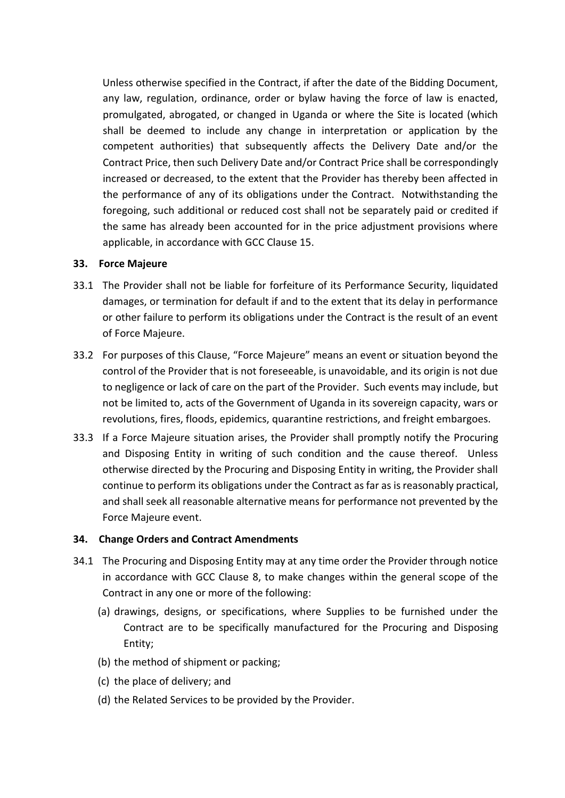Unless otherwise specified in the Contract, if after the date of the Bidding Document, any law, regulation, ordinance, order or bylaw having the force of law is enacted, promulgated, abrogated, or changed in Uganda or where the Site is located (which shall be deemed to include any change in interpretation or application by the competent authorities) that subsequently affects the Delivery Date and/or the Contract Price, then such Delivery Date and/or Contract Price shall be correspondingly increased or decreased, to the extent that the Provider has thereby been affected in the performance of any of its obligations under the Contract. Notwithstanding the foregoing, such additional or reduced cost shall not be separately paid or credited if the same has already been accounted for in the price adjustment provisions where applicable, in accordance with GCC Clause 15.

### **33. Force Majeure**

- 33.1 The Provider shall not be liable for forfeiture of its Performance Security, liquidated damages, or termination for default if and to the extent that its delay in performance or other failure to perform its obligations under the Contract is the result of an event of Force Majeure.
- 33.2 For purposes of this Clause, "Force Majeure" means an event or situation beyond the control of the Provider that is not foreseeable, is unavoidable, and its origin is not due to negligence or lack of care on the part of the Provider. Such events may include, but not be limited to, acts of the Government of Uganda in its sovereign capacity, wars or revolutions, fires, floods, epidemics, quarantine restrictions, and freight embargoes.
- 33.3 If a Force Majeure situation arises, the Provider shall promptly notify the Procuring and Disposing Entity in writing of such condition and the cause thereof. Unless otherwise directed by the Procuring and Disposing Entity in writing, the Provider shall continue to perform its obligations under the Contract as far as is reasonably practical, and shall seek all reasonable alternative means for performance not prevented by the Force Majeure event.

# **34. Change Orders and Contract Amendments**

- 34.1 The Procuring and Disposing Entity may at any time order the Provider through notice in accordance with GCC Clause 8, to make changes within the general scope of the Contract in any one or more of the following:
	- (a) drawings, designs, or specifications, where Supplies to be furnished under the Contract are to be specifically manufactured for the Procuring and Disposing Entity;
	- (b) the method of shipment or packing;
	- (c) the place of delivery; and
	- (d) the Related Services to be provided by the Provider.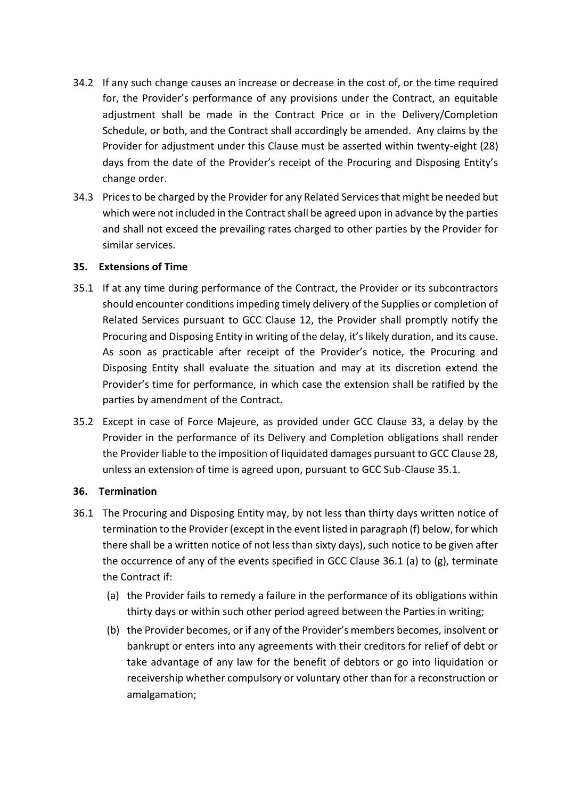- 34.2 If any such change causes an increase or decrease in the cost of, or the time required for, the Provider's performance of any provisions under the Contract, an equitable adjustment shall be made in the Contract Price or in the Delivery/Completion Schedule, or both, and the Contract shall accordingly be amended. Any claims by the Provider for adjustment under this Clause must be asserted within twenty-eight (28) days from the date of the Provider's receipt of the Procuring and Disposing Entity's change order.
- 34.3 Prices to be charged by the Provider for any Related Services that might be needed but which were not included in the Contract shall be agreed upon in advance by the parties and shall not exceed the prevailing rates charged to other parties by the Provider for similar services.

### **35. Extensions of Time**

- 35.1 If at any time during performance of the Contract, the Provider or its subcontractors should encounter conditions impeding timely delivery of the Supplies or completion of Related Services pursuant to GCC Clause 12, the Provider shall promptly notify the Procuring and Disposing Entity in writing of the delay, it's likely duration, and its cause. As soon as practicable after receipt of the Provider's notice, the Procuring and Disposing Entity shall evaluate the situation and may at its discretion extend the Provider's time for performance, in which case the extension shall be ratified by the parties by amendment of the Contract.
- 35.2 Except in case of Force Majeure, as provided under GCC Clause 33, a delay by the Provider in the performance of its Delivery and Completion obligations shall render the Provider liable to the imposition of liquidated damages pursuant to GCC Clause 28, unless an extension of time is agreed upon, pursuant to GCC Sub-Clause 35.1.

### **36. Termination**

- 36.1 The Procuring and Disposing Entity may, by not less than thirty days written notice of termination to the Provider (except in the event listed in paragraph (f) below, for which there shall be a written notice of not less than sixty days), such notice to be given after the occurrence of any of the events specified in GCC Clause 36.1 (a) to (g), terminate the Contract if:
	- (a) the Provider fails to remedy a failure in the performance of its obligations within thirty days or within such other period agreed between the Parties in writing;
	- (b) the Provider becomes, or if any of the Provider's members becomes, insolvent or bankrupt or enters into any agreements with their creditors for relief of debt or take advantage of any law for the benefit of debtors or go into liquidation or receivership whether compulsory or voluntary other than for a reconstruction or amalgamation;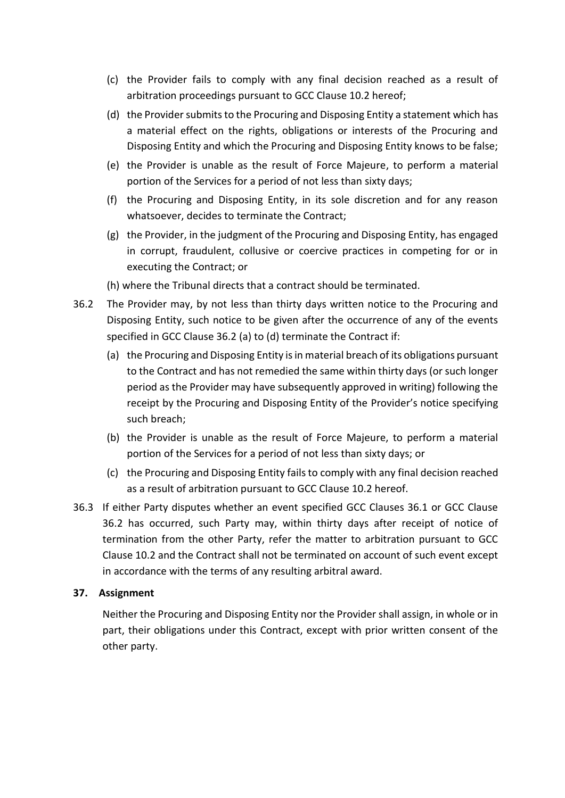- (c) the Provider fails to comply with any final decision reached as a result of arbitration proceedings pursuant to GCC Clause 10.2 hereof;
- (d) the Provider submits to the Procuring and Disposing Entity a statement which has a material effect on the rights, obligations or interests of the Procuring and Disposing Entity and which the Procuring and Disposing Entity knows to be false;
- (e) the Provider is unable as the result of Force Majeure, to perform a material portion of the Services for a period of not less than sixty days;
- (f) the Procuring and Disposing Entity, in its sole discretion and for any reason whatsoever, decides to terminate the Contract;
- (g) the Provider, in the judgment of the Procuring and Disposing Entity, has engaged in corrupt, fraudulent, collusive or coercive practices in competing for or in executing the Contract; or
- (h) where the Tribunal directs that a contract should be terminated.
- 36.2 The Provider may, by not less than thirty days written notice to the Procuring and Disposing Entity, such notice to be given after the occurrence of any of the events specified in GCC Clause 36.2 (a) to (d) terminate the Contract if:
	- (a) the Procuring and Disposing Entity is in material breach of its obligations pursuant to the Contract and has not remedied the same within thirty days (or such longer period as the Provider may have subsequently approved in writing) following the receipt by the Procuring and Disposing Entity of the Provider's notice specifying such breach;
	- (b) the Provider is unable as the result of Force Majeure, to perform a material portion of the Services for a period of not less than sixty days; or
	- (c) the Procuring and Disposing Entity fails to comply with any final decision reached as a result of arbitration pursuant to GCC Clause 10.2 hereof.
- 36.3 If either Party disputes whether an event specified GCC Clauses 36.1 or GCC Clause 36.2 has occurred, such Party may, within thirty days after receipt of notice of termination from the other Party, refer the matter to arbitration pursuant to GCC Clause 10.2 and the Contract shall not be terminated on account of such event except in accordance with the terms of any resulting arbitral award.

# **37. Assignment**

Neither the Procuring and Disposing Entity nor the Provider shall assign, in whole or in part, their obligations under this Contract, except with prior written consent of the other party.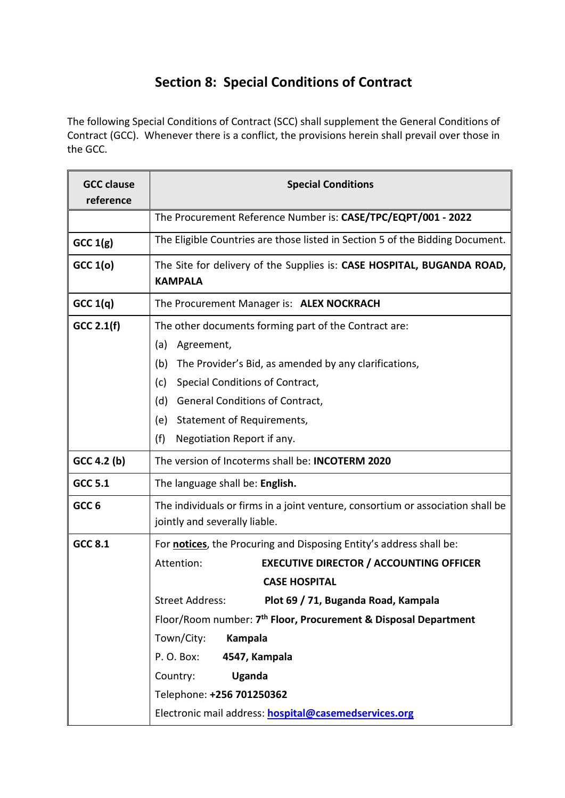# **Section 8: Special Conditions of Contract**

The following Special Conditions of Contract (SCC) shall supplement the General Conditions of Contract (GCC). Whenever there is a conflict, the provisions herein shall prevail over those in the GCC.

| <b>GCC clause</b><br>reference | <b>Special Conditions</b>                                                                                        |  |
|--------------------------------|------------------------------------------------------------------------------------------------------------------|--|
|                                | The Procurement Reference Number is: CASE/TPC/EQPT/001 - 2022                                                    |  |
| GCC 1(g)                       | The Eligible Countries are those listed in Section 5 of the Bidding Document.                                    |  |
| GCC 1(o)                       | The Site for delivery of the Supplies is: CASE HOSPITAL, BUGANDA ROAD,<br><b>KAMPALA</b>                         |  |
| GCC 1(q)                       | The Procurement Manager is: ALEX NOCKRACH                                                                        |  |
| $GCC$ 2.1(f)                   | The other documents forming part of the Contract are:                                                            |  |
|                                | (a)<br>Agreement,                                                                                                |  |
|                                | The Provider's Bid, as amended by any clarifications,<br>(b)                                                     |  |
|                                | Special Conditions of Contract,<br>(c)                                                                           |  |
|                                | (d)<br><b>General Conditions of Contract,</b>                                                                    |  |
|                                | Statement of Requirements,<br>(e)                                                                                |  |
|                                | (f)<br>Negotiation Report if any.                                                                                |  |
| GCC 4.2 (b)                    | The version of Incoterms shall be: <b>INCOTERM 2020</b>                                                          |  |
| <b>GCC 5.1</b>                 | The language shall be: English.                                                                                  |  |
| GCC <sub>6</sub>               | The individuals or firms in a joint venture, consortium or association shall be<br>jointly and severally liable. |  |
| <b>GCC 8.1</b>                 | For <b>notices</b> , the Procuring and Disposing Entity's address shall be:                                      |  |
|                                | <b>EXECUTIVE DIRECTOR / ACCOUNTING OFFICER</b><br>Attention:                                                     |  |
|                                | <b>CASE HOSPITAL</b>                                                                                             |  |
|                                | <b>Street Address:</b><br>Plot 69 / 71, Buganda Road, Kampala                                                    |  |
|                                | Floor/Room number: 7 <sup>th</sup> Floor, Procurement & Disposal Department                                      |  |
|                                | Town/City:<br><b>Kampala</b>                                                                                     |  |
|                                | 4547, Kampala<br>P.O. Box:                                                                                       |  |
|                                | Country:<br><b>Uganda</b>                                                                                        |  |
|                                | Telephone: +256 701250362                                                                                        |  |
|                                | Electronic mail address: hospital@casemedservices.org                                                            |  |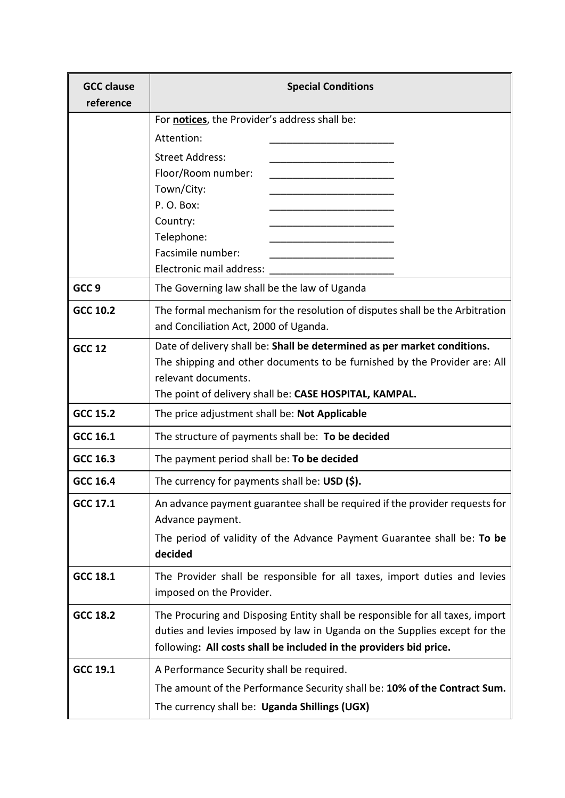| <b>GCC clause</b><br>reference | <b>Special Conditions</b>                                                                                                                                                                                                        |  |
|--------------------------------|----------------------------------------------------------------------------------------------------------------------------------------------------------------------------------------------------------------------------------|--|
|                                | For notices, the Provider's address shall be:                                                                                                                                                                                    |  |
|                                | Attention:                                                                                                                                                                                                                       |  |
|                                | <b>Street Address:</b>                                                                                                                                                                                                           |  |
|                                | Floor/Room number:                                                                                                                                                                                                               |  |
|                                | Town/City:                                                                                                                                                                                                                       |  |
|                                | P.O. Box:                                                                                                                                                                                                                        |  |
|                                | Country:<br>Telephone:                                                                                                                                                                                                           |  |
|                                | Facsimile number:                                                                                                                                                                                                                |  |
|                                | Electronic mail address:                                                                                                                                                                                                         |  |
| GCC <sub>9</sub>               | The Governing law shall be the law of Uganda                                                                                                                                                                                     |  |
| GCC 10.2                       | The formal mechanism for the resolution of disputes shall be the Arbitration                                                                                                                                                     |  |
|                                | and Conciliation Act, 2000 of Uganda.                                                                                                                                                                                            |  |
| <b>GCC 12</b>                  | Date of delivery shall be: Shall be determined as per market conditions.                                                                                                                                                         |  |
|                                | The shipping and other documents to be furnished by the Provider are: All                                                                                                                                                        |  |
|                                | relevant documents.                                                                                                                                                                                                              |  |
|                                | The point of delivery shall be: CASE HOSPITAL, KAMPAL.                                                                                                                                                                           |  |
| <b>GCC 15.2</b>                | The price adjustment shall be: Not Applicable                                                                                                                                                                                    |  |
| GCC 16.1                       | The structure of payments shall be: To be decided                                                                                                                                                                                |  |
| GCC 16.3                       | The payment period shall be: To be decided                                                                                                                                                                                       |  |
| GCC 16.4                       | The currency for payments shall be: $\text{USD}(\text{S}).$                                                                                                                                                                      |  |
| GCC 17.1                       | An advance payment guarantee shall be required if the provider requests for<br>Advance payment.                                                                                                                                  |  |
|                                | The period of validity of the Advance Payment Guarantee shall be: To be<br>decided                                                                                                                                               |  |
| GCC 18.1                       | The Provider shall be responsible for all taxes, import duties and levies<br>imposed on the Provider.                                                                                                                            |  |
| <b>GCC 18.2</b>                | The Procuring and Disposing Entity shall be responsible for all taxes, import<br>duties and levies imposed by law in Uganda on the Supplies except for the<br>following: All costs shall be included in the providers bid price. |  |
| GCC 19.1                       | A Performance Security shall be required.                                                                                                                                                                                        |  |
|                                | The amount of the Performance Security shall be: 10% of the Contract Sum.                                                                                                                                                        |  |
|                                | The currency shall be: Uganda Shillings (UGX)                                                                                                                                                                                    |  |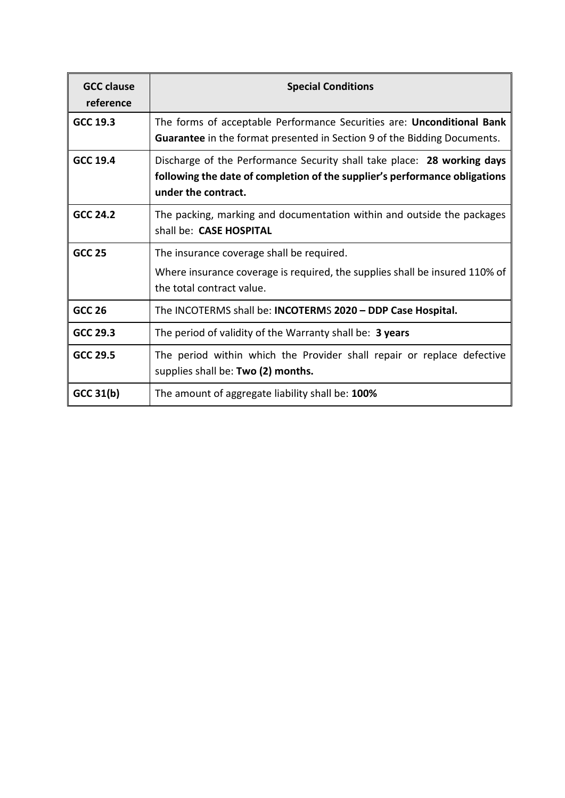| <b>GCC clause</b><br>reference | <b>Special Conditions</b>                                                                                                                                                    |
|--------------------------------|------------------------------------------------------------------------------------------------------------------------------------------------------------------------------|
| GCC 19.3                       | The forms of acceptable Performance Securities are: Unconditional Bank<br><b>Guarantee</b> in the format presented in Section 9 of the Bidding Documents.                    |
| <b>GCC 19.4</b>                | Discharge of the Performance Security shall take place: 28 working days<br>following the date of completion of the supplier's performance obligations<br>under the contract. |
| GCC 24.2                       | The packing, marking and documentation within and outside the packages<br>shall be: CASE HOSPITAL                                                                            |
| <b>GCC 25</b>                  | The insurance coverage shall be required.<br>Where insurance coverage is required, the supplies shall be insured 110% of<br>the total contract value.                        |
| <b>GCC 26</b>                  | The INCOTERMS shall be: INCOTERMS 2020 - DDP Case Hospital.                                                                                                                  |
| GCC 29.3                       | The period of validity of the Warranty shall be: 3 years                                                                                                                     |
| GCC 29.5                       | The period within which the Provider shall repair or replace defective<br>supplies shall be: Two (2) months.                                                                 |
| GCC 31(b)                      | The amount of aggregate liability shall be: 100%                                                                                                                             |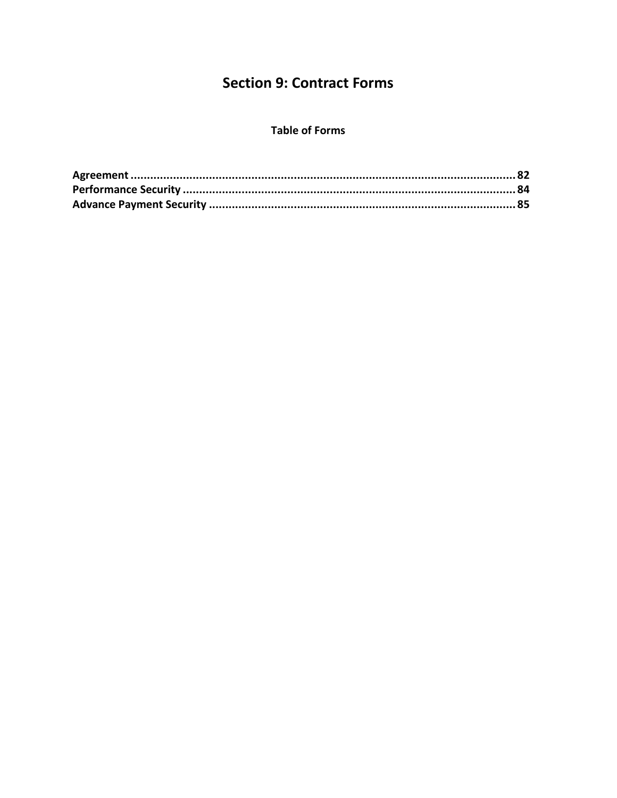# **Section 9: Contract Forms**

### **Table of Forms**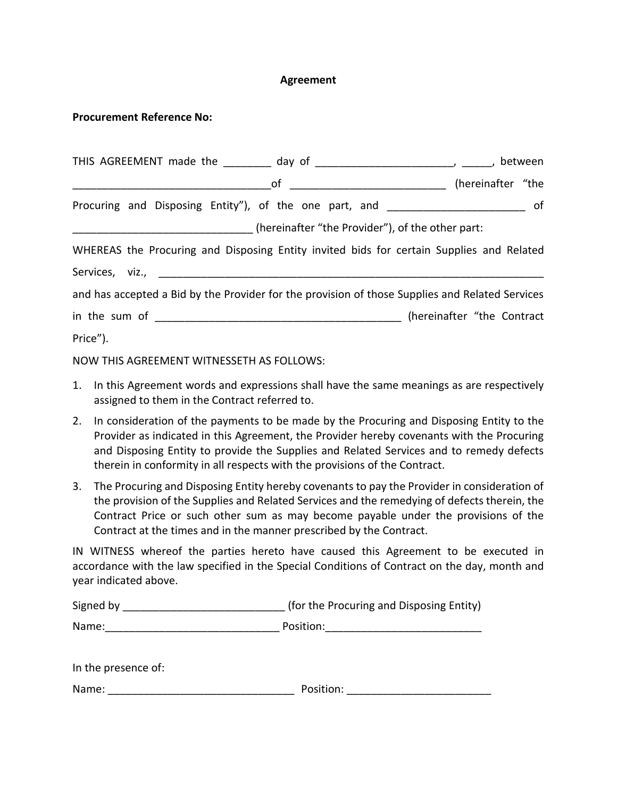### **Agreement**

### **Procurement Reference No:**

| THIS AGREEMENT made the _________ day of _________________________________, between             |  |  |
|-------------------------------------------------------------------------------------------------|--|--|
|                                                                                                 |  |  |
| Procuring and Disposing Entity"), of the one part, and _________________________ of             |  |  |
| ___________________________________(hereinafter "the Provider"), of the other part:             |  |  |
| WHEREAS the Procuring and Disposing Entity invited bids for certain Supplies and Related        |  |  |
|                                                                                                 |  |  |
| and has accepted a Bid by the Provider for the provision of those Supplies and Related Services |  |  |
|                                                                                                 |  |  |
| Price").                                                                                        |  |  |

NOW THIS AGREEMENT WITNESSETH AS FOLLOWS:

- 1. In this Agreement words and expressions shall have the same meanings as are respectively assigned to them in the Contract referred to.
- 2. In consideration of the payments to be made by the Procuring and Disposing Entity to the Provider as indicated in this Agreement, the Provider hereby covenants with the Procuring and Disposing Entity to provide the Supplies and Related Services and to remedy defects therein in conformity in all respects with the provisions of the Contract.
- 3. The Procuring and Disposing Entity hereby covenants to pay the Provider in consideration of the provision of the Supplies and Related Services and the remedying of defects therein, the Contract Price or such other sum as may become payable under the provisions of the Contract at the times and in the manner prescribed by the Contract.

IN WITNESS whereof the parties hereto have caused this Agreement to be executed in accordance with the law specified in the Special Conditions of Contract on the day, month and year indicated above.

| Signed by           | (for the Procuring and Disposing Entity) |
|---------------------|------------------------------------------|
| Name:               | Position:                                |
|                     |                                          |
| In the presence of: |                                          |

| Name: | Position: |
|-------|-----------|
|       |           |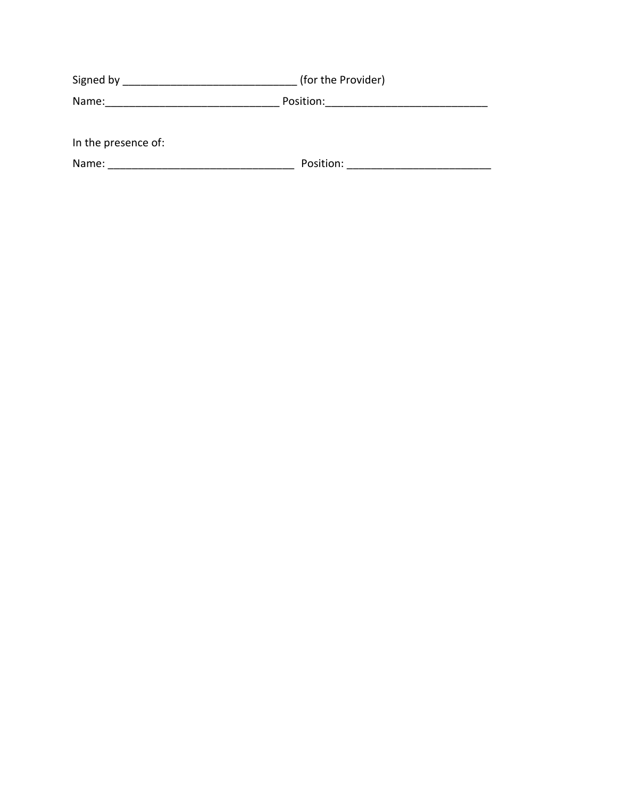| Signed by           | (for the Provider) |
|---------------------|--------------------|
| Position:<br>Name:  |                    |
|                     |                    |
| In the presence of: |                    |
| Name:               | Position:          |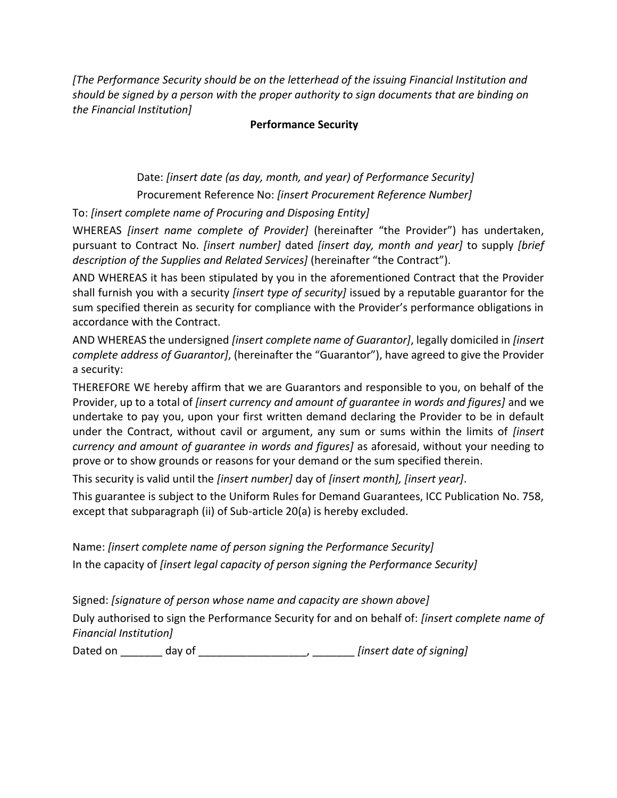*[The Performance Security should be on the letterhead of the issuing Financial Institution and should be signed by a person with the proper authority to sign documents that are binding on the Financial Institution]* 

# **Performance Security**

Date: *[insert date (as day, month, and year) of Performance Security]* Procurement Reference No: *[insert Procurement Reference Number]*

To: *[insert complete name of Procuring and Disposing Entity]* 

WHEREAS *[insert name complete of Provider]* (hereinafter "the Provider") has undertaken, pursuant to Contract No. *[insert number]* dated *[insert day, month and year]* to supply *[brief description of the Supplies and Related Services]* (hereinafter "the Contract").

AND WHEREAS it has been stipulated by you in the aforementioned Contract that the Provider shall furnish you with a security *[insert type of security]* issued by a reputable guarantor for the sum specified therein as security for compliance with the Provider's performance obligations in accordance with the Contract.

AND WHEREAS the undersigned *[insert complete name of Guarantor]*, legally domiciled in *[insert complete address of Guarantor]*, (hereinafter the "Guarantor"), have agreed to give the Provider a security:

THEREFORE WE hereby affirm that we are Guarantors and responsible to you, on behalf of the Provider, up to a total of *[insert currency and amount of guarantee in words and figures]* and we undertake to pay you, upon your first written demand declaring the Provider to be in default under the Contract, without cavil or argument, any sum or sums within the limits of *[insert currency and amount of guarantee in words and figures]* as aforesaid, without your needing to prove or to show grounds or reasons for your demand or the sum specified therein.

This security is valid until the *[insert number]* day of *[insert month], [insert year]*.

This guarantee is subject to the Uniform Rules for Demand Guarantees, ICC Publication No. 758, except that subparagraph (ii) of Sub-article 20(a) is hereby excluded.

Name: *[insert complete name of person signing the Performance Security]* In the capacity of *[insert legal capacity of person signing the Performance Security]* 

Signed: *[signature of person whose name and capacity are shown above]* Duly authorised to sign the Performance Security for and on behalf of: *[insert complete name of* 

*Financial Institution]*

Dated on \_\_\_\_\_\_\_ day of \_\_\_\_\_\_\_\_\_\_\_\_\_\_\_\_\_\_, \_\_\_\_\_\_\_ *[insert date of signing]*